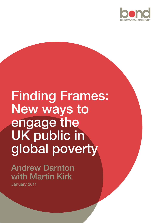

# Finding Frames: New ways to engage the UK public in global poverty

## Andrew Darnton with Martin Kirk

January 2011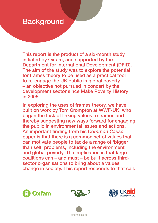### **Background**

This report is the product of a six-month study initiated by Oxfam, and supported by the Department for International Development (DFID). The aim of the study was to explore the potential for frames theory to be used as a practical tool to re-engage the UK public in global poverty – an objective not pursued in concert by the development sector since Make Poverty History in 2005.

In exploring the uses of frames theory, we have built on work by Tom Crompton at WWF-UK, who began the task of linking values to frames and thereby suggesting new ways forward for engaging the public in environmental issues and actions. An important finding from his *Common Cause* paper is that there is a common set of values that can motivate people to tackle a range of 'bigger than self' problems, including the environment and global poverty. The implication is that large coalitions can – and must – be built across thirdsector organisations to bring about a values change in society. This report responds to that call.







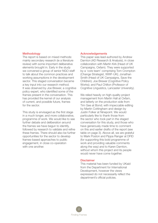#### **Methodology**

The report is based on mixed methods: mainly secondary research (ie a literature review) with some important deliberative elements brought in. Early in the study we convened a group of senior NGO staff to talk about the common practices and working assumptions in the development sector. This staged conversation became a key input into our research method. It was observed by Joe Brewer, a cognitive policy expert, who identified some of the frames present in the conversation. This has provided the kernel of our analysis of current, and possible future, frames for the sector.

This study is envisaged as the first stage in a much longer, and more collaborative, programme of work. We would like to see further debate and deliberation around the frames we have begun to identify, followed by research to validate and refine these frames. There should also be further opportunities for the sector to develop frames-based approaches to public engagement, in close co-operation with one another.

#### Acknowledgements

This paper was lead-authored by Andrew Darnton (AD Research & Analysis), in close collaboration with Martin Kirk (Head of UK Campaigns, Oxfam). They were supported by a 'core team' comprising Tom Crompton (Change Strategist, WWF-UK); Jonathan Smith (Head of UK Campaigns, Save the Children); Joe Brewer (Cognitive Policy Works); and Paul Chilton (Professor of Cognitive Linguistics, Lancaster University).

We relied heavily on high-quality project management from Martin Hall at Oxfam, and latterly on the production side from Tim Gee at Bond; with impeccable editing by Martin Cottingham and design by Justin Folker at Ninepoint. We would particularly like to thank those from the sector who took part in the staged conversation for this study, and those who have generously made time to comment on this and earlier drafts of the report (see table on page 3). Above all, we are grateful to Mark Poston and Pippa Ranger at DFID (for supporting this bold programme of work and providing valuable comments along the way) and to Karen Darnton, without whom this project and its people would never have come together.

#### **Disclaimer**

This material has been funded by UKaid from the Department for International Development, however the views expressed do not necessarily reflect the department's official policies.

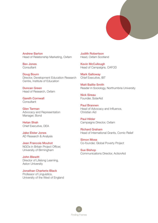

Andrew Barton Head of Relationship Marketing, Oxfam

Bev Jones **Consultant** 

Doug Bourn Director, Development Education Research Centre, Institute of Education

Duncan Green Head of Research, Oxfam

Gareth Cornwall **Consultant** 

Glen Tarman Advocacy and Representation Manager, Bond

Hetan Shah Chief Executive, DEA

Jake Elster Jones AD Research & Analysis

Jean Francois Mouhot NGOs in Britain Project Officer, University of Birmingham

John Blewitt Director of Lifelong Learning, Aston University

Jonathan Charteris-Black Professor of Linguistics, University of the West of England Judith Robertson Head, Oxfam Scotland

Kevin McCullough Head of Campaigns, CAFOD

Mark Galloway Chief Executive, IBT

Matt Baillie Smith Reader in Sociology, Northumbria University

Nick Sireau Founder, SolarAid

Paul Brannen Head of Advocacy and Influence, Christian Aid

Paul Hilder Campaigns Director, Oxfam

Richard Graham Head of International Grants, Comic Relief

Simon Moss Co-founder, Global Poverty Project

Sue Bishop Communications Director, ActionAid

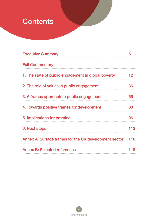## **Contents**

| <b>Executive Summary</b>                              | 5   |
|-------------------------------------------------------|-----|
| <b>Full Commentary</b>                                |     |
| 1. The state of public engagement in global poverty   | 12  |
| 2. The role of values in public engagement            | 36  |
| 3. A frames approach to public engagement             | 65  |
| 4. Towards positive frames for development            | 80  |
| 5. Implications for practice                          | 96  |
| 6. Next steps                                         | 112 |
| Annex A: Surface frames for the UK development sector | 116 |
| <b>Annex B: Selected references</b>                   | 118 |

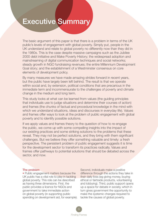### **Executive Summary**

The basic argument of this paper is that there is a problem in terms of the UK public's levels of engagement with global poverty. Simply put, people in the UK understand and relate to global poverty no differently now than they did in the 1980s. This is the case despite massive campaigns such as the Jubilee 2000 debt initiative and Make Poverty History; the widespread adoption and mainstreaming of digital communication techniques and social networks; steady growth in NGO fundraising revenues; the entire Millennium Development Goal story; and the establishment of a Westminster consensus on core elements of development policy.

By many measures we have made amazing strides forward in recent years, but the public have largely been left behind. The result is that we operate within social and, by extension, political conditions that are precarious in the immediate term and incommensurate to the challenges of poverty and climate change in the medium and long term.

This study looks at what can be learned from values (the guiding principles that individuals use to judge situations and determine their courses of action) and frames (the chunks of factual and procedural knowledge in the mind with which we understand situations, ideas and discourses in everyday life). Values and frames offer ways to look at the problem of public engagement with global poverty and to identify possible solutions.

If we apply values and frames theory to the question of how to re-engage the public, we come up with some compelling insights into the impact of our existing practices and some striking solutions to the problems that these reveal. They may not be perfect solutions, and they bring with them significant challenges. But we believe they offer something valuable and timely: a fresh perspective. The persistent problem of public engagement suggests it is time for the development sector to transform its practices radically. Values and frames offer pathways to potential solutions that should be debated across the sector, and now.

#### The problem

• Public engagement matters because the UK public has a vital role to play in tackling global poverty. This role can be described as having three dimensions. First, the public provides a licence for NGOs and government to take immediate action on global poverty (in supporting public spending on development aid, for example).

Second, individuals make a positive difference through the actions they take in their daily lives (eg giving money, buying ethical or fairtrade products, volunteering and lobbying). Third, public support opens up a space for debate in society, which in turn gives government the opportunity to make the systemic changes required to tackle the causes of global poverty.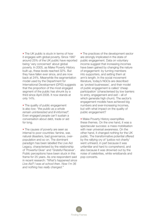• The UK public is stuck in terms of how it engages with global poverty. Since 1997 around 25% of the UK public have reported being 'very concerned' about global poverty. In 2005, as Make Poverty History built up, these levels reached 32%. But they have fallen ever since, and are now back at 24%. Meanwhile the segmentation model used by the Department for International Development (DFID) suggests that the proportion of the most engaged segment of the public has shrunk by a third since April 2008. It now stands at only 14%.

• The quality of public engagement is also low: *"the public as a whole remain uninterested and ill-informed".* Even engaged people can't sustain a conversation about debt, trade or aid for long.

• The causes of poverty are seen as internal to poor countries: famine, war, natural disasters, bad governance, overpopulation and so on. The dominant paradigm has been labelled the Live Aid Legacy, characterised by the relationship of 'Powerful Giver' and 'Grateful Receiver'. Public perceptions have been stuck in this frame for 25 years. As one respondent said in recent research: *"What's happened since Live Aid? I was at school then. Now I'm 36 and nothing has really changed."*

• The practices of the development sector are strongly implicated in the state of public engagement. Data on voluntary income suggest that increasing incomes have been gained by changing the nature of engagement: by turning members into supporters, and setting them at arm's length. In the social movement literature, today's NGOs are described as 'protest businesses', and their model of public engagement is called 'cheap participation' (characterised by low barriers to entry, engagement and exit – all of which generate high churn). The sector's engagement models have achieved big numbers and ever-increasing incomes, but with what impact on the quality of public engagement?

• Make Poverty History exemplifies these themes. On the one hand, it was a spectacular success: a mass mobilisation with near universal awareness. On the other hand, it changed nothing for the UK public. The transformative potential offered by the rallying cry of 'justice not charity' went unheard, in part because it was unfamiliar and hard to comprehend, and also because it was drowned out by the noise of celebrities, white wristbands and pop concerts.

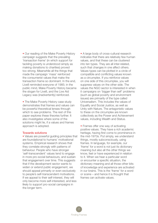• Our reading of the Make Poverty History campaign suggests that the prevailing 'transaction frame' (in which support for tackling poverty is understood simply as making donations to charities) proved too strong. Meanwhile all the things that made the campaign 'mass' reinforced the consumerist values that make the transaction frame so dominant. In the end, Live8 reminded everyone of 1985; in the public mind, Make Poverty History became the slogan for Live8, and the Live Aid Legacy was (inadvertently) reinforced.

• The Make Poverty History case study demonstrates that frames and values can be powerful theoretical lenses through which to see problems. The rest of this paper explores these theories further. It also investigates where some of the solutions might lie, if a values and frames approach is adopted.

#### Towards solutions

• Values are powerful guiding principles that are foundational to humans' motivational systems. Empirical research shows that they correlate strongly with patterns of behaviour. People who have stronger 'self-transcendent' values tend to engage in more pro-social behaviours, and sustain that engagement over time. This suggests that if the development sector wants to widen or extend public engagement, we should appeal primarily or even exclusively to people's self-transcendent motivations. If we appeal to their self-interest, they will only become more self-interested, and less likely to support pro-social campaigns in the longer term.

• A large body of cross-cultural research indicates that there are relatively few human values, and that these can be clustered into ten types. They are all inter-related, such that changes in one affect others. Values types can be plotted in a circle of compatible and conflicting values known as a circumplex. If you reinforce values on one side of this circumplex, you will suppress values on the other side. The values the NGO sector is interested in when it campaigns on 'bigger than self' problems (such as global poverty and environment issues) are primarily of the type called Universalism. This includes the values of Equality and Social Justice, as well as Unity with Nature. The antagonistic values to these on the circumplex are known collectively as the Power and Achievement values, including Wealth and Status.

• Frames offer one way of activating positive values. They have a rich academic heritage, having first come to prominence in the mid-1970s. Put simply, we understand things, mostly subconsciously, using frames. In language, for example, our 'frame' for a word is not just its dictionary meaning but also all the other things we know, feel or have experienced in relation to it. When we hear a particular word or encounter a specific situation, the dictionary meaning and all those other bits of knowledge and experience are activated in our brains. This is the 'frame' for a word or scene – and hence it is thought that frames can activate values.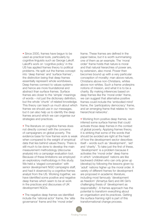• Since 2000, frames have begun to be used as practical tools, particularly by cognitive linguists such as George Lakoff. Lakoff's work on 'cognitive policy' in the US has applied frames theory to political problems. He split out the frames concept into 'deep frames' and 'surface frames', the distinction being that deep frames essentially represent whole worldviews. Deep frames connect to values systems and hence are more foundational and abstract than surface frames. Surface frames are closer to the 'simple' meanings of words – not just the dictionary definition, but the whole 'chunk' of related knowledge. This theory can teach us much about which frames we should use in our messages, but it can also help us to identify the deep frames around which we can organise our strategies and practices.

• The literature on cognitive frames does not directly connect with the concerns of campaigners on global poverty. The evidence base for how frames work is weak when compared to the weight of empirical data that lies behind values theory. There is still much to be done to develop the main measurement methodology (discourse analysis) into a campaign evaluation tool. Because of these limitations we employed an exploratory methodology in this study. We held a 'staged conversation' with senior development NGO campaigns staff. and had it observed by a cognitive frames analyst from the US. Working together, we have identified some positive and negative deep frames which seem to be at work in the practices and discourses of UK development NGOs.

• The negative deep frames we identified include the 'rational actor' frame, the 'elite governance' frame and the 'moral order'

frame. These frames are defined in the paper below, but it is worth summarising one of them as an example. The 'moral order' frame holds that nature is moral and that natural hierarchies of power are, by extension, also moral. Power then becomes bound up with a very particular conception of morality: man above nature, Christians above non-Christians, whites above non-whites. Such a frame underpins notions of mission, and what it is to be a charity. By making inferences based on deep frames like the 'moral order' frame, we can suggest that alternative positive frames could include the 'embodied mind' frame, the 'participatory democracy' frame, and an emerging frame that relates to 'nonhierarchical networks'.

• Working from positive deep frames, we inferred some surface frames that could activate those deep frames in the context of global poverty. Applying frames theory, it is striking that some of the words that should be avoided are right at the heart of how the development sector describes itself – words such as 'development', 'aid' and 'charity'. To take just the first of these, 'development' is a problem because it activates the 'moral order' deep frame in which 'undeveloped' nations are like backward children who can only grow up (develop) by following the lessons given by 'adult' nations higher up the moral order. A variety of different frames for development are proposed in academic literature, including most famously 'development as freedom' (Amartya Sen) and AK Giri's challenging thesis of 'development as responsibility'. A frames approach has the potential to transform everything about an organisation and its practices. Getting the surface framing right is part of this transformational change process.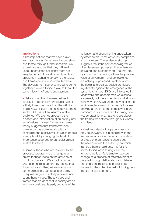#### **Implications**

• The implications that we have drawn from our work so far will need to be refined and tested through further research. We should not assume that they will lead us to uncontested solutions; there are likely to be both theoretical and practical problems in adhering strictly to the values and frames prescriptions identified here. The development sector will need to come together if we are to find a way to break the current lock-in of public engagement.

• Rebalancing the dominant values in society is a potentially formidable task. It is likely to require more than the will of a single NGO or even the entire development sector. But it is not an insurmountable challenge. We are not proposing the creation and introduction of an entirely new set of values. Instead frames and values theory suggests that transformational change can be achieved simply by reinforcing the positive values which people already hold: by changing the level of importance accorded to particular values relative to others.

• Some of those who are resistant to the proposed programme of change may object to these ideas on the grounds of mind manipulation. We should counter any such charges upfront, by stating that there is no such thing as values-neutral communications, campaigns or policy. Every message and activity activates and strengthens values. Those values and frames that are dominant in society are so, in some considerable part, because of the

activation and strengthening undertaken by other actors, most obviously companies and marketers. The evidence strongly suggests that if the self-enhancing values of achievement, power and hedonism are activated and strengthened – as they are by consumer marketing – then the positive vales of universalism and benevolence are actively suppressed. In other words, the social and political scales are tipped significantly against the emergence of the systemic changes NGOs are interested in. Meanwhile, the deep frames we discuss are already out there in society, and at work in how we think. We are not advocating the forcible replacement of frames, but instead drawing attention to the frames which are dominant in our culture, and showing how we, as practitioners, have choices about the frames we activate through our words and deeds.

• Most importantly, this paper does not provide answers. It is in keeping with the frames we advocate that no organisation or group of organisations should set themselves up as the authority on which frames others should use. It is for the sector to find ways to negotiate the tensions we identify. Ultimately, we see change as a process of reflective practice, pursued through deliberation and debate. The public themselves should also be involved in the collective task of finding new frames for development.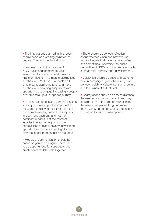• The implications outlined in this report should serve as a starting point for the debate. They include the following:

**o** We need to shift the balance of NGO public engagement activities away from 'transactions' and towards 'transformations'. This means placing less emphasis on '£5 buys...' appeals and simple campaigning actions, and more emphasis on providing supporters with opportunities to engage increasingly deeply over time through a 'supporter journey'.

**o** In online campaigns and communications, similar principles apply. It is important to move to models where clictivism is a small and complementary tactic that supports in-depth engagement, and not the dominant model it is at the moment. In order to engage people with the complexities of global poverty, developing opportunities for more meaningful action over the longer term should be the focus.

**o** Models of communication should be based on genuine dialogue. There need to be opportunities for supporters and practitioners to deliberate together.

**o** There should be serious reflection about whether, when and how we use forms of words that have come to define and sometimes undermine the public perception of NGOs and their work – words such as 'aid', 'charity' and 'development'.

Celebrities should be used with extreme care in campaigns, given the strong links between celebrity culture, consumer culture and the values of self-interest.

Charity shops should also try to distance themselves from consumer culture. They should return to their roots by presenting themselves as places for giving more than buying, and emphasising their role in closing up loops of consumption.

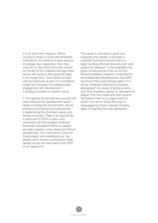o If, for short-term reasons, NGOs choose to trade on more self-interested motivations, for instance to earn revenue or engage new supporters, then they must do so. But all the time they should be mindful of the collateral damage these tactics will cause to the supporter base in the longer term. Such tactics should only be employed as part of a considered, longer-term strategy for building public engagement with development – a strategy founded on positive values.

**o** This agenda should also be pursued with others beyond the development sector – ideally including the Government, whose practices and policies are instrumental in determining the dominant values and frames in society. There is an opportunity in particular for DFID to play a key convening role that enables otherwise financially competitive NGOs to debate and plan together using values and frames perspectives. Tom Crompton's Common Cause paper, and working group, has already set in motion a process for wider debate across the third sector that DFID could respond to.

This paper is intended to spark and invigorate that debate. It provides a potential focal point around which to begin building informal networks and 'safe spaces for dialogue'. It also highlights the grave consequences if we do not act. Recent qualitative research conducted for the Independent Broadcasting Trust (IBT) has found that young people aged 14 to 20 are *"relatively informed but broadly disengaged"* on issues of global poverty, and have inherited a sense of 'development fatigue' from the media and their parents. We believe there is an urgent need for action if we are to break the cycle of disengagement that is already showing signs of engulfing the next generation.

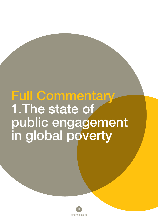# Full Commentary 1.The state of public engagement in global poverty

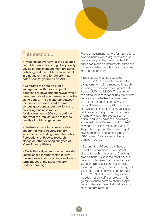

### This section...

• Presents an overview of the evidence on public perceptions of global poverty. Levels of public engagement are static or falling, and the public remains stuck in a negative frame for poverty that dates back 25 years to Live Aid.

• Contrasts the data on public engagement with those on public donations to development NGOs, which have been steadily increasing across the same period. The disiuncture between the two sets of data sparks some serious questions about how long the prevailing business model for development NGOs can continue, and what the implications are for the quality of public engagement.

• Illustrates these tensions in a short account of Make Poverty History, which sets the findings from the Public Perceptions of Poverty research alongside other existing analyses of Make Poverty History.

• Finds that values and frames provide useful lenses through which to view the successes, shortcomings and longterm impact of the Make Poverty History campaign.

Public engagement matters for international development. Several arguments can be made to support the case that the UK public can make an instrumental difference in how and when people in poor countries move out of poverty.

The first and most longstanding argument is that the public provides the UK government with a mandate for public spending on overseas development aid (see eg McDonnell 2006). This argument has particular resonance during the current debate about whether the government can afford to ringfence the 0.7% of Gross National Income (GNI) committed to development aid spending, against a background of deep public sector cuts. At time of writing this debate seems critical, and finely balanced. According to the Institute of Development Studies' new public opinion tracker only 33% of the public supported the ringfencing of development aid spending in August 2010, while 57% opposed it (Henson & Lindstrom 2010).

Second, the UK public can have an impact on international development directly through their actions. Donating to development NGOs is the most obvious means of intervening, but other forms of giving are also significant. Oxfam talks about public giving in terms of money, but also in terms of time, voice and product (Oxfam 2008). In the last category are included not only gifts of 'product' – ie giving unwanted items to charity shops – but also the purchase of ethical products, most notably fairtrade.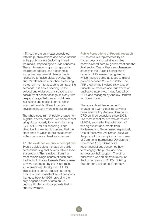Third, there is an impact associated with the public's actions and conversations in the public sphere (including those in the media, responding to public concerns). These interventions open up space for the kind of political, socio-economic and pro-environmental change that is necessary to tackle global poverty. The public's role here is more than pressuring the government to accede to campaigning demands; it is about opening up the political and wider societal space to the possibility of deeper change. It is only with deeper change that we can build new institutions and societal norms, which in turn will enable different models of development, and more effective results.

The whole spectrum of public engagement in global poverty matters. Aid alone cannot bring global poverty to an end. Securing 0.7% of GNI for aid spending is one objective, but we would contend that the other ends to which public engagement is the means are at least as important.

1.1 The evidence on public perceptions Even a quick look at the data on public perceptions of global poverty tells us there is a problem. This is evident from the most reliable single source of such data, the Public Attitudes Towards Development surveys conducted by the Department for International Development (DFID). This series of annual studies has asked a more or less consistent set of questions that goes back to 1999, providing the only longitudinal set of data on UK public attitudes to global poverty that is publicly available.

Public Perceptions of Poverty research DFID's data is supplemented by ad hoc surveys and qualitative studies commissioned both by government and the third sector. One of these supplementary sources is the Public Perceptions of Poverty (PPP) research programme, which tracked public attitudes to global poverty between 2004 and 2007. The PPP programme involved six waves of quantitative research and four waves of qualitative interviews. It was funded by DFID, and managed by Andrew Darnton for Comic Relief.

The research evidence on public engagement with global poverty has been reviewed by Andrew Darnton for DFID on three occasions since 2004. The most recent review was at the end of 2009, soon after the publication of two significant documents from Parliament and Government respectively. One of these was *Aid Under Pressure,* the product of an enquiry by the House of Commons International Development Committee (IDC). Some of its recommendations concerned how to re-engage the public, and how to measure their support. The other publication was an external review of the first ten years of DFID's 'Building Support for Development' strategy.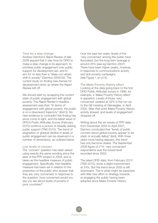#### Time for a step change

Andrew Darnton's *Rapid Review* of late 2009 argued that it was time for DFID to make a step change in its approach, to prioritise public engagement over public support for development aid, and to aim for no less than a *"deep-cut values shift in society"* (Darnton 2009:32). The current study on finding new frames for development picks up where the *Rapid Review* left off.

We should start by recapping the current state of public engagement with global poverty. The *Rapid Review's* headline assessment was that: *"In terms of engagement with global poverty, the public is on a downward trajectory"* (ibid:3). No new evidence to contradict this finding has since come to light, and the latest wave of DFID's Public Attitudes Survey (February 2010) confirms a picture of steadily ebbing public support (TNS 2010). The trend of stagnation or gradual decline in levels of public engagement can be observed in a number of dimensions, as outlined below.

#### Low levels of concern

The 'concern' question has been asked using exactly the same wording since the start of the PPP project in 2004, and is taken as the headline measure of public engagement. Specifically, that headline measure has been set in relation to the proportion of the public who answer that they are 'very concerned' in response to the question 'how concerned would you say you are about levels of poverty in poor countries?'.

Over the past ten years, levels of the 'very concerned' among the public have fluctuated, but the long-term average is around 25% (see eg Darnton 2007). There have been higher peaks, however, in response to communications activity and anti-poverty campaigns (see Figure 1 on p15).

#### The Make Poverty History effect

Looking at the data going back to the first DFID Public Attitudes survey in 1999, for example, a 'Make Poverty History effect' is apparent. Levels of those 'very concerned' peaked at 32% in the run-up to the G8 meeting at Gleneagles, in April 2005. After that point Make Poverty History activity slowed, and levels of engagement dropped off.

Writing about the six waves of PPP data from December 2004 to April 2007, Darnton concluded that *"levels of public concern about global poverty appear to be static or actually falling"* (ibid). With three years more having elapsed, this trend has only become clearer. The September 2009 figure of 21% 'very concerned' respondents was the lowest level recorded since 2003.

The latest DFID data, from February 2010 (TNS 2010), show a slight improvement at 24%. But the trend since 2005 is still downward. This is what might be expected, with little new effort or strategy towards re-engaging the public having been adopted since Make Poverty History.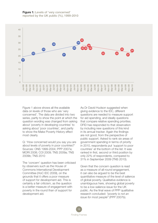

Figure 1 above shows all the available data on levels of those who are 'very concerned'. The data are divided into two series, partly to show the point at which the question wording was changed from asking about 'poverty in developing countries' to asking about 'poor countries', and partly to show the Make Poverty History effect most clearly.

Q: 'How concerned would you say you are about levels of poverty in poor countries?' Sources: ONS 1999-2004; PPP 2007a; MORI 2008; COI 2009; TNS 2009a; TNS 2009b; TNS 2010

The 'concern' question has been criticised by observers such as the House of Commons International Development Committee (HoC IDC 2009), on the grounds that it offers a poor measure of support for development aid. This is certainly a fair criticism, as the question is a better measure of engagement with poverty in the round than of support for development aid.

As Dr David Hudson suggested when giving evidence to the IDC, different questions are needed to measure support for aid spending, and ideally questions that compare relative spending priorities. DFID has responded to that observation by including new questions of this kind in its annual tracker. Again the findings are not good, from the perspective of public support. Asked to rank six areas of government spending in terms of priority in 2010, respondents put 'support to poor countries' at the bottom of the list. It was ranked in first, second or third position by only 22% of respondents, compared to 31% in September 2009 (TNS 2010).

Given that the concern question is read as a measure of all-round engagement, it can also be argued to be the best quantitative measure of the level of salience of global poverty. Qualitative evidence is unambiguous here, showing global poverty to be a low-salience issue for the UK public. As the final wave of PPP qualitative research concluded: *"poverty is not an issue for most people"* (PPP 2007b).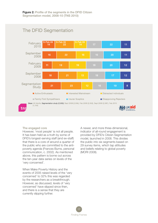

### The engaged core

However, 'most people' is not all people. It has been held as a truth by some of DFID's longest-serving staff (and ex-staff) that there is a core of around a quarter of the public who are committed to the antipoverty agenda (Frances Burns, personal communication, c. 2002). As mentioned above, this pattern is borne out across the ten-year data series on levels of the 'very concerned'.

When Make Poverty History and the events of 2005 raised levels of the 'very concerned' to 32% this was regarded by the researchers as a breakthrough. However, as discussed, levels of 'very concerned' have slipped since then, and there is a sense that they are currently slipping further.

A newer, and more three-dimensional, indicator of all-round engagement is provided by DFID's Citizen Segmentation model, launched in 2008. This divides the public into six segments based on 29 survey items, which tap attitudes and beliefs relating to global poverty (MORI 2008).

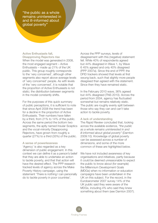"the public as a whole remains uninterested in and ill-informed about global poverty"

#### Active Enthusiasts fall,

Disapproving Rejectors rise

When the model was generated in 2008, the most engaged segment – Active Enthusiasts – made up 21% of the UK public. This group roughly corresponds to the 'very concerned', although other segments also report above-average levels of 'very concerned' people. As with levels of the 'very concerned', it is notable that the proportion of Active Enthusiasts is not static; the distribution between segments in the model constantly shifts.

For the purposes of this quick summary of public perceptions, it is sufficient to note that since April 2008 the trend has been for a decline in the proportion of Active Enthusiasts. Their numbers have fallen by a third, from 21% to 14% of the public. Across the same period the bottom two segments, the aptly named Insular Sceptics and the vocal-minority Disapproving Rejectors, have grown from roughly a quarter (27%) to a third (33%) of the public.

#### A sense of powerlessness

'Agency' is also regarded as a key dimension of public engagement. In this context we can define it as a person's belief that they are able to undertake an action to tackle poverty, and that that action will have the desired effect. The PPP research tracked levels of agency across the Make Poverty History campaign, using the statement 'There is nothing I can personally do to tackle poverty in poor countries'.

Across the PPP surveys, levels of disagreement with this (negative) statement fell. While 40% of respondents agreed but 44% disagreed in Wave 1, by Wave 6 45% agreed and only 40% disagreed (PPP 2007a). Since the end of PPP, the DFID trackers showed that levels at first swung back, such that slightly more people disagreed than agreed with the statement. Since then they have remained static.

In the February 2010 wave, 36% agreed but 44% disagreed (TNS 2010). Across the period from 2004, agency has fluctuated somewhat but remains relatively static. The public are roughly evenly split between those who say they can and can't take action to tackle poverty.

#### A lack of understanding

The *Rapid Review* concluded that, looking across the available evidence, *"the public as a whole remains uninterested in and ill-informed about global poverty"* (Darnton 2009:10). Knowledge of global poverty can be assessed across a number of dimensions, and some of the more common of these are highlighted below.

We have not included awareness of key organisations and initiatives, partly because it could be deemed unreasonable to expect the public to know about (for example) the Millennium Development Goals (MDGs) when no information or education campaigns have been undertaken in the UK on this subject. For the record, in the Eurobarometer 2007 survey 14% of the UK public said they were aware of the MDGs, including 4% who said they knew something about them (see Darnton 2007).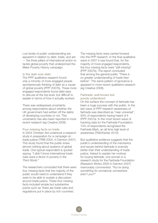Low levels of public understanding are apparent in relation to debt, trade, and aid — the three pillars of international action to tackle global poverty that underpinned the Make Poverty History campaign.

#### In the dark over debt

The PPP qualitative research found only a minority of more engaged people spontaneously thinking of debt as a cause of global poverty (PPP 2007b). These more engaged respondents found debt easy to discuss at the top level, but difficult to explain in terms of how it actually worked.

There was widespread uncertainty among respondents about whether the UK government had written off the debts of developing countries or not. This uncertainty has also been reported in more recent research (eg Creative 2008).

#### Four missing facts on trade

In 2004 Christian Aid undertook a research study in preparation for a campaign on trade justice (TRBI 2004, in Darnton 2007). This study found that the public knew almost nothing about systems of global trade. One typical respondent is quoted saying: *"I didn't know international trade rules were a factor in poverty in the Third World."*

The researchers concluded that there were four missing facts that the majority of the public would need to understand if they were to be able to sustain a discussion around trade justice. These four missing facts included simple but substantive points such as 'there are trade rules and regulations put in place by rich countries'.

The missing facts were carried forward into the PPP research. In the final qualitative wave in 2007 it was found that, for the majority of more engaged respondents, the four missing facts were *"still missing"* (PPP 2007b). The report concluded that among the general public *"There is no greater understanding of trade than before".* The same pattern of ignorance is apparent in more recent qualitative research (eg Creative 2008).

#### Fairtrade: well known but poorly understood

On the surface the concept of fairtrade has been a huge success with the public. In the last wave of PPP research awareness of fairtrade was described as "near universal", 93% of respondents having heard of it (PPP 2007a). In the most recent wave of tracking data for the Fairtrade Foundation, 74% of respondents recognised the Fairtrade Mark: an all-time high level of awareness (TNS/Kantar 2010).

But qualitative evidence suggests that the public's understanding of the mechanics and issues behind fairtrade is scarcely better than their understanding of trade justice. Asked to explain her motives for buying fairtrade, one woman in a research study for the Fairtrade Foundation (Research Works 2005 in Darnton 2007) memorably commented: *"You're doing something for somebody somewhere aren't you?"*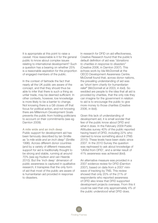It is appropriate at this point to raise a caveat. How reasonable is it for the general public to know about complex issues relating to international development? Such a question has a bearing on whether 25% is a reasonable aspiration for the proportion of engaged members of the public.

In the context of fairtrade the fact that nearly all the UK public are aware of the concept, and that they should thus be able to infer that there is such a thing as unfair trade, may be deemed sufficient. In other contexts, however, low knowledge is more likely to be a barrier to change. Not knowing there is a G8 closes off that focus for political action, and not knowing there are Millennium Development Goals prevents the public from holding politicians to account on their commitments (see eg Darnton 2009).

A mile wide and an inch deep Public support for development aid has been famously described by Ian Smillie as *"a mile wide and an inch deep"* (Smillie 1996). Across different donor countries (and by a variety of different measures) support for aid is traditionally thought to be strong and stable, running at around 70% (see eg Hudson and van Heerde 2010). But the 'inch deep' dimension of public awareness is captured in qualitative research; it transpires that the only form of aid that most of the public are aware of is humanitarian aid provided in response to disasters.

In research for DFID on aid effectiveness, Creative Research found that the public's default definition of aid was *"donations to charities in response to disasters"* (Creative 2006, in Darnton 2007). This echoes work by Ida McDonnell at the OECD Development Awareness Centre. McDonell found that, across donor nations, the prevailing understanding of aid was as *"short term charity for humanitarian relief"* (McDonnell et al 2003, in ibid). So wedded are people to the idea that all aid is provided by charities, that the only role they can imagine for the government in relation to aid is to encourage the public to give more money to those charities (Creative 2006, in ibid).

Given this lack of understanding of development aid, it is small wonder that few of the public know about DFID and what it does. In the February 2009 Public Attitudes survey 40% of the public reported having heard of DFID, including 22% who claimed to know something about it (TNS 2010). These levels have been static since 2007. In the 2010 Survey the question was rephrased to ask about knowledge of 'UKAid from DFID', and a similar result of 41% awareness was achieved (ibid).

An alternative measure was provided in a 2007 evidence review for DFID (Darnton 2007), based on data from a 2007 miniwave of tracking by TNS. This review showed that only 20% of the 21% of respondents who reported awareness of DFID also knew that DFID supported development projects overseas. From this it could be said that only approximately 4% of the public understood what DFID does.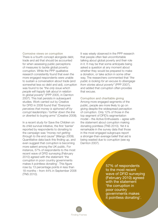Corrosive views on corruption There is a fourth concept alongside debt, trade and aid that should be accounted for when assessing public perceptions of measures to tackle global poverty: corruption. While the PPP qualitative research consistently found that even the more engaged respondents were unable to sustain a conversation about trade (and somewhat less so debt and aid), corruption was found to be *"the only issue which people will happily talk about in relation to global poverty"* (PPP 2005, in Darnton 2007). This trait persists in subsequent studies. Work carried out by Creative for DFID in 2008 found that *"Everyone perceives that money is siphoned off by corrupt leaderships / further down the line or diverted to buying arms"* (Creative 2008).

In a recent study for Save the Children on its child survival initiative, the first 'barrier' reported by respondents to donating to the campaign was *"money not getting through to the end cause"* (Mango 2009). Quantitative data back this finding up, and even suggest that corruption is becoming more salient among the UK public. For instance, 57% of respondents to the most recent wave of DFID surveying (February 2010) agreed with the statement 'the corruption in poor country governments makes it pointless donating'. This figure rose by 13 percentage points in less than 18 months – from 44% in September 2008 (TNS 2010).

It was wisely observed in the PPP research that people often feel uncomfortable talking about global poverty and their role in it. It may be that some anticipate being asked a question at any moment about whether they would be prepared to make a donation, or take action in some other way. The researchers commented that *"the public is looking for an excuse to disengage from stories about poverty"* (PPP 2007), and added that corruption often provides that excuse.

Corruption and charitable giving Among more engaged segments of the public, people are more likely to go on giving despite the widespread perception of corruption. Only 12% of those in the top segment of DFID's segmentation model – the Active Enthusiasts – agree with the statement about corruption making donating pointless (TNS 2010). Yet it is remarkable in the survey data that those in the most engaged subgroups report a stronger-than-average belief that aid is being wasted due to corruption (see eg Darnton 2007).

> 57% of respondents to the most recent wave of DFID surveying (February 2010) agreed with the statement 'the corruption in poor country governments makes it pointless donating'.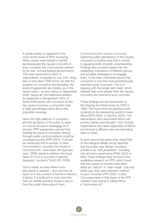A similar pattern is apparent in the most recent wave of DFID surveying. When people were asked to identify spontaneously the causes of poverty in poor countries, the most popular answer by far was 'corrupt leaders/governments'. This was mentioned by 56% of respondents, compared to only 23% citing lack of education (TNS 2010). As with the question on corruption and donating, the levels of agreement are notably up in the recent wave – up four points on September 2009. Above all, the traditional variation by segments is still apparent: 64% of Active Enthusiasts cite corruption as the top cause of poverty, a proportion that is eight percentage points above the population average.

Given the high salience of corruption, and the tendency of the public to seize on it as an excuse to disengage from poverty, PPP researchers warned that tackling the issue of corruption directly through public communications could be counterproductive (PPP 2007). It should be mentioned that a number of other commentators, including the House of Commons IDC, have taken the opposite view: *"DFID needs to address this issue head on if it is to succeed in allaying taxpayers' concerns"* (HoC IDC 2009).

This is clearly an area where more discussion is needed – and one that we return to in the context of frames in Section 4 below. It is sufficient to note here that how we handle sensitive issues is key to how the public thinks about them.

Considering the causes of poverty Exploring public perceptions of the causes of poverty is another area that is central to gauging levels of public understanding. Findings also provide insights into the underlying motivations of different groups, and possible strategies to re-engage them. It has been mentioned above that corruption is now the most spontaneously reported cause of poverty. This is in keeping with the longer-term data, which indicate that most people think the causes of poverty are internal to poor countries.

These findings can be traced back to the *Viewing the World* study for DFID in 1999. This found that the general public understood the developing world to mean Africa (DFID 2000, in Darnton 2007). The respondents then associated Africa with poverty, famine and drought. Only 'activist' respondents who were supporters of NGOs put forward a different view (incorporating debt or trade).

In work around the same time, Greg Philo of the Glasgow Media Group reported that the public saw African countries' problems as *"self-generated",* including war and poor governance (Philo 2002, in ibid). These findings were echoed in the qualitative research on PPP, which found that the causes of poverty were seen either as *"natural"* or *"man-made",* but that either way, they were deemed *"internal"* to poor countries (PPP 2005, in ibid). One respondent in that wave of the PPP research was typical in calling Africa a *"bottomless pit".*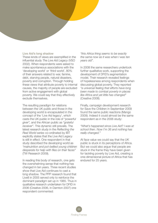#### Live Aid's long shadow

These kinds of views are exemplified in the influential study *The Live Aid Legacy* (VSO 2002). When respondents were asked to make spontaneous associations with the 'developing world' or 'third world', 80% of their answers related to war, famine, debt, starving people, natural disasters, poverty and corruption. Through holding these views that attribute poverty to internal causes, the majority of people are excluded from active engagement with global poverty. We could say that they effectively exclude themselves.

The resulting paradigm for relations between the UK public and those in the developing world is encapsulated in the concept of the 'Live Aid legacy', which casts the UK public in the role of *"powerful giver",* and the African public as *"grateful receiver".* This dynamic still prevails. The latest research study in the *Reflecting the Real World series* co-ordinated by IBT explicitly states that the Live Aid Legacy is still in effect. One respondent in that study described the developing world as *"malnutrition and pot-bellied young children desperate for help with flies on their faces"* (TW Research 2009).

In reading this body of research, one gets the overwhelming sense that nothing has changed in ten years. Three recent studies show that Live Aid continues to cast a long shadow. The PPP research found that Live8 in 2005 served only to reinforce the dominant paradigm set up in 1985. Thus in qualitative research undertaken for DFID in 2006 (Creative 2006, in Darnton 2007) one respondent commented:

*"this Africa thing seems to be exactly the same now as it was when I was ten years old".*

In 2008 the same researchers undertook further qualitative work, supporting the development of DFID's segmentation model. Their research revealed feelings of hopelessness among respondents when discussing global poverty. They reported *"a universal feeling that efforts have long been made to combat poverty in places like Africa and yet little has changed"* (Creative 2008).

Finally, campaign development research for Save the Children in September 2009 found the same public reactions (Mango 2009). Indeed it could almost be the same respondent as in the 2006 study:

*"What's happened since Live Aid? I was at school then. Now I'm 36 and nothing has really changed."*

At face value we could say that the UK public is stuck in its perceptions of Africa. But we could also argue that people are stuck in the frame they have been given for tackling poverty by Live Aid, creating a one-dimensional picture of Africa that has endured for 25 years.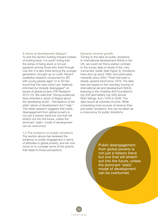A future of development fatigue? To end this section looking forward instead of looking back, it is worth noting that the sense of being stuck is not just apparent among those who lived through Live Aid. It is also there among the younger generation, brought up on Live8. Recent qualitative research conducted for IBT with young people aged 14 to 20 has found that this new cohort are *"relatively informed but broadly disengaged"* on issues of global poverty (TW Research 2010:10). We read that *"Young audiences have inherited a sense of fatigue about the developing world... Perceptions of the static nature of development don't help."* This latest research suggests that public disengagement from global poverty is not just a historic trend but one that will stretch out into the future, unless the dominant 'static' model of development can be overturned.

1.2 The evidence on public donations The section above has reviewed the evidence on public engagement in terms of attitudes to global poverty, and we now move on to consider some of the actions that relate to those perceptions.

#### Dynamic income growth

Turning to the data on public donations to international development NGOs in the UK, we could not find a starker contrast to the survey data on levels of the 'very concerned' public [see Figure 3]. Donations have shot up since 1995, and particularly markedly since 2003. There has been a steady upward trend since 1979. The data here are based on the voluntary income of international aid and development NGOs featuring in the Charities Aid Foundation's top 200 (and latterly top 500) annual NGO listings, from 1979 to 2006. The data record all voluntary income. While comprising more sources of revenue than just public donations, this can be taken as a close proxy for public donations.

> Public disengagement from global poverty is not just a historic trend but one that will stretch out into the future, unless the dominant 'static' model of development can be overturned.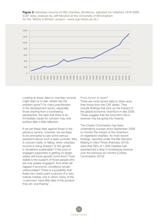Figure 3: Voluntary income of IAD charities, (£millions, adjusted for inflation) 1979-2006 (CAF data, analysis by Jeff Mouhot at the University of Birmingham for the 'NGOs in Britain' project - www.ngo.bham.ac.uk )



Looking at these data on voluntary income might lead us to ask: where has the problem gone? For many practitioners in the development sector, especially those starting from a fundraising perspective, the idea that there is an immediate cause for concern may only surface after a little reflection.

If we set these data against those in the previous section, however, we are likely to be prompted to ask some serious questions about such a stark contrast. Why is concern static or falling, when voluntary income is rising sharply? Is this growth in donations sustainable? If the pool of engaged supporters is getting no larger, where will future growth come from? How stable is the support of those people who are only weakly engaged? And what will happen if economic conditions remain unfavourable? There is a possibility that these two charts paint a picture of a very mature market, one in which many of the 'customers' have little idea of the product they are 'purchasing'.

#### From boom to bust?

There are more recent data to draw upon than those from the CAF series. They include findings that pick up the impact of the global economic downturn in late 2008. These suggest that the long-term rise in revenue may be going into reverse.

The Charity Commission has been undertaking surveys since September 2008 to monitor the impact of the downturn on registered charities. Its most recent findings, reported under the title *Decision Making in Hard Times* (February 2010), were that 29% of 1,008 charities had experienced a drop in fundraising revenue over the previous six months (Charity Commission 2010).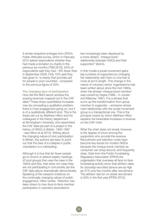A similar snapshot emerges from DFID's Public Attitudes survey, which in February 2010 asked respondents whether they had made a donation to charity in the previous six months (TNS 2010). 64% of respondents said they had – 8% fewer than in September 2009. Only 15% said they had given to 'a charity that provides aid for people in poor countries', compared to the previous figure of 20%.

The changing face of participation How did the NGO sector achieve the soaring revenues mapped out in the CAF data? These sharp quantitative increases may be concealing a qualitative problem: there is more engagement going on, but it is of a qualitatively different kind. This is the thesis set out by Matthew Hilton and his colleagues in the history department at Birmingham University, who assembled the CAF data (as part of a project in the history of *NGOs in Britain,* 1945-1997 - see Hilton et al 2010). Writing about the changing nature of civic participation in Britain, the authors are keen to point out that the idea of a collapse in public voluntarism is a misreading.

Although it is true that far fewer people go to church or attend weekly meetings of local groups than was the case in the 1950s and 60s, that does not mean they are not participating in civil society (as the CAF data above dramatically demonstrate). Speaking of the research evidence on the continually changing nature of public engagement, Hilton writes: *"Attention has been drawn to how face-to-face member participation in voluntary associations* 

*has increasingly been displaced by a more distant, 'cheque-book' relationship between NGOs and their supporters"* (ibid:4).

In this model a social movement gains big numbers of supporters by changing the relationship with them to one that is more at arm's length. This change in the nature of voluntary sector organisations has been written about since the mid-1980s, when the phrase 'cheque-book member' was coined by Hayes (1986 – in Jordan and Maloney 1997). It is a phrase that sums up the transformation from group member to supporter – someone whose main relationship with the social movement group is a transactional one. This is the principal means by which Matthew Hilton explains the inexorable increases in revenue on the CAF chart.

What the chart does not reveal, however, is the degree of churn among the supporters who provide the revenue. Recruitment and retention costs have become key issues for modern NGOs because the cheque-book member as consumer can shop around, and frequently does. Data from the Public Fundraising Regulatory Association (PRFA) the organisation that oversees all face-to-face fundraising activity show that attrition rates for doorstep-recruited donors are as high as 31% only five months after recruitment. The attrition rate for on-street recruitment is 53% in the first year (PFRA 2010).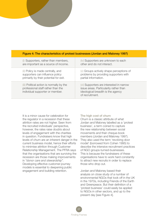| Figure 4: The characteristics of protest businesses (Jordan and Maloney 1997) |                                                                                                                    |                                                                                                                                            |
|-------------------------------------------------------------------------------|--------------------------------------------------------------------------------------------------------------------|--------------------------------------------------------------------------------------------------------------------------------------------|
|                                                                               | (i) Supporters, rather than members,<br>are important as a source of income.                                       | (iv) Supporters are unknown to each<br>other and do not interact.                                                                          |
|                                                                               | (ii) Policy is made centrally, and<br>supporters can influence policy<br>primarily by their potential for exit.    | (v) Groups actively shape perceptions of<br>problems by providing supporters with<br>partial information.                                  |
|                                                                               | (iii) Political action is normally by the<br>professional staff rather than the<br>individual supporter or member. | (vi) Supporters are interested in narrow<br>issue areas. Particularity rather than<br>ideological breadth is the agency<br>of recruitment. |

It is a minor cause for celebration for the regulator in a recession that these attrition rates are not higher. Seen from the recruited individuals' perspective, however, the rates raise doubts about levels of engagement with the charities in question. Fundraisers know that high levels of churn are an inherent danger in the current business model, hence their efforts to minimise attrition through Customer Relationship Management. The PFRA says that the organisations that are surviving the recession are those making improvements in *"donor care and stewardship".* Developing effective customer-journey models is essential to deepening public engagement and building retention.

The high cost of churn

Churn is a classic attribute of what Jordan and Maloney labelled as a 'protest business', a term coined to capture the new relationship between social movements and their cheque-book members (Jordan and Maloney 1997). They also used the term 'revolving door model' (borrowed from Cohen 1995) to describe the intensive recruitment practices of NGO groups-turned-businesses. This is because the fundraisers of these organisations have to work hard constantly to attract new recruits in order to replace those who drop out.

Jordan and Maloney based their analysis on close study of a number of environmental NGOs that took off in the UK in the 1970s, including Friends of the Earth and Greenpeace. But their definition of a 'protest business' could easily be applied to NGOs in other sectors, and up to the present day [see Figure 4].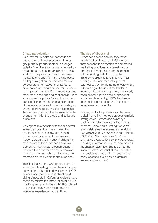#### Cheap participation

As summed up in the six-part definition above, the relationship between interest group and supporter (notably no longer called a 'member') is one characterised by the authors as 'cheap participation'. This kind of participation is 'cheap' because the barriers to entry (ie initial joining costs) are kept low, yet supporters can make a political statement about their personal preferences by being a supporter – without having to commit significant money or time resources to the ongoing relationship. From an economist's point of view, this is cheap participation in that the transaction costs of the relationship are low; unfortunately so are the barriers to leaving the relationship (hence the churn), and in the meantime the engagement with the group and its issues is shallow.

Making the relationship with the supporter as easy as possible is key to keeping the transaction costs low, and hence to the overall success of the business model. Jordan and Maloney highlight the mechanism of the direct debit as a key element of making participation cheap: it removes the need for an annual decision to continue membership and renders the membership less visible to the supporter.

Thinking back to the CAF revenue chart, it would be interesting to plot the relationship between the take-off in development NGO revenue and the take-up in direct debit giving. Anecdotally, Oxfam fundraisers have commented that the introduction of a '£2 a month' giving plan in the mid-1990s played a significant role in driving the revenue increases experienced at that time.

#### The rise of direct mail

Direct debit is one contributory factor mentioned by Jordan and Maloney as they describe the adoption of commercial marketing practices by interest groups. Another is direct mail methods, credited with facilitating a shift in focus that transforms organisations first into 'mail order groups' and then into 'protest businesses'. While the authors were writing 13 years ago, the use of mail order to recruit and relate to supporters has clearly been pivotal in putting the supporter at arm's length, enabling NGOs to change their business model to one focused on recruitment and retention.

Coming up to the present day, the use of digital marketing methods arouses similarly strong views. Jordan and Maloney's book is blissfully unaware of the coming internet; Pippa Norris, writing five years later, celebrates the internet as heralding *"the reinvention of political activism"* (Norris 2002:222). Norris identifies *"multiple alternative avenues for political expression",* including information, communication and mobilisation activities. She is alert to the transformative potential of the internet for civil society groups and their supporters, partly because it is a non-hierarchical 'network of networks'.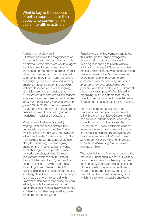What is key to the success of online approaches is their capacity to convert online users into offline activists.

#### Activism or clicktivism?

Ultimately, however, the magnificence of this technology comes down to how it is employed. Some observers would suggest that it is currently being used to extend and speed up the protest business model rather than overturn it. The use of email as a tool for recruitment, fundraising and campaigning has been criticised in many quarters. A recent blog on the *Guardian* website described online campaigning as 'clicktivism' and suggested that *"…clicktivism is to activism as McDonalds is to a slow-cooked meal. It may look like food, but the life-giving nutrients are long gone."* (White 2010). The consumerist metaphor is well chosen for today's protest businesses, with their cheap (and unnourishing) model of participation.

Most recently Malcolm Gladwell (of *Tipping Point* fame) has entered this debate with a piece in the *New Yorker*  entitled 'Small change: why the revolution will not be tweeted' (Gladwell 2010). His main point is about the appropriate use of digital technology in campaigning, based on the kinds of social networks the technology best supports. Online networks are characterised by weak ties (remote relationships, but lots of them). 'High-risk activism', on the other hand – the kind of activism that drove the civil rights movement in the US – requires relationships based on strong ties (involving close friends, such as the people you grew up or went to school with). Gladwell's inference is that online activism will only enable incremental change: transformational change involves high-risk activism that challenges prevailing power structures in the real world.

Practitioners of online campaigning know this (although the 'online evangelists' Gladwell rebuts don't always say it). In a blog responding to Micah White's 'clicktivist' critique, a US online organiser makes a distinction between good and bad online activism: *"Good online organising offers a powerful and fundamentally democratic tool for achieving that vision [of a more humane, sustainable and peaceful world]"* (Brandzel 2010). Brandzel gives many examples of effective online organising, but it is notable that they all have in common a move from initial online engagement to subsequent offline actions.

The most compelling example that Brandzel cites involves the celebrated US online organiser, MoveOn.org, which has set up hundreds of local leadership councils in communities across the United States. These leadership councils recruit volunteers, draft community plans and organise neighbourhood events. As Brandzel observes: *"Most would never have gotten involved if the first step had been more intimidating than an online signature"* (ibid).

The potential for the internet to capture the previously unengaged is clear, but what is key to the success of online approaches is their capacity to convert online users into offline activists. The very name MoveOn implies a supporter journey, and it can be inferred that bad online organising is that which fails to take the public anywhere.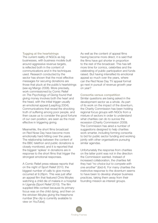Tugging at the heartstrings The current reality of NGOs as big businesses, with business models built around aggressive revenue targets, is reflected both in the content of communications and in the techniques used. Research conducted by the sector has shown that the most effective messages for securing donations are those that pluck at the public's heartstrings (see eg Mango 2008). More precisely, work commissioned by Comic Relief on *The Psychology of Giving* found that giving money involves both the heart and the head, with the initial trigger usually an emotional appeal (Leapfrog 2004). Communications that reveal the shocking truth of suffering among poor people, and then cause us to consider the good fortune of our own position, are seen as the most effective in triggering giving.

Meanwhile, the short films broadcast on Red Nose Day have become more emotionally hard-hitting over the years. The relationship between the content of the BBC telethon and public donations is closely monitored, and it is reported that the biggest 'spikes' in donations are in response to the short films that trigger the strongest emotional responses.

A Comic Relief press release reports that on the night of Sport Relief 2010, the biggest number of calls to give money occurred at 9.26pm. This was just after an appeal film that featured Chris Moyles watching a child die of malaria in a hospital in Uganda (Sport Relief 2010). The film supplied little context because its primary focus was on the child dying, and then on the stricken Moyles giving the freephone number [the clip is currently available to view on YouTube].

As well as the content of appeal films having become more direct, it is said that the films have got shorter in proportion to the rest of the broadcast. This has left more time for comics, celebrities and the celebrating of public participation and funds raised. But having intensified its emotional appeal so much over the years, where can the Red Nose Day TV appeal format go next in pursuit of revenue growth year on year?

#### Consortia versus competition Similar questions are being asked in the development sector as a whole. As part of its work on the impact of the downturn, the Charity Commission has been holding regional focus groups with NGOs from a mixture of sectors in order to understand what charities can do to survive the recession (Charity Commission 2009). The Commission has aired a number of suggestions designed to help charities work smarter, including forming consortia to bid for public sector funding and working jointly with other organisations pursuing similar agendas.

Unfortunately the response from charities on the latter point was not in the direction the Commission wanted. Instead of increased collaboration, the charities felt they had *"no choice but to compete with one another"* (ibid:4). For many charities the instinctive response to the downturn seems to have been to develop sharper business practices, taking them away from their founding mission as interest groups.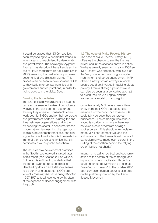It could be argued that NGOs have just been responding to wider market trends in recent years, characterised by deregulation and privatisation. The sociologist Zygmunt Bauman has described these trends as the rise of 'liquid modernity' (in e.g. Baillie Smith 2008), meaning that institutional purposes become fluid and distinctly blurred. This process can be seen in development NGOs as they build stronger partnerships with governments and corporations, in order to tackle poverty in the global South.

#### Blurring the boundaries

The kind of liquidity highlighted by Bauman can also be seen in the rise of consultants working in the development sector and the way they operate. Consultants often work both for NGOs and for their corporate and government partners, blurring the fine lines between organisations and further embedding the sector in consumer-based models. Given far-reaching changes such as this in development practices, one can argue that it is time for NGOs to refresh the frame of themselves as charities that still dominates how the public sees them.

The issue of how development practices in the South have evolved is raised later in this report (see Section 2.4 on values). But here it is sufficient to underline that the trend towards protest businesses identified by Jordan and Maloney seems to be continuing unabated. NGOs are fervently *"chasing the same chequebooks"* (1997:152) to feed revenue growth, often at the expense of deeper engagement with the public.

1.3 The case of Make Poverty History The case of Make Poverty History (MPH) offers us the chance to see the themes introduced in the sections above in action. We have already seen how in early 2005 an 'MPH effect' was apparent, with levels of the 'very concerned' reaching a long-term high. In terms of active engagement, MPH offered a new portfolio of ways in which people could get involved in tackling global poverty. From a strategic perspective, it can also be seen as a concerted attempt to break the Live Aid Legacy and the transactional model of campaigning.

Organisationally MPH was a very different entity from the NGOs that became its members – whether or not those NGOs could fairly be described as 'protest businesses'. The campaign was serious about its coalition structure – there was not even a core directorate or single spokesperson. This structure immediately made MPH non-competitive, and the shift away from the transactional model of campaigning was made even clearer in the uniting of the coalition behind the rallying cry of 'justice not charity'.

In putting its call for political and economic action at the centre of the campaign, and in pursuing mass mobilisation through a coalition structure, MPH can be seen as *"the direct successor"* to the Jubilee 2000 debt campaign (Sireau 2009). It also built on the platform provided by the Trade Justice Movement.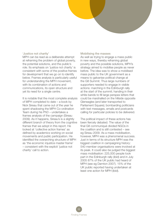#### 'Justice not charity'

MPH can be read as a deliberate attempt at reframing the problem of global poverty, the potential solutions, and the public's role. Its emphasis on 'justice not charity' is consistent with some of the positive frames for development that we go on to identify below. Frames analysis is particularly useful for understanding the MPH movement, with its combination of actions and communications, its open structure and yet its need for a single centre.

It is notable that the most complete analysis of MPH completed to date – a book by Nick Sireau that came out of the year he spent shadowing the MPH Co-ordination Team during his PhD – undertakes a frames analysis of the campaign (Sireau 2009). As it happens, Sireau's is a slightly different branch of theory from the cognitive frames that we adopt in this report. He looked at 'collective action frames' as defined by academics working on social movements and public participation. He identified the overarching structure of MPH as 'the economic injustice master frame' – consistent with the explicit 'justice not charity' call to action.

#### Mobilising the masses

As well as trying to engage a mass public in new ways, thereby reframing global poverty and the possible solutions, MPH's strategy aimed to mobilise people as never before. The idea was to show a mobilised mass public to the UK government as a means to galvanise political change at the G8 Summit. Thus large numbers of supporters needed to engage in visible actions: marching in the Edinburgh rally at the start of the summit; handing in their white bands to fill large perspex letters that could be marshalled on the hillside opposite Gleneagles (and later transported to Parliament Square); bombarding politicians with text messages, emails and postcards calling for particular policies to be delivered.

The political impact of these actions has been fiercely debated. The value of the final G8 communiqué divided NGOs in the coalition and is still contested – see eg Sireau 2009. As a mass mobilisation, however, MPH was a phenomenal success. Just in terms of its structure MPH was the biggest coalition in campaigning history: 540 member organisations were involved at its peak. It could also be judged the biggest mass mobilisation: 225,000 people took part in the Edinburgh rally (ibid) and in July 2005 87% of the UK public had heard of MPH (see eg Darnton 2007). 15% of the UK public reported having undertaken at least one action for MPH (ibid).

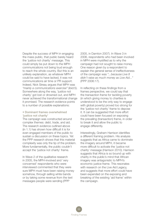Despite the success of MPH in engaging the mass public, that public barely heard the 'justice not charity' message. This could simply be put down to the MPH communications not being loud enough to reach the whole country. But this is an unlikely explanation, as whatever MPH could be said to have lacked, it was not communications air time or PR support. Indeed, Nick Sireau argues that MPH was *"mainly a communications exercise"* (ibid:5). Somewhere along the way, 'justice not charity' got lost or drowned out, and MPH never achieved the transformational change it promised. The research evidence points to a number of possible explanations:

#### • Dominant frames overwhelmed 'iustice not charity'

The campaign was constructed around complex themes: debt, trade, and aid. The research evidence outlined above (in 1.1) has shown how difficult it is for even engaged members of the public to sustain a discussion on these topics. Yet the PPP research shows that this material complexity was only the tip of the problem. More fundamentally, the public couldn't accept the 'justice not charity' frame.

In Wave 2 of the qualitative research in 2005, the MPH-involved and 'very concerned' respondents who were interviewed commented that they were sure MPH must have been raising money somehow, through selling white bands or by taking some revenue from the text messages people were sending (PPP

2005, in Darnton 2007). In Wave 3 in 2006, respondents who had been involved in MPH were mystified as to why the campaign had not sought to raise money. One reason given by a respondent to explain the general sense of ineffectiveness of the campaign was *"...because Live 8 didn't raise as much money as Live Aid..."* (PPP 2006:17).

In reflecting on these findings from a frames perspective, we could say that the transaction frame for tackling poverty (in which giving money to charities is understood to be the only way to engage with global poverty) proved too strong for the 'justice not charity' frame to depose it. It can be suggested that more effort could have been focused on exposing the prevailing (transaction) frame, in order to break it and allow the public to engage differently.

Interestingly, Graham Harrison identifies a different framing problem. His analysis suggests that as Africa came to dominate the imagery around MPH, it became more difficult to activate the 'justice not charity' message (Harrison 2010). Harrison suggests that Africa is so bound up with charity in the public's mind that African imagery was antagonistic to MPH's economic justice frame. This resonates with research on the Live Aid Legacy. and suggests that more effort could have been expended on the exposing and breaking of the existing 'aid frame' within the campaign.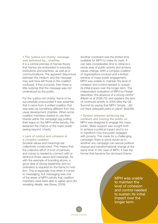• The 'justice not charity' message was delivered by... charities It is a central premise of frames theory that frames are embedded in everyday institutions and practices, as well as in communications. The apparent disjuncture between the medium and the message may well have left those in the coalition confused. If this occurred, then there is little surprise that the message was not understood by the public.

For the 'justice not charity' frame to be successfully propounded it was essential that it came from a unified coalition that was seen as something different from the usual development charities. When some coalition members started to use their brands within the campaign (eg putting their logos on the MPH white bands), this lessened the chance of the mass public seeing beyond 'charity'.

#### • Lack of control and cohesion in a complex coalition

Societal values and meanings are collectively constructed. This means that the collective effort of a lot of partners and voices is needed to connect with or reinforce those values and meanings. As with the example of branding above, a good deal of strong leadership and coordination is required for the frame to hold firm. This is especially true when it comes to messaging, but messaging was one of the areas of MPH activity that coalition members were least able to agree upon (for revealing details, see Sireau 2009).

Another constraint was the limited time available for MPH to make its mark. It can take considerable time to reframe a whole area of public activity and achieve values change. With a complex coalition of organisations involved and a limited window of mass public engagement, MPH was unable to maintain the level of cohesion and control needed to sustain its initial impact over the longer term. The independent evaluation of MPH by Firetail describes *"the absence of a strong centre"* (Martin et al 2006:70), and explains the lack of continued activity in 2005 after the G8 Summit by saying that MPH *"simply…did not have adequate plans in place"* (ibid:69).

• Tension between achieving big numbers and moving the public on MPH was designed to engage the mass public. Mass support was sought both to achieve a political impact and to try to transform how the public engaged with poverty. This made for a challenging campaign: there is some doubt as to whether any campaign can secure political change and transformational change at the same time. In the case of MPH, it was the former that became the dominant theme.

> MPH was unable to maintain the level of cohesion and control needed to sustain its initial impact over the longer term.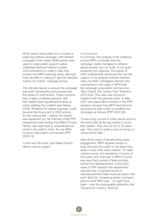All the stops were pulled out to ensure a really big political campaign, with blanket coverage in the media. White bands were used to make public support visible. Celebrities featured heavily in public communications to make it clear that poverty and MPH were big news, although most did little or nothing to get the intended 'justice not charity' message across.

The ultimate device to ensure the campaign was both newsworthy and popular was the series of Live8 events. These concerts had a highly contested genesis, with Bob Geldof (their figurehead) ending up nearly splitting the coalition (see Sireau 2009). Whatever its original purpose, Live8 became the focal point of 2005 activity for the mass public. 'Justice not charity' was squeezed out. By February 2006 PPP researchers were finding that Make Poverty History was itself history, subordinated to Live8 in the public's mind. As one MPHinvolved respondent commented (PPP 2006:12):

*"Live8 was the event, and Make Poverty History was its slogan."*

#### **Conclusions**

In summary, this analysis of the evidence around MPH concludes that the campaign nearly managed to reframe global poverty, but not quite. In not quite achieving this objective, the events of 2005 inadvertently reinforced the Live Aid Legacy. In his analysis Graham Harrison cites one NGO campaigns director who commented in the wake of MPH that the campaign proposition had become *"Buy Charity, Get Justice Free"* (Harrison 2010:405). This view was echoed in research with the general public. In May 2007 one respondent involved in the PPP research showed how MPH had become synonymous with Live8, by recalling the campaign as follows (PPP 2007:26):

*"It was a big concert in a few places around the world with all the big names in music. Bob Geldof. They did one 20 or 25 years ago. They tried to make a load of money to cancel world debt."*

After all the hope of transforming public engagement, MPH appears simply to have returned the public to the place they were in when they were children. To make matters worse, the experience of some of the public who took part in MPH in some way was that a sense of false promise turned into disillusionment. In the 2007 wave of PPP research the researchers reported that *"A general sense of disempowerment feels more pervasive than ever"* (ibid:23). Underlying all the confusion around what MPH was – or might have been – was the inescapable realisation that *"Poverty isn't history"* (ibid:23).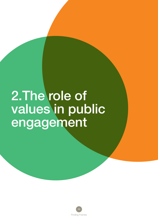# 2.The role of values in public engagement

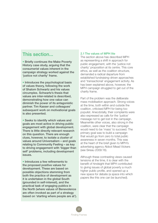# This section...

• Briefly continues the Make Poverty History case study, arguing that the consumerist values inherent in the campaign strategy worked against the 'justice not charity' frame.

• Introduces the psychological basis of values theory, following the work of Shalom Schwartz and his values circumplex. Schwartz's thesis that values are inter-related is described, demonstrating how one value can diminish the power of its antagonistic partner. Tim Kasser and colleagues' subsequent work on motivational goals is also presented.

• Seeks to identify which values and goals are most active in driving public engagement with global development. There is little directly relevant research on this question. There are enough clues, however, to isolate a cluster of values around Universalism – and goals relating to Community Feeling – as key to driving engagement with 'bigger than self' problems, including development issues.

• Introduces a few refinements to the proposed positive values for development. These are based on possible objections stemming from both the practice of development as it is undertaken in the global South (grounded in self-interest), and the practical task of engaging publics in the North (where values of Benevolence are often invoked as part of a strategy based on 'starting where people are at').

#### 2.1 The values of MPH lite

The section above has described MPH as representing a shift in approach for public engagement, with the 'justice not charity' proposition at its centre. This core ethos, as well as the coalition structure, demanded a radical departure from established fundraising-driven approaches and 'transactional' engagement activity. As has been explained above, however, the MPH campaign struggled to get out of the charity frame.

Part of the problem was the deliberate mass mobilisation approach. Strong voices at the time, both within and outside the coalition, criticised MPH for being too populist. Anecdotally, their complaints were also expressed as calls for the 'justice' message not to get lost in the campaign. Meanwhile other voices, also strong in the coalition, were clear that the campaign would need to be 'mass' to succeed. The primary goal was to build a campaign that would go from zero to total public awareness in seven months. This was at the heart of the brief given to MPH's advertising agency Abbot Mead Vickers (see Sireau 2009:16).

Although these contrasting views caused tensions at the time, it is clear with the benefit of hindsight that MPH contributed to giving issues of global poverty a much higher public profile, and opened up a new space for debate (a space into which papers like this one can be launched).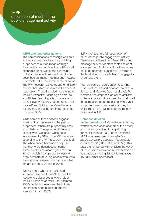'MPH lite' seems a fair description of much of the public engagement activity.

#### 'MPH Lite' and other actions

The communications campaign was built around various calls to action, pointing supporters to a wide range of things they could do to achieve the political and economic objectives of the campaign. Not all of these actions would rightly be described as 'mass mobilisations' however – certainly not in the sense of direct action. The PPP research asked about ten different actions that people involved in MPH could have taken. These included 'registering on the MPH website', 'sending an email to a politician', 'sending a text message to Make Poverty History', 'attending a Live8 concert' and 'joining the Make Poverty History rally in Edinburgh' (reported in eg Darnton 2007).

While some of these actions suggest significant commitment on the part of supporters, others are purposefully easy to undertake. The epitome of the easy actions was 'wearing a white band' (undertaken by 61% of the MPH involved, according to the PPP research – see ibid). The white bands became so popular that they were described by some commentators as meaningless fashion items – which they apparently were for large numbers of young people who wore them as one of many wristbands up their forearms in the summer of 2005.

Writing about what the public had (or hadn't) learned from MPH, the PPP researchers described a whole raft of the MPH actions as 'MPH lite' (Darnton 2006). Notably these were the actions undertaken in the biggest numbers (see eg Darnton 2007).

'MPH lite' seems a fair description of much of the public engagement activity. There were actions that offered little or no message or other content related to debt, trade and aid. And the actions themselves could be deemed 'superficial', in terms of the level at which people had to engage to undertake them.

The low costs of participation recall the critique of 'cheap participation' levelled by Jordan and Maloney (see 1.2 above). For instance, the emphasis on online activism, while innovative to the extent that it allowed the campaign to communicate with a vast supporter base, could easily fall prey to criticisms of 'clicktivism' (a phenomenon described in 1.2).

#### Database deletion

In one case study of Make Poverty History, written as part of an analysis of the history and current practice of campaigning for social change, Paul Hilder describes MPH as an example of *"an effective media campaign, coupled with celebrity endorsement"* (Hilder et al 2007:50). This praise is tempered with criticism, however, of the deliberate deletion by the coalition of its supporter mailing list (containing roughly 450,000 email addresses).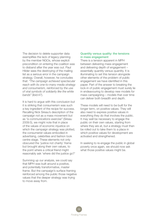The decision to delete supporter data exemplifies the lack of legacy planning by the member NGOs, whose explicit precondition on entering the coalition was to disband after the year was out. Paul Hilder sees the destroying of the mailing list as a serious error in the campaign strategy. Overall, however, he concludes that: *"The campaign achieved spectacular reach with its one-to-many media strategy and consumerism, reinforced by the use of viral symbols of solidarity like the white bands"* (ibid:47).

It is hard to argue with this conclusion but it is striking that consumerism was such a key ingredient of the recipe for success. Recalling Nick Sireau's description of the campaign not as a mass movement but as *"a communications exercise"* (Sireau 2009:5), we might note that in place of the values of economic injustice on which the campaign strategy was plotted, the consumerist values embodied in advertising, celebrities and fashion took centre stage. These elements not only obscured the 'justice not charity' frame but brought along their own values, to the point where a critical friend might reasonably ask 'where did the justice go?'

Summing up our analysis, we could say that MPH was built around a positive, and potentially transformative, master frame. But the campaign's surface framing reinforced among the public those negative values that the deeper strategy was trying to move away from.

# Quantity versus quality: the tensions in mass engagement

There is a tension apparent in MPH between delivering mass engagement and delivering depth of engagement – essentially quantity versus quantity. It is illuminating to set this tension alongside other elements of the problem of public engagement we have identified in this paper. Part of the answer to breaking the lock-in of public engagement must surely lie in endeavouring to develop new models for mass campaigning – models that over time can deliver both breadth and depth.

These models will need to be built for the longer term, on positive values. They will also need to express positive values in everything they do that involves the public. It may well be necessary to engage the public on their own values, starting from where they are at, but a strategy must then be rolled out to take them to a place in which positive values for development are activated and strengthened.

In seeking to re-engage the public in global poverty once again, we should now ask what those positive values might be.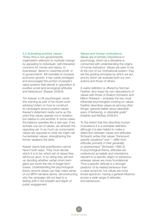#### 2.2 Activating positive values

*"Every time a non-governmental organisation attempts to motivate change by appealing to individuals' self-interested concerns for money and status, to businesses' desire to maximise profit, or to governments' felt mandate to increase economic growth, it has subtly privileged and encouraged the portion of people's value systems that stands in opposition to positive social (and ecological) attitudes and behaviours"* (Kasser 2009:8)

Tim Kasser, a US psychologist, wrote this warning as part of his recent work advising Oxfam on how to construct its campaigns around positive values. Kasser's statement neatly sums up the point that values operate not in isolation but relative to one another. In some cases the balance operates like a see-saw: if we activate one set of values, we diminish the opposing set. In as much as consumerist values are opposed to what we might call humanitarian values, strengthening the former weakens the latter.

Kasser warns that practitioners cannot have it both ways. They must decide which it is to be: which set of values they will focus upon. In so doing they will end up deciding whether certain short-term gains are worth the risk of longer-term losses. Understanding the psychological theory around values can help make sense of our MPH narrative above, deconstructing why the campaign did not lead to a lasting shift in the breadth and depth of public engagement.

#### Values and human motivations

Values are of primary importance in psychology, which as a discipline is concerned with understanding the origins of human behaviour. Values are seen to be at the root of our motivational system: they are the guiding principles by which we act, and by which we evaluate both our own actions and those of others.

A useful definition is offered by Norman Feather, who fuses his own descriptions of values with those of Shalom Schwartz and Milton Rokeach – probably the two most influential psychologists working on values. Feather describes values as (among other things) *"general beliefs about desirable ways of behaving, or desirable goals"* (Feather and McKee 2008:81).

To the extent that this describes human motivations it is a workable definition, although it is also helpful to make a distinction between values and attitudes. Schwartz writes that values *"transcend specific situations"* and *"...differ from attitudes primarily in their generality or abstractness"* (Schwartz 1992:3). In psychological theory, attitudes are understood as beliefs and orientations relevant to a specific object or behaviour, whereas values are more foundational. Thus a specific attitude is a stronger predictor of its related behaviour than a value would be, but values are more broad-spectrum, having a general influence across a wide range of attitudes and behaviours.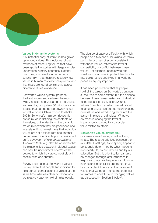#### Values in dynamic systems

A substantial body of literature has grown up around values. This includes robust methods of measuring values that have been applied in studies with large samples, undertaken in many countries. Notably psychologists have found – perhaps surprisingly – that there are relatively few values in human motivational systems, and that these are found consistently across different cultures worldwide.

Schwartz's values system, perhaps the best known and certainly the most widely applied and validated of the values frameworks, comprises 56 principal value 'labels' that can be boiled down into just ten value types (Schwartz and Boehnke 2004). Schwartz's main contribution is not so much in defining the contents of the values, but in identifying the dynamic structure in which they are positioned and interrelate. First he maintains that individual values are not distinct from one another but represent identifiable points positioned on *"a continuum of related motivations"* (Schwartz 1992:45). Next he observes that the relationships between individual values can best be understood in terms of the degree to which they are compatible or in conflict with one another.

Survey tools such as Schwartz's Values Survey reveal that people find it difficult to hold certain combinations of values at the same time, whereas other combinations are relatively easy to hold simultaneously.

The degree of ease or difficulty with which people hold two particular values, or follow particular courses of action consistent with those values, reflects the level of compatibility or conflict between those values. For example, people who rate wealth and status as important tend not to rate social justice and living in a world at peace as equally important.

It has been pointed out that all people hold all the values on Schwartz's continuum all the time to some extent, but the balance between these values varies from individual to individual (see eg Kasser 2009). It follows from this that when we talk about 'changing values' we do not mean creating new values and introducing them into the system in place of old values. What we do mean is changing the level of importance accorded to a particular value relative to others.

#### Schwartz's values circumplex

Our values are often regarded as being innate. The relative priorities between them (our default settings, so to speak) appear to be strongly determined by what happens in our early life, by our families and by our education. But this prioritisation can also be changed through later influences in response to our lived experience. How our interactions in social life are framed thus has particular influence on the balance of values that we hold – hence the potential for frames to contribute to changing values (as discussed in Section 3 below).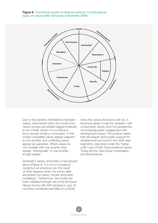Figure 5: Theoretical model of relations among 10 motivational types of values (after Schwartz & Boehnke 2004)



Due to the dynamic interrelations between values, what results when the scores from values surveys are plotted diagrammatically is not a linear version of a continuum, but a circular model or circumplex. In this model compatible values appear adjacent to one another, and conflicting values appear as opposites. Where values do not correlate with one another, they appear 'orthogonally' to one another – at right angles.

Schwartz's values circumplex is reproduced above (Figure 5). It is not a conceptual model but an empirical one: the result of what happens when the survey data are plotted out (using 'circular stochastic modelling'). Furthermore, the model has been validated through use of the Schwartz Values Survey with 200 samples in over 70 countries worldwide (see Maio et al 2009).

Once this values structure is set out, it becomes easier to see the 'problem' with consumerist values, from the perspective of increasing public engagement with development issues. The positive values that will deepen and sustain support for development are found in the north-east segments, described under the 'higher order' type of Self-Transcendence values. These are the value types Universalism and Benevolence.

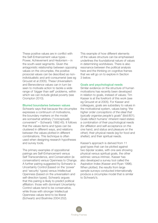These positive values are in conflict with the Self-Enhancement value types - Power, Achievement and Hedonism – in the south-west segments. Given the antagonistic relationship between opposing values on the circumplex, the positive prosocial values can be described as nonindividualistic and anti-consumerist (see eg Grouzet et al 2005). These Universalism and Benevolence values can in turn be seen to motivate action to tackle a wide range of 'bigger than self' problems, within which we can include global poverty (see Crompton 2010).

#### Blurred boundaries between values

Schwartz says that because the circumplex expresses a continuum of motivations, the boundary markers on the model are somewhat arbitrary (*"conceptually convenient"* – Schwartz 1992:45). It follows that the values items and types can be clustered in different ways, and relations between the values plotted in different combinations. This technique is often used when designing research hypotheses and survey tools.

The primary examples of oppositional pairings are Self-Enhancement versus Self Transcendence, and Conservation (ie conservatism) versus Openness to Change. A further pairing suggested by Schwartz is Uncertainty Control (based on the 'power' and 'security' types) versus Intellectual Openness (based on the universalism and self-direction types). Schwartz argues that this pairing is likely to predict political affiliation: those with dominant Uncertainty Control values tend to be conservative, while those with stronger Intellectual Openness values tend to be liberal (Schwartz and Boehnke 2004:252).

This example of how different elements of the values structure can be emphasised underlines the foundational nature of values in determining worldviews. There is also resonance between the political analysis here and the thinking on cognitive frames that we will go on to explore in Section 3 below.

#### Goals and psychological needs

Similar evidence on the structure of human motivations has recently been developed in relation to goals, instead of values; Tim Kasser is at the forefront of this work (see eg Grouzet et al 2005). For Kasser and colleagues, goals are subsidiary to values in the motivational system, values being *"the higher order conceptions of the ideal that typically organise people's goals"* (ibid:801). Goals reflect humans' inherent need states: a combination of their psychological needs (for affiliation and self-acceptance on the one hand, and status and pleasure on the other); their physical needs (eg for food and shelter); and their spiritual needs.

Kasser's approach is derived from 11 goal types that can be plotted against two bipolar scales, with one axis showing physical versus spiritual goals, the other extrinsic versus intrinsic. Kasser has also developed a survey tool called the Aspiration Index (Kasser and Ryan 1996). When plotted, the results from large sample surveys conducted internationally produce a circumplex model that is similar to Schwartz's.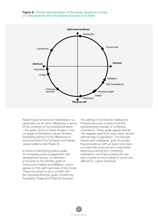### Figure 6: Circular representation of the goals, based on a study of 1,800 students from 15 nations (Grouzet et al 2005)



Kasser's goal structure is interesting to us particularly for its minor differences in terms of the contents of the motivational items – the goals. Some of these fill gaps in the coverage of Schwartz's values. Another interesting element is the differences in structure behind the Schwartz and Kasser values systems (see Figure 6).

In terms of identifying positive goals for increasing public engagement with development issues, our attention is focused on the Intrinsic goals of Community Feeling and Affiliation, which appear on the right hand side of the model. These are shown to be in conflict with the opposing Extrinsic goals: Conformity, Popularity, Image and Financial Success.

The pairing of Community Feeling and Financial Success is taken to be the quintessential example of conflicting motivations. These goals appear exactly 192 degrees apart from each other, almost diametrically in opposition. The Grouzet, Kasser and colleagues' goal circumplex thus provides us with an even more clearcut case that prosocial and consumerist behaviours spring from conflicting motivations, and that pursuing the two sets of goals at once is likely to prove very difficult for a given individual.

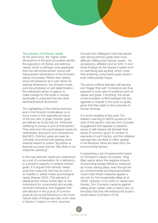#### The primacy of intrinsic needs

At the same time, the 'higher order' dimensions of the goal circumplex identify the opposition of intrinsic and extrinsic needs, which is perhaps more applicable than the self-enhancement versus selftranscendent dimensions of the Schwartz values circumplex. Rather than seeing prosocial behaviour as in part driven by spiritual dimensions, the Grouzet model puts the emphasis on self-determination: the individual's sense of agency to make change for the better in society (spirituality is unpacked into the other spiritual/physical dimension).

The highlighting of the intrinsic/extrinsic axis in the Grouzet model allows us to focus more on the oppositional nature of the two sets of goals. Intrinsic goals are defined as those that are *"inherently satisfying to pursue in and of themselves".* They arise from the psychological needs for relatedness, autonomy and competence (ibid:801). Extrinsic goals are seen as *"primarily concerned with gaining some external reward or praise"* (eg status or financial success) and are *"less likely to be inherently satisfying".*

In this way extrinsic needs are understood as a sort of compensation for a deficiency in a person's capacity to achieve intrinsic goals. It is argued that extrinsic needs arise from insecurity that has its roots in an inability to satisfy innate psychological needs (Kasser 2004). This element of displacement shines further light on the motivations for consumerist and socially dominant behaviour, and suggests that self-direction in the pursuit of common goals (ie pro-social behaviour) is the more natural state of things (see also work cited in Section 3 below on mirror neurons).

Grouzet and colleagues note that people with strong extrinsic goals have more difficulty fulfilling their intrinsic needs – for acceptance, affiliation and so forth. In turn these findings tie into Kasser's earlier work on well-being (see eg ibid), which notes that achieving consumerist goals doesn't even make people happy.

The same conflicts between self-serving and 'bigger than self' motivations are thus apparent in both sets of empirical work on values and goals. If anything, the sense of irreconcilable conflict between the two agendas is sharper in the work on goals, given that they relate to the purposes of human strivings.

It is worth recalling at this point Tim Kasser's warning to NGOs quoted at the start of this section: that any form of public engagement that appeals to people's sense of self-interest will diminish their sense of common good. A number of examples of such tactics, and the collateral damage they are likely to inflict, appear in the literature. Most are taken from the environmental sphere.

In presenting a set of experiments based on Schwartz's values circumplex, Greg Maio warns about the negative impacts of promoting energy efficiency measures as money-saving steps, even though the pro-environmental and financial benefits could make those measures appear a win-win for the householder (Maio et al 2009). Likewise, in his work on values and frames, Tom Crompton cautions against selling photo-voltaic cells or hybrid cars on the basis that they will enhance the buyer's social status (Crompton 2010).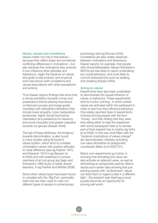#### Values, causes and correlations

Values matter not only in themselves – because they reflect sharp and sometimes conflicting differences in motivations – but also because the motivations they embody in turn influence other attitudes and behaviours. Again the literature on values and goals is well evolved, and empirical work has shown both correlations and causal associations with other perceptions and actions.

Thus Kasser reports findings that show that a strong orientation towards money and possessions (hence placing importance on financial success and image goals) correlates with attitudinal orientations that include lower empathy, more manipulative tendencies, higher Social Dominance Orientiation (ie a preference for hierarchy and social inequality) and greater prejudice towards out-groups (Kasser 2009).

The last of these attributes, the tendency towards discrimination, is also found in many studies using Schwartz's values system, which tend to correlate universalism values with positive attitudes to racial difference (see eg Feather 1970, and Rokeach 1973 in eg Sawyerr et al 2005) and with readiness to contact members of an out-group (eg Sagiv and Schwartz's 1995 study of Israeli Jewish teachers, in eg Feather and McKee 2008).

Some other values types have been found to correlate with the 'Big Five' personality traits that are often used to mark out different types of people in contemporary

psychology (see eg Roccas 2002). Correlations are also widely observed between motivations and behaviours. Kasser reports, for example, that people with strong Materialistic Values Orientations (MVOs) are less likely to report undertaking pro-social behaviour, and more likely to commit antisocial acts such as stealing and cheating (Kasser 2004).

#### Acting on values

Experiments have also been undertaken to demonstrate the causal influence of values on behaviour. These experiments tend to involve 'priming', in which certain values are activated within the participant in order to test how they influence behaviour. One widely reported class of experiments involved priming people with the term 'money', and then finding that they were less willing either to help the researcher with some subsequent task or to donate part of their research fee to charity (eg Vohs et al 2006). In this way what Maio calls the *"systemic implications of values change"* are demonstrated, whereby activating one value diminishes its antagonistic counterpart (Maio et al 2009:701).

Maio's own experiments go further, in showing that activating one value can also activate an adjacent value, as well as diminishing an antagonistic partner. Maio's results echo earlier data showing that just priming people with 'achievement' values can lead them to regard a task in a different light – the research task itself (eg a word puzzle) becomes an opportunity for proving self-worth.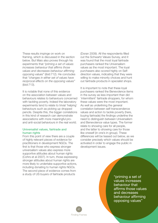These results impinge on work on framing, which is discussed in the section below. But Maio also proves through his experiments that *"priming a set of values increases behaviour that affirms those values and decreases behaviour affirming opposing values"* (ibid:712). He concludes that *"changes in either set of values have reciprocal effects on the opposing values"* (ibid:713).

It is notable that none of this evidence on the association between values and behaviours relates to behaviours concerned with tackling poverty. Indeed the laboratory experiments tend to relate to trivial 'helping' behaviours such as picking up dropped pencils. Despite this, the bigger correlations in this kind of research can demonstrate associations with more meaningful proand anti-social behaviours in the real world.

# Universalist values, fairtrade and human rights

From this point of view there are a couple of highly relevant pieces of evidence for practitioners in development NGOs. The first is that those who express stronger universalism values also express more supportive attitudes about human rights (Cohrs et al 2007). In turn, those expressing stronger attitudes about human rights are more likely to undertake supportive actions, including donating to human rights NGOs. The second piece of evidence comes from a study of US buyers of fairtrade products

(Doran 2009). All the respondents filled out the Schwartz Values Survey, and it was found that the most loyal fairtrade purchasers ranked the Universalism values as the most important. The loyal purchasers also scored highly on Selfdirection values, indicating that they were willing to make minority choices and hunt out fairtrade products in specialist shops.

It is important to note that these loyal purchasers ranked the Benevolence items in the survey as less important than did 'intermittent' fairtrade shoppers, for whom these values were the most important. As well as underlining the general correlation between self-transcendence values and action to tackle poverty (here, buying fairtrade) the findings underline the need to distinguish between Universalism and Benevolence value types. The former relate to showing care for all people, and the latter to showing care for those like oneself (in one's in-group). These differences will be teased out below, as we consider precisely which values should be activated in order to engage the public in development issues.

> "priming a set of values increases behaviour that affirms those values and decreases behaviour affirming opposing values"

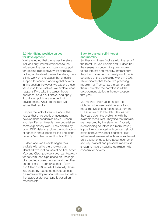### 2.3 Identifying positive values for development

We have noted that the values literature includes only limited references to the influence of values and goals on support for tackling global poverty. Reciprocally, looking at the development literature, there is little work on the values that underlie support for concern about global poverty. In this section, however, we explore these value links for ourselves. We explore what happens if we take the values theory approach, as laid out above, and apply it to driving public engagement with development. What are the positive values that result?

Despite the lack of literature about the values that drive public engagement, development academics David Hudson and Jennifer van Heerde have undertaken some exploratory work. They did this by using DFID data to explore the motivations of concern and support for tackling global poverty (Van Heerde and Hudson 2010).

Hudson and van Heerde began their analysis with a literature review that identified two root causes of political action. May and Olson provide a two-part typology for activism, one type based on 'the logic of expected consequences' and the other on 'the logic of appropriateness' (May and Olson 1996 in ibid). Essentially, those influenced by 'expected consequences' are motivated by rational self-interest, while the 'appropriateness' type is based on moral beliefs.

# Back to basics: self-interest and morality

Synthesising these findings with the rest of the literature, Van Heerde and Hudson boil the causes of concern for poverty down to self-interest and morality. Interestingly, they then move on to an analysis of media coverage of the developing world in 2005. This indicates that these two prevailing models – or 'frames' as the authors call them – dictated the narrative in all the development stories in the newspapers that year.

Van Heerde and Hudson apply the dichotomy between self-interested and moral motivations to recent data from the DFID Survey of Public Attitudes (as best they can, given the problems with the available measures). They find that morality (as measured by the statement 'poverty in developing countries is a moral issue') is positively correlated with concern about levels of poverty in poor countries. But, self-interest (measured with an index based on a basket of questions about economic, security, political and personal impacts) is shown to have a negative correlation with concern for poverty.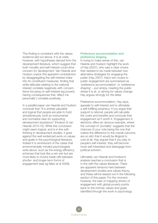This finding is consistent with the values evidence laid out above. It is at odds, however, with hypotheses derived from the development literature, which suggest that both morality and self-interest could drive concern for development. Van Heerde and Hudson unpick this apparent contradiction by disaggregating the self-interest index into its constituent measures, finding that while attitudes relating to the national interest correlate negatively with concern, items focusing on self-interest (eg poverty having consequences that 'affect me personally') correlate positively.

In a parallel paper van Heerde and Hudson conclude that *"It is entirely plausible and logical that people are able to hold, simultaneously, both an instrumental and normative view for supporting development assistance"* (Hudson & van Heerde 2010:15). While this conclusion might seem logical, and is in line with thinking in development studies, it goes against the well evidenced work on values and goals in the psychological literature. Indeed it is reminiscent of the cases that environmentally minded psychologists write about, such as the energy efficiency schemes that look like a win-win but are more likely to involve trade-offs between shorter- and longer-term forms of engagement (see eg Maio et al 2009).

# Preference accommodation and preference shaping

In trying to make sense of this, van Heerde and Hudson highlight the work of Hay (2007), who saw a clear choice that needed to be made between two alternative strategies for engaging the public (Hay 2007). Hay's two routes to public engagement are summarised as 'preference accommodation' or 'preference shaping' – put simply, meeting the public where it is at, or aiming for values change. Hay argues strongly for the latter.

Preference accommodation, Hay says, appeals to self-interest and is ultimately a self-fulfilling prophecy: if you argue that support is rational, people will calculate the costs and benefits and conclude that engagement isn't worth it. Engagement in elections offers an obvious example, where the concept of 'pivotality' suggests that the chances of your vote being the one that makes the difference to the overall outcome are so slim that it would be illogical to vote at all. Hay argues that if you play to people's self-interest, they will become more self-interested and disengage from political activism.

Ultimately van Heerde and Hudson's analysis reaches a conclusion that is in line with the values literature. There are apparent tensions here between development studies and values theory, and these will be teased out in the following section of this paper. For the moment, however, the task of mapping drivers of engagement with global poverty points back to the intrinsic values and goals identified through the work in psychology.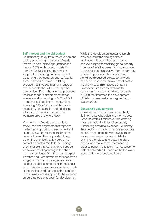#### Self-interest and the aid budget

An interesting study from the development sector, concerning the work of AusAid, throws up parallel findings (Instinct and Reason 2009 – discussed in detail in Darnton 2009). Seeking to increase support for spending on development aid among the Australian public, AusAid commissioned a choice modelling exercise that involved testing a range of scenarios with the public. The optimal solution identified – the one that produced the largest public endorsement for an increase in aid spending to 0.5% of GNI – emphasised self-interest motivations (spending 75% of aid on neighbours in the region, for example, and prioritising education of the kind that reduces women's propensity to breed).

Meanwhile, in AusAid's segmentation model, the two segments that reported the highest support for development aid did not show strong concern for global poverty. Instead they supported foreign aid on the premise that it would bring domestic benefits. While these findings show that self-interest can drive support for development spending in the short term, the evidence from the psychological literature and from development academics suggests that such strategies are likely to decrease public engagement in the longer term. This study provides a classic example of the choices and trade-offs that confront us if a values lens is applied to the evidence on building public support for development.

While this development sector research provides indicative findings about motivations, it doesn't go so far as to analyse support for tackling global poverty in terms of existing values and goals scales. On the basis of this review, there is certainly a need to pursue such an opportunity. As will be discussed below, some work has been done in the development sector around values. This includes Oxfam's examination of core motivations for campaigning and the Mindsets research in 2008 that informed the development of Oxfam's new customer segmentation (Oxfam 2008).

### Schwartz's values types

However, such work does not explicitly tie into the psychological work on values. Because of this it misses out on drawing upon a substantial body of potentially illuminating empirical evidence. To identify the specific motivations that are supportive of public engagement with development issues, we believe it is worthwhile to examine the values and goals literature closely, and make some inferences. In order to perform this task, it is necessary to look at Schwartz's full table of the ten value types and their associated items.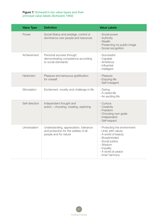# Figure 7: Schwartz's ten value types and their principal value labels (Schwartz 1992)

| <b>Value Type</b> | <b>Definition</b>                                                                                        | <b>Value Labels</b>                                                                                                                                                                |
|-------------------|----------------------------------------------------------------------------------------------------------|------------------------------------------------------------------------------------------------------------------------------------------------------------------------------------|
| Power             | Social Status and prestige, control or<br>dominance over people and resources                            | - Social power<br>- Authority<br>- Wealth<br>- Preserving my public image<br>- Social recognition                                                                                  |
| Achievement       | Personal success through<br>demonstrating competence according<br>to social standards                    | - Successful<br>- Capable<br>- Ambitious<br>- Influential<br>- Intelligent                                                                                                         |
| Hedonism          | Pleasure and sensuous gratification<br>for oneself                                                       | - Pleasure<br>- Enjoying life<br>- Self-indulgent                                                                                                                                  |
| Stimulation       | Excitement, novelty and challenge in life                                                                | - Daring<br>- A varied life<br>- An exciting life                                                                                                                                  |
| Self-direction    | Independent thought and<br>action - choosing, creating, exploring                                        | - Curious<br>- Creativity<br>- Freedom<br>- Choosing own goals<br>- Independent<br>- Self-respect                                                                                  |
| Universalism      | Understanding, appreciation, tolerance<br>and protection for the welfare of all<br>people and for nature | - Protecting the environment<br>- Unity with nature<br>- A world of beauty<br>- Broadminded<br>- Social justice<br>- Wisdom<br>- Equality<br>- A world at peace<br>- Inner harmony |

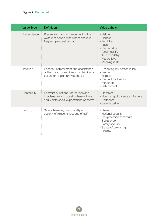| <b>Value Type</b> | <b>Definition</b>                                                                                                             | <b>Value Labels</b>                                                                                                                               |
|-------------------|-------------------------------------------------------------------------------------------------------------------------------|---------------------------------------------------------------------------------------------------------------------------------------------------|
| Benevolence       | Preservation and enhancement of the<br>welfare of people with whom one is in<br>frequent personal contact                     | - Helpful<br>- Honest<br>- Forgiving<br>- Loyal<br>- Responsible<br>- A spiritual life<br>- True friendship<br>- Mature love<br>- Meaning in life |
| Tradition         | Respect, commitment and acceptance<br>of the customs and ideas that traditional<br>culture or religion provide the self       | - Accepting my portion in life<br>- Devout<br>- Humble<br>- Respect for tradition<br>- Moderate<br>- Detachment                                   |
| Conformity        | Restraint of actions, inclinations and<br>impulses likely to upset or harm others<br>and violate social expectations or norms | - Obedient<br>- Honouring of parents and elders<br>- Politeness<br>- Self-discipline                                                              |
| Security          | Safety, harmony, and stability of<br>society, of relationships, and of self                                                   | - Clean<br>- National security<br>- Reciprocation of favours<br>- Social order<br>- Family security<br>- Sense of belonging<br>- Healthy          |

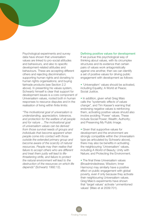Psychological experiments and survey data have shown that universalism values are linked to pro-social attitudes and behaviours, and also to specific development-related attitudes and behaviours. These are accepting different others and rejecting discrimination; supporting human rights and donating to human rights organisations; and buying fairtrade products (see Section 2.2 above). In presenting his values system, Schwartz himself is clear that support for development issues is a core component of Universalism values, rooted both in human responses to resource disputes and in the realisation of living within finite limits:

*"The motivational goal of universalism is understanding, appreciation, tolerance, and protection for the welfare of all people and for nature …The motivational goal of universalism values can be derived from those survival needs of groups and individuals that become apparent when people come into contact with those outside the extended primary group and become aware of the scarcity of natural resources. People may then realise that failure to accept others who are different and treat them justly will lead to lifethreatening strife, and failure to protect the natural environment will lead to the destruction of the resources on which life depends"* (Schwartz 1992:12).

#### Defining positive values for development

If we pursue this psychological way of thinking about values, with its circumplex structures and its evidence that certain pairs of values work antagonistically against one another, then we can identify a set of positive values for driving public engagement with development as follows:

• 'Universalism' values should be activated, including Equality; A World at Peace; Social Justice.

• In addition, given what Greg Maio calls the *"systematic effects of values change",* and Tim Kasser's warning that endorsing negative values is reinforcing them, activating positive values should also involve avoiding 'Power' values. These include Social Power; Wealth; Authority; and Preserving My Public Image.

• Given that supportive values for development and the environment are strongly compatible within the Universalism type (as articulated by Schwartz above), there may also be benefits in activating the neighbouring 'Universalism' values, including A World of Beauty; Unity with Nature; and Protecting the Environment.

• The final three Universalism values (Broadmindedness; Wisdom; Inner Harmony) may similarly have a positive effect on public engagement with global poverty, even if only because they activate their neighbouring Universalism values. Greg Maio's experiments have shown that 'target values' activate 'unmentioned values' (Maio et al 2009:701).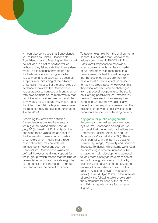• It can also be argued that Benevolence values (such as Helpful, Responsible, True Friendship and Meaning in Life) should be included in a set of positive values (although they fall outside the Universalism type). This is because they are part of the Self-Transcendence higher-order values type, and as such can be seen as supportive or reinforcing of the adjacent Universalism values. But the psychological evidence shows that the Benevolence values appear to correlate with engagement with development issues more weakly than do Universalism values. We can recall the survey data discussed above, which found that intermittent fairtrade purchasers were the most strongly Benevolence-orientated (Doran 2009).

According to Schwartz's definition, Benevolence values motivate support for in-groups: *"close others"* not *"all people"* (Schwartz 1992:11-12). On the one hand these values are adjacent to the Universalism values on Schwartz's circumplex, which means that through association they may activate selftranscendent motivations such as Universalism. Benevolence values are defined, however, as driving support for the in-group, which means that the kind of pro-social actions they motivate might be to the benefit of the individual's in-group over and above the benefit of others.

To take an example from the environmental sphere, it is possible that Benevolence values could drive NIMBY ('Not in My Back Yard') responses to renewable energy developments, or the stockpiling of fuel and other finite resources. In a development context it could be argued that Benevolence values are likely to have at best a neutral effect on support for tackling global poverty. However, this theoretical assertion can be challenged from a practical viewpoint (see the section on 'Refining positive values' immediately below). These ambiguities are explored in Section 2.4, but they would clearly benefit from more primary research on the relationship between specific values and behaviours supportive of tackling poverty.

#### Key goals for public engagement

Returning to the goal system developed by Grouzet, Kasser and colleagues, we can recall that the Intrinsic motivations are Community Feeling, Affiliation and Self-Acceptance (Grouzet et al 2005). These are in conflict with the Extrinsic goals of Conformity, Image, Popularity and Financial Success. To identify which items we should be promoting in order to increase public engagement with development, we need to look more closely at the dimensions of each of these goals. We can do this by examining the survey statements used to measure the importance of each of the goals in Kasser and Ryan's Aspiration Index (Kasser & Ryan 2006). In the interests of brevity, the following table shows only the statements for each of the Intrinsic and Extrinsic goals we are focusing on [Figure 8].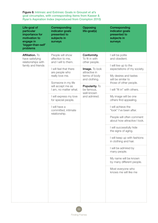# Figure 8: Intrinsic and Extrinsic Goals in Grouzet et al's goal circumplex, with corresponding items from Kasser & Ryan's Aspiration Index (reproduced from Crompton 2010)

| Life-goal of<br>particular<br>importance for<br>motivation to<br>engage in<br>'bigger-than-self'<br>problems | Corresponding<br>indicator goals<br>presented to<br>subjects in<br>surveys | Opposing<br>life-goal(s)                                                            | Corresponding<br>indicator goals<br>presented to<br>subjects in<br>surveys |
|--------------------------------------------------------------------------------------------------------------|----------------------------------------------------------------------------|-------------------------------------------------------------------------------------|----------------------------------------------------------------------------|
| Affiliation. To<br>have satisfying<br>relationships with                                                     | People will show<br>affection to me,<br>and I will to them.                | Conformity.<br>To fit in with<br>other people.                                      | I will be polite<br>and obedient.                                          |
| family and friends                                                                                           | I will feel that there<br>are people who<br>really love me.                | Image. To look<br>attractive in<br>terms of body<br>and clothing.<br>Popularity. To | I will live up to the<br>expectations of my society.                       |
|                                                                                                              |                                                                            |                                                                                     | My desires and tastes<br>will be similar to                                |
|                                                                                                              | Someone in my life<br>will accept me as                                    |                                                                                     | those of other people.                                                     |
|                                                                                                              | I am, no matter what.                                                      | be famous,<br>well-known                                                            | I will "fit in" with others.                                               |
|                                                                                                              | I will express my love<br>for special people.                              | and admired.                                                                        | My image will be one<br>others find appealing.                             |
|                                                                                                              | I will have a<br>committed, intimate<br>relationship.                      |                                                                                     | I will achieve the<br>"look" I've been after.                              |
|                                                                                                              |                                                                            |                                                                                     | People will often comment<br>about how attractive I look.                  |
|                                                                                                              |                                                                            |                                                                                     | I will successfully hide<br>the signs of aging.                            |
|                                                                                                              |                                                                            |                                                                                     | I will keep up with fashions<br>in clothing and hair.                      |
|                                                                                                              |                                                                            |                                                                                     | I will be admired by<br>many people.                                       |
|                                                                                                              |                                                                            |                                                                                     | My name will be known<br>by many different people.                         |
|                                                                                                              |                                                                            |                                                                                     | Most everyone who<br>knows me will like me                                 |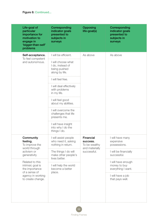| Life-goal of<br>particular<br>importance for<br>motivation to<br>engage in<br>'bigger-than-self'<br>problems      | Corresponding<br>indicator goals<br>presented to<br>subjects in<br>surveys | <b>Opposing</b><br>life-goal(s)                                         | Corresponding<br>indicator goals<br>presented to<br>subjects in<br>surveys |
|-------------------------------------------------------------------------------------------------------------------|----------------------------------------------------------------------------|-------------------------------------------------------------------------|----------------------------------------------------------------------------|
| Self-acceptance.<br>To feel competent                                                                             | I will be efficient.                                                       | As above                                                                | As above                                                                   |
| and autonomous.                                                                                                   | I will choose what<br>I do, instead of<br>being pushed<br>along by life.   |                                                                         |                                                                            |
|                                                                                                                   | I will feel free.                                                          |                                                                         |                                                                            |
|                                                                                                                   | I will deal effectively<br>with problems<br>in my life.                    |                                                                         |                                                                            |
|                                                                                                                   | I will feel good<br>about my abilities.                                    |                                                                         |                                                                            |
|                                                                                                                   | I will overcome the<br>challenges that life<br>presents me.                |                                                                         |                                                                            |
|                                                                                                                   | I will have insight<br>into why I do the<br>things I do.                   |                                                                         |                                                                            |
| Community<br>feeling.<br>To improve the<br>world through<br>activism or<br>generativity                           | I will assist people<br>who need it, asking<br>nothing in return.          | Financial<br>success.<br>To be wealthy<br>and materially<br>successful. | I will have many<br>expensive<br>possessions.                              |
|                                                                                                                   | The things I do will<br>make other people's<br>lives better.               |                                                                         | I will be financially<br>successful.                                       |
| Related to this<br>intrinsic goal is<br>the importance<br>of a sense of<br>agency in working<br>to create change. | I will help the world<br>become a better<br>place.                         |                                                                         | I will have enough<br>money to buy<br>everything I want.                   |
|                                                                                                                   |                                                                            |                                                                         | I will have a job<br>that pays well.                                       |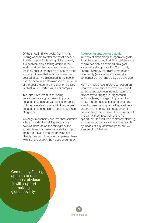Of the three Intrinsic goals, Community Feeling appears to offer the most obvious fit with support for tackling global poverty. It is explicitly about taking action in the world, and building a sense of agency in the individual, such that he or she can take action and have that action achieve the desired effect. As discussed in the section above, these self-determination dimensions of the goal system are missing (or are less explicit) in Schwartz's values circumplex.

In support of Community Feeling, Self-Acceptance goals seem important because they can activate adjacent goals. But they are also important in themselves because they can help to increase feelings of agency.

We might reasonably assume that Affiliation is less important in driving support for development, as on the strength of the survey items it appears to relate to support for in-groups and to strengthening selfidentity. We could make a comparison here with Benevolence in the values circumplex.

#### Addressing antagonistic goals

In terms of diminishing antagonistic goals, it can be concluded that Financial Success should certainly be avoided; this goal is diametrically opposed to Community Feeling. Similarly Popularity, Image and Conformity (in so far as it is central to consumer culture) should also be avoided.

Having made these inferences, based on what we know about the well evidenced relationships between Intrinsic goals and propensity to engage in 'bigger than self' problems, it is again important to stress that the relationships between the specific values and goals advocated here and measures of public engagement in development issues should be established through primary research at the first opportunity. Indeed we are already planning to pursue such a programme of research by means of a quantitative panel survey (see Section 6 below).

Community Feeling appears to offer the most obvious fit with support for tackling global poverty.

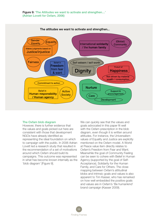

#### The attitudes we want to activate and strengthen...

#### The Oxfam blob diagram

However, there is further evidence that the values and goals picked out here are consistent with those that development NGOs have already identified as representing the ideal foundation on which to campaign with the public. In 2006 Adrian Lovett led a research study that resulted in the recommendation of a set of motivations around which Oxfam should build its campaigns. This outcome was represented in what has become known internally as the 'blob diagram' [Figure 9].

We can quickly see that the values and goals advocated in this paper fit well with the Oxfam prescription in the blob diagram, even though it is written around attitudes. For instance, the Universalism values of Equality and Justice are explicitly mentioned on the Oxfam model. A World at Peace value item directly relates to Oxfam's Freedom from Fear and Want. Meanwhile the goal of Community Feeling can be seen to cohere with Belief in Human Agency (supported by the goal of Self-Acceptance), Solidarity for the Human Family, and Care for Others. The close mapping between Oxfam's attitudinal blobs and intrinsic goals and values is also apparent to Tim Kasser, who has remarked on how well embedded the positive goals and values are in Oxfam's 'Be humankind' brand campaign (Kasser 2009).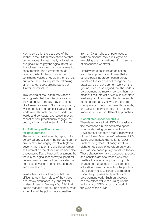Having said this, there are two of the 'blobs' in the Oxfam motivations set that do not appear to map neatly onto values and goals in the psychological literature. 'Happiness not driven by material wealth/ consumption' and 'Development as care (for distant others)' cannot be considered values or goals in themselves, but rather seem to require the reframing of familiar concepts around particular (Universalism) values.

This reading of the Oxfam motivations set suggests that the missing strand in their campaign strategy may be the use of a frames approach. Such an approach, which can activate particular values and worldviews through the use of particular words and concepts, expressed in every aspect of how practitioners engage the public, is introduced in Section 4 below.

### 2.4 Refining positive values for development

The section above began by laying out a perceived opposition in the literature on the drivers of public engagement with global poverty: morality on the one hand versus self-interest on the other. But we have also encountered David Hudson's argument that there is no logical reason why support for development should not be motivated by both sets of values at once (Hudson and Van Heerde 2010).

Values theorists would argue that it is difficult to span both sides of the values circumplex simultaneously, and yet for Hudson it seems *"entirely plausible"* that people manage it (ibid). For instance, when a member of the public buys something

from an Oxfam shop, or purchases a fairtrade product, they are likely to be exercising dual motivations with no sense of dissonance whatever.

Similarly there could be an objection from development practitioners that a psychological approach based purely on values theory does not recognise the practicalities of development work on the ground. It could be argued that the ends of development are more important than the means: if self-interest drives public or statelevel support, then surely that is preferable to no support at all. However there are clearly myriad ways to achieve those ends, and values theory can help us to see the trade-offs inherent in different approaches.

#### A conflicted space for NGOs

There is evidence that NGOs increasingly find themselves in this conflicted space when undertaking development work. Development academic Matt Smith writes of the *"blurred boundaries"* between NGOs, states and markets (Baillie Smith 2008:11). Such blurring does not easily fit with a dichotomous view of development work, such as one based purely on values theory. These slippery exchanges between practice and principle are one reason why Matt Smith advocates an approach to public engagement grounded in development education, based on enabling the public to participate in discussion and deliberation about the purposes and practices of development work. Such an approach has the added value of building up the legitimacy of NGOs to do that work, in the eyes of the public.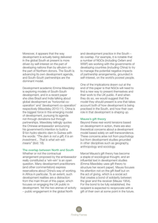Moreover, it appears that the way development is actually being delivered in the global South at present is more driven by self-interest on the part of developing nations than by altruism on the part of Northern donors. The South is advancing its own development agenda, and South-South partnerships are the dominant model.

Development academic Emma Mawdsley is exploring models of South-South development, and in a recent paper she cites Brazil and India talking about global development as 'horizontal cooperation' and 'development co-operation' respectively (Mawdsley 2010:11). China is the biggest force in this emerging model of development, pursuing its agenda not through donations but through partnerships. Mawdsley tellingly quotes the Chinese ambassador announcing his government's intention to build a \$1bn hydro-electric dam in Guinea with the words: *"The dam is not a gift; it is an investment... That is what win-win means"* (ibid: 18).

#### The overlap between North and South

Whether or not the contractual arrangement proposed by the ambassador really constituted a 'win-win' is an open question. Many development practitioners (and other commentators) express reservations about China's way of working, in Africa in particular. To an extent, such development realities are a distraction from the main thrust of this paper, which focuses on engaging the UK public in development. Yet the two arenas of activity – public engagement in the global North

and development practice in the South – do overlap. For example, it is notable that a number of NGOs (including Oxfam and WWF) are working with the governments of developing countries (including China) to try to manage the potential negative impacts of partnership arrangements, grounded in self-interest, on the world's poorest people.

One of the implications drawn out at the end of this paper is that NGOs will need to find a new way to present themselves and their work to the UK public. If and when they do so, we would suggest that the model they should present is one that takes account both of how development is being practised in the South, and how their own role in that development is shaping up.

#### Mauss's gift theory

Beyond these real-world tensions based on development in action, there are also theoretical concerns about a development model based solely on self-transcendence. These concerns arise not from psychology but from development studies grounded in other disciplines such as geography, anthropology and sociology.

Marcel Mauss's gift theory has become a staple of sociological thought, and an influential text in development studies (Emma Mawdsley uses gift theory to structure her recent paper). Mauss focuses his attention not on the gift itself but on the act of giving, which is a social act that creates a bond of solidarity between the giver and the receiver (Mauss 1954). For the bond to be fully established, the recipient is expected to reciprocate with a gift of their own at some point in the future.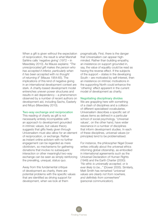When a gift is given without the expectation of reciprocation, the result is what Marshall Sahlins calls 'negative giving' (1972 – in Mawdsley 2010). As Mauss explains: *"The unreciprocated gift makes the person who has accepted it inferior, particularly when it has been accepted with no thought of returning it"* (Mauss 1954:65). The implications of this kind of negative giving in an international development context are stark. A charity-based development model entrenches uneven power structures and results in aid dependency – a phenomenon observed by a number of recent authors on development aid, including Sachs, Easterly and Moyo (Mawdsley 2010).

#### Two-way exchange and reciprocation

This reading of charity as gift is not necessarily entirely incompatible with an approach to development grounded in intrinsic values, but values theory suggests that gifts freely given through Universalism must also allow for an element of reciprocation, or exchange. Rather as instant online activism with no further engagement can be regarded as mere clicktivism, so mechanisms for gathering donations that involve no subsequent interaction or other meaningful two-way exchange can be seen as simply reinforcing the prevailing, unequal, status quo.

Away from this fundamental critique of development as charity, there are potential problems with the specific values that are identified as driving support for development, when we look at them

pragmatically. First, there is the danger that Universalism can appear highminded. Rather than building empathy, an insistence on support grounded in, say, the value of equality could be read as having the reverse effect. If the subjects of the support – states in the developing South – are motivated by self-interest, then an insistence on intrinsic motivations in the supporting North could enhance the 'othering' effect apparent in the current model of development as charity.

#### Negotiating disciplinary divides

We are grappling here with something of a clash of disciplines and a collision of different specialised vocabularies. Universalism describes a specific set of values items as defined in a particular school of social psychology. 'Universal values', on the other hand, have wider resonance in a number of disciplines that inform development studies. In each of these disciplines, universal values (or principles) tend to be problematised.

For instance, the philosopher Nigel Dower writes critically about the universal ethics informing global citizenship, as embodied in international agreements such as the Universal Declaration of Human Rights (1948) and the Earth Charter (2000): *"No ethic is universally accepted, or is ever likely to be..."* (Dower 2005). Similarly, Matt Smith has remarked *"universal values are clearly not from nowhere, and definitely from somewhere"* (personal communication).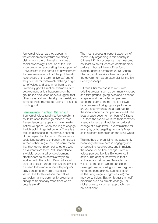'Universal values' as they appear in the development literature are clearly distinct from the Universalism values of social psychology. Because of this, it is important when advocating the adoption of Universalism in the context of development that we are aware both of the problematic resonances of the term 'universal' and of the potential for mistakenly defining a rigid set of values and assuming them to be universally good. Practical examples from development as it is happening on the ground (as discussed above) suggest that other ways of doing development exist, and some of these may be delivering at least as much 'good'.

#### Benevolence in action: Citizens UK

If universal values (and also Universalism) could be seen to be high-minded, then Benevolence can appear to have greater instinctive appeal when seeking to engage the UK public in global poverty. There is a risk, as discussed in the previous section of this paper, that too much Benevolence could lead people to entrench themselves further in their in-groups. This could mean that they do not reach out to others who are distant from them. Yet Benevolence is widely recognised by development practitioners as an effective way in to working with the public. Being all about care for one's in-group, Benevolence values are seen to be more in line with people's daily concerns than are Universalism values. It is for this reason that values campaigning and community organising principles traditionally 'start from where people are at'.

The most successful current exponent of community organising in this country is Citizens UK. Its success can be measured not least by its influence on contemporary politics. It hosted the unofficial fourth leaders' debate before the 2010 General Election, and has since been adopted by the government as an exemplar for the Big Society concept.

Citizens UK's method is to work with existing groups, such as community groups and faith groups, giving everyone a chance to speak and then reflecting people's concerns back to them. This is followed by a process of bringing groups together around a common agenda, built up from the initial concerns that people voiced. The local groups become members of Citizens UK, then the executive takes their common agenda forward and lobbies for political change at a high level ( in Westminster, for example, or by targeting London's Mayor as in a recent campaign on the living wage).

This method of organising has apparently been very effective both in engaging and empowering local groups, and in making the space for political change. From a values perspective, it is Benevolence in action. The danger, however, is that it activates and reinforces Benevolence values, to the point where participants never get beyond caring for their in-group. For some campaigning agendas (such as the living wage, or rights issues) that may be sufficient. But for 'bigger than self' problems such as climate change – or global poverty – such an approach may be insufficient.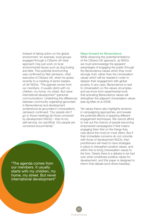Instead of taking action on the global environment, for example, local groups engaged through a Citizens UK-style approach may just work on local environmental issues such as dog fouling and litter. This potential shortcoming was confirmed by Neil Jamieson, chief executive of Citizens UK, when he spoke recently to a meeting of senior leaders of UK NGOs: *"The agenda comes from our members. It usually starts with my children, my home, my street. But never international development"* (personal communication). Underlining the differences between community organising (grounded in Benevolence) and development (understood as grounded in Universalism), Jamieson continued: *"Our people don't go to those meetings [ie those convened by development NGOs] – they're too self-serving, too sacrificial. Our people are convened around family."*

our members. It usually starts with my children, my home, my street. But never international development"

#### Ways forward for Benevolence

While observing the potential limitations of the Citizens UK approach, as NGOs we must acknowledge the apparent advantages of engaging the public through the Benevolence values which they more strongly hold, rather than the Universalism values which will be needed in order to deepen their engagement with global poverty. In any case, Benevolence is next to Universalism on the values circumplex, and we know from experimental work that activating Benevolence values will strengthen the adjacent Universalism values (see eg Maio et al 2009).

Yet values theory also highlights tensions in campaigning approaches, and reveals the potential effects of applying different engagement techniques. We cannot afford to rule out the chance of people becoming empowered campaigners if that means engaging them first on the things they care about the most (or most often). But if their immediate concerns do not coincide with those of development NGOs, then practitioners will need to have strategies in place to strengthen positive values, and within this to bring Universalism values to the fore. Clearly there is a debate to be had over what constitutes positive values for development, and this paper is designed to "The agenda comes from **inform that debate (and others besides).** 

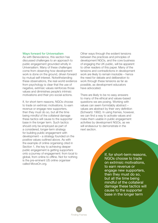#### Ways forward for Universalism

As with Benevolence, this section has discussed challenges to an approach to public engagement grounded wholly in Universalism. Many of these challenges come from observing how development work is done on the ground, driven forward by mutual self-interest. Notwithstanding these observations, the real-world evidence from psychology is clear that the use of negative, extrinsic values reinforces those values and diminishes people's intrinsic motivations and their pro-social actions.

If, for short-term reasons, NGOs choose to trade on extrinsic motivations, to earn revenue or engage new supporters, then they must do so, but all the time being mindful of the collateral damage these tactics will cause to the supporter base in the longer term. Such tactics should only be employed as part of a considered, longer-term strategy for building public engagement with development – a strategy founded on the positive values outlined above. As with the example of online organising cited in Section 1, the key to achieving deeper public engagement is getting supporters onto a journey of engagement: from local to global, from online to offline. Not for nothing is the pre-eminent US online organiser called MoveOn.org.

Other ways through the evident tensions between the practices and principles of development NGOs, and the core business of engaging the UK public, will be apparent to other readers of this paper. Many of the tensions and contradictions in development work are likely to remain insoluble – hence the need for debate and deliberation to work through these tensions as far as possible, as development educators have advocated.

There are likely to be no easy answers to many of the ethical and values-based questions we are posing. Working with values can seem formidably abstract – values are abstract by their very definition (Schwartz 1992). In using frames, however, we can find a way to activate values and make them usable in public engagement activities by development NGOs, as we will endeavour to demonstrate in the next section.

> If, for short-term reasons, NGOs choose to trade on extrinsic motivations, to earn revenue or engage new supporters, then they must do so, but all the time being mindful of the collateral damage these tactics will cause to the supporter base in the longer term

64 Finding Frames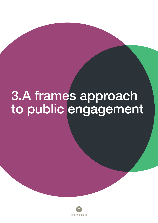# 3.A frames approach to public engagement

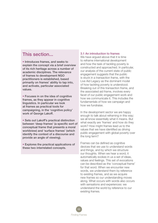# This section...

• Introduces frames, and seeks to explain the concept via a brief overview of its rich heritage across a number of academic disciplines. The relevance of frames to development NGO practitioners is established, based primarily on frames' ability to tap into, and activate, particular associated values.

• Focuses in on the idea of cognitive frames, as they appear in cognitive linguistics. In particular we look at frames as practical tools for campaigning, in the 'cognitive policy' work of George Lakoff.

• Sets out Lakoff's practical distinction between 'deep frames' (a specific sort of conceptual frame that presents a moral worldview) and 'surface frames' (which identify the context of a discourse and provide an angle of viewing).

• Explores the practical applications of these two interrelated concepts.

#### 3.1 An introduction to frames

We have argued above that it is time to reframe international development and how the task of tackling poverty is constructed and approached. In particular, our analysis of the current state of public engagement suggests that the public is stuck in a transaction frame, with the Live Aid Legacy as the dominant model of how tackling poverty is understood. Breaking out of this transaction frame, and the associated aid frame, involves every facet of our public engagement work and how we communicate it. This includes the fundamentals of how we campaign and how we fundraise.

In the development sector we are happy enough to talk about reframing in this way; we all know essentially what it means. But what exactly are 'frames' and how do they work? How might frames lead us to the values that we have identified as driving public engagement with global poverty over the long term?

Frames can be defined as cognitive devices that we use to understand words and things, and by which we structure our thoughts. When we hear a word, it automatically evokes in us a set of ideas, values and feelings. This set of evocations can be described as the 'conceptual frame' for that word. When we encounter new words, we understand them by reference to existing frames, and as we acquire new frames so our understanding moves along. What occurs with words also occurs with sensations and experiences: we understand the world by reference to our existing frames.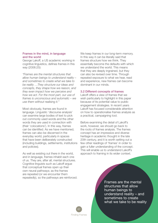#### Frames in the mind, in language and the world

George Lakoff, a US academic working in cognitive linguistics, defines frames in this way (2006:25):

*"Frames are the mental structures that allow human beings to understand reality – and sometimes to create what we take to be reality …They structure our ideas and concepts, they shape how we reason, and they even impact how we perceive and how we act. For the most part, our use of frames is unconscious and automatic – we use them without realising it."*

Most obviously, frames are found in language. Linguistic 'discourse analysis' can examine large bodies of text to pick out commonly used words and the other words they are used in connection with (their 'colocations'). In this way, frames can be identified. As we have mentioned, frames can also be discerned in the everyday world, particularly in spaces that have been deliberately constructed (including buildings, settlements, institutions and policies).

As well as existing out there in the world, and in language, frames inhabit each one of us. They are, after all, mental structures. Cognitive linguists such as Lakoff argue that conceptual frames open up their own neural pathways; as the frames are repeated (or we encounter them repeatedly), so the pathways are reinforced. We keep frames in our long-term memory. In this way it can be literally said that frames structure how we think. They essentially become the defaults with which we understand the world. This means that they are deeply ingrained, but they can also be revised over time. Through repeated exposure to what we hear, read and experience, new frames can become dominant in our minds.

#### 3.2 Different concepts of frames

Lakoff offers a view of frames that we wish particularly to highlight in this paper because of its potential value to public engagement strategies. In recent years Lakoff has focused considerable attention on how to operationalise frames analysis as a practical, campaigning tool.

Before examining the detail of Lakoff's work, however, we should go back to the roots of frames analysis. The frames concept has an impressive and diverse heritage in academic thought in the late 20th century, and it is worth setting out a few other readings of 'frames' in order to gain a fuller understanding of the concept. This will enable us to understand Lakoff's approach to framing in its wider context.

> Frames are the mental structures that allow human beings to understand reality – and sometimes to create what we take to be reality

67 Finding Frames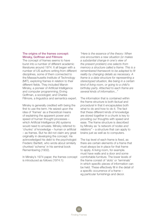## The origins of the frames concept: Minsky, Goffman and Fillmore

The concept of frames seems to have burst into a number of different academic literatures around 1974. It all began with a number of US authors writing from different disciplines, some of them connected to the Massachusetts Institute of Technology (MIT), exploring frames in relation to their different fields. They included Marvin Minsky, a pioneer of Artificial Intelligence and computer programming; Erving Goffman, a sociologist; and Charles Fillmore, a linguistics and semantics expert.

Minsky is generally credited with being the first to use the term. He seized upon the idea of 'frames' as a theoretical means of explaining the apparent power and speed of human thought processes – which Artificial Intelligence (AI) systems would need to emulate. Minsky referred to 'chunks' of knowledge – human or artificial – as frames. But he did not claim any great originality in developing the concept. He acknowledged his debt to the psychologist Frederic Bartlett, who wrote about similarly chunked 'schema' in his seminal book Remembering (1932).

In Minsky's 1974 paper, the frames concept is introduced as follows (1974:1):

*"Here is the essence of the theory: When one encounters a new situation (or makes a substantial change in one's view of the present problem) one selects from memory a structure called a frame. This is a remembered framework to be adapted to fit reality by changing details as necessary. A frame is a data-structure for representing a stereotyped situation, like being in a certain kind of living room, or going to a child's birthday party. Attached to each frame are several kinds of information..."*

The information that is contained within the frame structure is both *factual* and *procedural* in that it encapsulates both what to do and how to do it. The fact that these different kinds of knowledge are stored together in a chunk is key to providing our thoughts with speed and ease. The frame structure is described by Minsky as *"a network of nodes and relations"* – a structure that can apply to brains just as well as to computers.

The top level of each frame is fixed, as there are certain elements of a frame that must always be in place for that frame to apply. A living room, for example. must have walls and a door and some comfortable furniture. The lower levels of the frame consist of 'slots' or 'terminals' in which specific pieces of information can be held. These effectively fill in the detail of a specific occurrence of a frame – eg particular furnishings and decor.

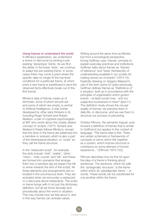#### Using frames to understand the world

In Minsky's explanation, we understand a scene or discourse by picking a preexisting 'stereotype' frame. As we fill in the detail, in the lower 'slots', we continue to adapt the pre-existing frame. In some cases there may come a point where the specific data no longer fit the top-level conditions for a particular frame, at which point a new frame is substituted in (and the observed facts effectively break out of the first frame).

Minsky's idea of frames made up of terminals, some of which are pre-set and some of which are empty, is central to Artificial Intelligence. It was further developed by other early thinkers in AI, including Roger Schank and Robert Abelson, a pair of cognitive psychologists at MIT who wrote about the closely related concept of 'scripts' (1977). Schank and Abelson's thesis follows Minsky's, except that the slots in the frame are patterned into a narrative or scenario which is also a part of the stereotypical situation, or 'script' as they call the frame structure.

In the 'restaurant script', for example, the slots include 'chef', 'waiter', 'diner', 'menu', 'main course' and 'bill', and these are formed into scenarios that arrange them into a narrative (eg we expect the bill to arrive towards the end of the script). All these elements and arrangements are colocated in the unconscious brain. They are activated when we encounter a restaurant, or a discourse about restaurants. The script or frame brings with it not just the dictionary definition, but all we know factually and procedurally about the word or situation. This may include how we feel about it, and in this way frames can activate values.

Writing around the same time as Minsky but from a sociological perspective, Erving Goffman uses 'frames' primarily to explain everyday practices and institutions. Goffman talks about frames as *"frames of reference"* and *"basic frameworks of understanding available in our society for making sense out of events"* (1974:10). Explicitly drawing on Gregory Bateson's use of the term some 20 years previously, Goffman defines frames as *"Definitions of a situation, built up in accordance with the principles of organisation which govern events – at least social ones - and our subjective involvement in them"* (ibid:11). The definition nicely shows the circular quality of frames: we perceive them in daily life, or discourse, and we use them to structure our process of perceiving.

Charles Fillmore, the semantic linguist, puts forward a definition of frames that is similar to Goffman's but applies to the context of language. *"The frame idea is this. There are certain schemata or frameworks of concepts or terms which link together as a system, which impose structure or coherence on some element of human experience..."* (Fillmore 1975:123).

Fillmore describes how he first hit upon the idea of a frame in thinking about sentences. The sentence, which he calls the 'syntagmatic structure', is the frame within which sit 'paradigmatic items' – or words. These words can be substituted for one another within the frame.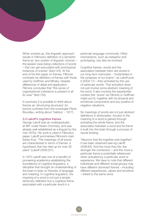When worked up, this linguistic approach results in Fillmore's definition of a semantic frame as *"any system of linguistic choices – the easiest case being collections of words – that can get associated with prototypical instances of scenes"* (ibid:124). At the end of his first paper on frames, Fillmore contrasts his definition of frames with those used by Goffman and Minsky. Despite differences of detail and application, Fillmore concludes that *"the sense of organisational coherence is present in all its uses"* (ibid:130).

In summary it is possible to think about frames as 'structuring structures' (to borrow a phrase from the sociologist Pierre Bourdieu, writing about 'habitus' - 1977).

#### 3.3 Lakoff's cognitive frames

George Lakoff was an undergraduate at MIT under Noam Chomsky, and was already well established as a linguist by the mid-1970s. His work is cited in Fillmore's paper. Lakoff summarises Fillmore's main thesis thus: *"The meanings of all words are characterised in terms of frames: a hypothesis that has held up for over 30 years"* (Lakoff 2008:251).

In 1975 Lakoff was one of a handful of pioneering academics establishing the foundations of cognitive linguistics, a discipline that brought an understanding of the brain to bear on theories of language and meaning. In cognitive linguistics, the meaning of a word is not just a simple dictionary definition but a cognitive frame associated with a particular word in a

particular language community. Other mechanisms, such as metaphor and prototyping, can also be involved.

Cognitive frames, words and the association between them are stored in our long-term memories – *"instantiated in the synapses of our brains",* as Lakoff puts it (2004:17) – then activated by the use of particular words. That activation does not just involve some abstract meaning of the word. It also involves the experiential context (the 'scene' as Fillmore or Goffman might put it), together with its physical and emotional components and any positive or negative valuations.

So meanings of words are not just abstract definitions in dictionaries. Access to the meaning of a word is gained through activating the whole frame, and the association between a word and its frame is built into the brain through a process of neural binding.

*"Neurons that fire together wire together",* it has been observed (see eg Lakoff 2008:83). And the more they fire, the stronger the connection – and the more a particular frame is potentially referenced when activated by a particular word or experience. We have to note that different individuals and different social groups may have different dominant frames – including different experiences, values and emotions – linked to the same word.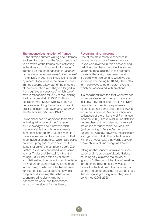#### The unconscious function of frames

All the diverse authors writing about frames are keen to stress that the 'actor' tends not to be aware of the frames he is activating as he does so. In Fillmore, for instance, frames give the reader access to *"aspects of the scene never made explicit in the text"* (1975:125). In cognitive linguistics, shaped by recent discoveries in the brain sciences, frames become a key part of the structure of the automatic brain. They are lodged in the 'cognitive unconscious', which Lakoff says is responsible for 98% of the thinking the brain does (Lakoff 2008:3). This is consistent with Marvin Minsky's original purpose in evolving the frame concept, in order to explain *"the power and speed of mental activities"* (Minsky 1974:1).

Lakoff describes his approach to frames as taking advantage of the *"massive new knowledge"* about how we think, made available through developments in neuroscience (ibid:4). Lakoff's work in cognitive frames can be compared to that in behavioural economics, which also builds on recent progress in brain science. It is fitting that Lakoff's most recent book, *The Political Mind,* was published in the same year as Thaler and Sunstein's influential *Nudge* (2008); both texts build on the foundational work in cognition and decision making undertaken by Danny Kahneman (a psychologist who won the Nobel Prize for Economics). Lakoff devotes a whole chapter to discussing the behavioural economic principles arising from Kahneman's work, and their echoes in his own version of frames theory.

#### Revealing mirror neurons

One of the more recent discoveries in neuroscience is that of 'mirror neurons'. Lakoff was involved in this discovery, and built it into his thesis on cognitive frames. Mirror neurons, situated in the premotor cortex of the brain, have been found to fire both when we act and when we see someone else acting (2004:54). They also form pathways to other neuron circuits, which are associated with emotions.

It is concluded from this that when we see someone else acting, we can physically feel how they are feeling. This is relatively new science: the discovery of mirror neurons did not come until the late 1990s, led by neuroscientist Marco Iacoboni and colleagues at the University of Parma (see Iacoboni 2008). There is still much detail to be sketched out (for instance, the related structures of 'super mirror neurons' are *"just beginning to be studied"* – Lakoff 2008:118). Already, however, the scientists' findings confirm Lakoff's contention (and Fillmore's hypothesis) that words activate whole chunks of knowledge as frames.

Taking up the concept of mirror neurons, Lakoff and his colleague Vittorio Gallese neurologically explored the activity of 'grasping'. They found that the information for understanding the activity was colocated in the brain with the neurons that control the act of grasping, as well as those that recognise grasping when they see it performed (2008:252).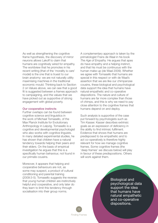As well as strengthening the cognitive frame hypothesis, the discovery of mirror neurons allows Lakoff to claim that humans are cognitively wired for empathy. The worldview that he promotes in his recent writing (that of the 'morality is care' model) is the one that is truest to our brain anatomy: we are not naturally utility maximising machines in the traditional economic mould. Thinking back to Section 2 on Values above, we can see that a good fit is suggested between a frames approach to campaigning, and the values that we have picked out as supportive of strong engagement with global poverty.

## Our cooperative instincts

Further overlaps can be found between cognitive science and linguistics in the work of Michael Tomasello, of the Max Planck Institute for Evolutionary Anthropology in Leipzig. Tomasello is a cognitive and developmental psychologist who also works with cognitive linguists. In many detailed experimental studies, he has shown that children have a natural tendency towards helping their peers and their elders. On the basis of empirical investigation he argues that this is a specifically human behaviour, not found in our primate cousins.

Moreover, it appears that helping and cooperative behaviours are not, as some may suspect, a product of cultural conditioning and parental training (2009:3-5). Tomasello suggests the reverse: that young human children are instinctively helpful and cooperative, and only later do they learn to limit this tendency through socialisation into their group norms.

A complementary approach is taken by the primatologist Frans de Waal in his book *The Age of Empathy.* He argues that apes do have empathy and a helping instinct, and that his must be continuous with the human make-up (de Waal 2009). Whether we agree with Tomasello that humans are special in this respect or with de Waal's assertion that we are like our chimpanzee cousins, these biological and psychological data support the idea that humans have natural empathetic and co-operative dispositions. The nature and culture of humans are far more complex than those of chimps, and this is why we need to pay close attention to the cognitive frames that humans depend on and deploy.

Such analysis is supportive of the case put forward by psychologists such as Tim Kasser. Kasser describes extrinsic goals as an expression of deficiency in the ability to find intrinsic fulfilment. Evidence that shows that humans are predisposed to be empathetic and to act co-operatively is therefore highly relevant for how we manage cognitive frames. Some cognitive frames (the 'deep frames' we discuss below) will play in favour of these predispositions. Others will work against them.

> Biological and psychological data support the idea that humans have natural empathetic and co-operative dispositions.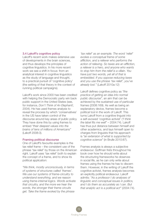## 3.4 Lakoff's cognitive policy

Lakoff's recent work makes extensive use of developments in the brain sciences, and thus develops the principles of cognitive linguistics. In his more recent work we see a shift in focus: from an analytical interest in cognitive linguistics as the study of language and thought, to a practical pursuit of 'cognitive policy' (the setting of that theory in the context of running political campaigns).

Lakoff's work since 2000 has been credited with helping the Democratic party win back public support in the United States (see, for instance, *Don't Think of An Elephant!,* 2004). He has used frames analysis to reveal the process by which 'conservatives' in the US have taken control of the discourse around key areas of public policy. They have done this by using frames to embed *"their deepest values into the brains of tens of millions of Americans"* (Lakoff 2008:3).

## Framing political discourse

One of Lakoff's favourite examples is the tax relief frame – the consistent use of the phrase 'tax relief' by those on the American right. Lakoff uses 'tax relief' both to explain the concept of a frame, and to show its political application:

*"We think, mostly unconsciously, in terms of systems of structures called 'frames'. We use our systems of frame-circuitry to understand everything, and we reason using frame-internal logics. Words activate that circuitry, and the more we hear the words, the stronger their frame circuits get. Take the frame evoked by the phrase* 

*'tax relief' as an example. The word 'relief' evokes a conceptual frame of some affliction, and a reliever who performs the action of relieving. So taxes are an affliction, a reliever is a hero, and anyone who wants to stop him from the relief is a villain. You have just two words, yet all of that is embedded. If you oppose reducing taxes and you use the phrase 'tax relief', you've already lost."* (Lakoff 2010a:12)

Lakoff defines cognitive policy as *"the practice of getting an idea into normal public discourse",* an aim that can be achieved by the sustained use of particular frames (2008:169). As well as being an explanatory device, frames become a political tool in the work of Lakoff. This turns Lakoff from a cognitive linguist into a self-avowed 'cognitive activist' (*"I think the label fits me well"* – 2004:74). Lakoff has thus put distance between himself and other academics, and lays himself open to charges from linguists that his approach is *"an extension of what is supported by cognitive science"* (in Brulle 2010:87).

Frames analysis is always a subjective endeavour. Goffman frets throughout his book over how he should write about the structuring frameworks he observes in social life, as he can only write about frames using the frames he has to discern them. However, in the writing of Lakoff the cognitive activist, frames analysis becomes an explicitly political endeavour. Lakoff admits: *"As a professor I do analyses of linguistic and conceptual issues in politics, and I do them as accurately as I can. But that analytic act is a political act"* (2004:74).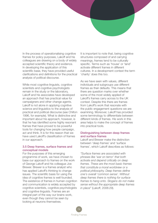In the process of operationalising cognitive frames for policy purposes, Lakoff and his colleagues are drawing on a body of widely accepted scientific theory and evidence. In developing the application of this scientific base, they have provided useful clarifications and definitions for the practical analysis of political discourse.

While most cognitive linguists, cognitive scientists and cognitive psychologists remain in the study or the laboratory, Lakoff and his associates have developed an approach that has practical value for campaigners and other change agents. Lakoff is not alone in applying cognitive science and linguistics to the analysis of practical and political discourse (see Chilton 1996, for example). What is distinctive and important about his approach, however, is that he has identified some highly resonant frames that have proved to be powerful tools for changing how people campaign, act and think. It is for this reason that we have used Lakoff's classification of frames in our approach.

# 3.5 Deep frames, surface frames and conceptual models

For the purposes of this emerging programme of work, we have chosen to base our approach to frames on the work of George Lakoff and his colleague Joe Brewer. Brewer is a frames analyst who has applied Lakoff's thinking to change issues. The scientific basis for using the idea of cognitive frames is well founded. The existence of frames in human cognition and communication is widely accepted by cognitive scientists, cognitive psychologists and cognitive linguists. Frames are an integral part of the way our brains work, even though they cannot be seen by looking at neurons themselves.

It is important to note that, being cognitive structures composed of and carrying meanings, frames tend to be culturally specific. Terms such as 'house' or 'land' activate different frames in different cultures. In a development context the term 'charity' does this too.

As we have seen with values, different individuals and subgroups use different frames as their defaults. This means that there are question marks over whether some of the most widely applied of Lakoff's frames carry across to the UK context. Despite this there are frames from Lakoff's work that resonate with the public engagement questions we are examining. Moreover, Lakoff has provided some terminology to differentiate between different kinds of frames. His work in this area helps to make the concept of frames into practical tools.

# Distinguishing between deep frames and surface frames

Lakoff and Brewer make the distinction between 'deep frames' and 'surface frames', which Lakoff describes as follows:

*"Surface frames are associated with phrases like 'war on terror' that both activate and depend critically on deep frames. These are the most basic frames that constitute a moral worldview or a political philosophy. Deep frames define one's overall 'common sense'. Without deep frames there is nothing for surface frames to hang onto. Slogans do not make sense without the appropriate deep frames in place"* (Lakoff, 2006:29).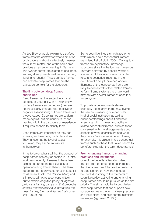As Joe Brewer would explain it, a surface frame sets the context for what a situation or discourse is about – effectively it names the subject matter, and at the same time provides an angle for viewing it. 'Tax relief' and 'war on terror' are examples of surface frames, already mentioned, as are 'house', 'land' and 'charity'. These surface frames can activate deep frames that are the evaluative context for the discourse.

# The link between deep frames and values

Deep frames set the subject in a moral context, or ground it within a worldview. Surface frames can be neutral (they are not necessarily charged with positive or negative associations) but deep frames are always loaded. Deep frames are seldom made explicit, but are usually taken for granted within the discourse or experience; it requires analysis to identify them.

Deep frames are important as they can activate, and reinforce, particular values. They function at the level of values; for Lakoff, they are neural circuits in themselves.

It has to be emphasised that the concept of deep frames has only appeared in Lakoff's work very recently. It seems to have been coined as part of the political task of operationalising frames theory. The term 'deep frames' is only used once in Lakoff's most recent book, *The Political Mind,* and is introduced not as a concept in itself but to explain cognitive policy: *"Cognitive policy is a framing campaign that precedes specific material policies. It introduces the deep frames, the moral frames that come first"* (2008:170).

Some cognitive linguists might prefer to write simply about 'conceptual frames' (as indeed Lakoff did in 2004). Conceptual frames are explanatory knowledge structures stored in the long-term memory. They are activated by specific words or scenes, and they incorporate particular roles and scenarios (much as in the definition of a script, provided above). Elements of this conceptual frame are likely to overlap with other related frames to form 'frame systems'. A single word may activate several frames at once in a single system.

To provide a development-relevant example, the 'charity' frame may evoke the semantic meaning of a particular kind of social institution, as well as our understandings about it and how to engage with it. It may also activate related conceptual frames, such as those concerned with moral judgements about aspects of what charities are and what they do – a 'rational self-interest' frame, for example. It is values-linked conceptual frames such as these that Lakoff seems to be referencing with the term 'deep frames'.

# From changing frames to changing practices and institutions

One of the benefits of isolating 'deep frames' from other conceptual frames is that it enables Lakoff to provide guidance to practitioners on how they should be used. According to the methods of cognitive policy, activating and changing deep frames should be pursued as the first priority. The aim should be to popularise new deep frames that can support new surface frames in the form of new practices and institutions, and new communications messages (eg Lakoff 2010b).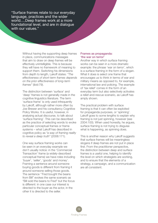"Surface frames relate to our everyday language, practices and the wider world….Deep frames work at a more foundational level, and are in dialogue with our values."

> Without having the supporting deep frames in place, communications messages that aim to draw on deep frames will be effectively unintelligible. This is because they will have no framework of meaning to support them. Switching his dimensions from depth to length, Lakoff states: *"The effectiveness of short-term frames depends on the prior effectiveness of long-term frames"* (ibid:79).

The distinction between 'surface' and 'deep' frames is not generally made in the cognitive linguistics literature. The term 'surface frame' is only used infrequently by Lakoff, although rather more often by Joe Brewer and his consultancy Cognitive Policy Works. It is useful, however, in analysing actual discourse, to talk about 'surface framing'. This can be described as the practice of selecting words to evoke particular conceptual frames or frame systems – what Lakoff has described in cognitive policy as *"a way of framing reality to reveal a deep truth"* (2008:171).

One way surface framing works can be seen in an everyday example we don't usually notice: in the 'Commercial Transaction' frame (a widely-described conceptual frame) we have roles including 'buyer', 'seller', 'goods' and money'. Framing a sentence around someone buying goods is different from framing it around someone selling those goods. The sentence ''Fred bought the beans from Bill" evokes the same scenario as "Bill sold the beans to Fred" but the focus is different: in one case our interest is directed to the buyer as the actor, in the other it is directed to the seller.

# Frames as propaganda: 'the war on terror'

Another way in which surface framing works can be seen in a more dramatic example: the phrase 'war on terror', which is a surface framing in the form of a slogan. What it does is select one frame that encourages us to think in terms of war and military means as opposed to, for example, international law and policing. The example of 'tax relief' comes in the form of an everyday term but also selectively activates a relief-and-rescue scenario, as Lakoff has amply shown.

The practical problem with surface framing is that it can often be exploited for propaganda purposes, or 'spinning'. Lakoff goes to some lengths to explain why framing is not just spinning, however (see 2004:100). When used honestly, he argues, surface framing is not trying to disguise what is happening, as spinning does.

This is another reason why Lakoff suggests that surface frames will be meaningless slogans if deep frames are not put in place first. From the practitioner perspective, the distinction between deep and surface frames is a useful one, helping to identify the level on which strategists are working, and to ensure that the elements of a strategy, a campaign, and a communication are all consistent.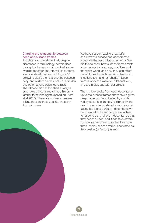# Charting the relationship between deep and surface frames

It is clear from the above that, despite differences in terminology, certain deep conceptual frames, or conceptual frames working together, link into values systems. We have developed a chart [Figure 10 below] to clarify the relationships between deep and surface frames, values, attitudes and other psychological constructs. The lefthand side of the chart arranges psychological constructs into a hierarchy familiar to psychologists (based on Stern et al 2005). There are no lines or arrows linking the constructs, as influence can flow both ways.

We have set our reading of Lakoff's and Brewer's surface and deep frames alongside the psychological schema. We did this to show how surface frames relate to our everyday language, practices and the wider world, and how they can reflect our attitudes towards certain subjects and situations (eg 'land' or 'charity'). Deep frames work at a more foundational level, and are in dialogue with our values.

The multiple peaks from each deep frame up to the surface frames show how a given deep frame can be activated by a wide variety of surface frames. Reciprocally, the use of one or two surface frames does not guarantee that a particular deep frame will be activated. Different people are inclined to respond using different deep frames that they depend upon, and it can take several surface frames woven together to ensure that a particular deep frame is activated as the speaker (or 'actor') intends.

77 Finding Frames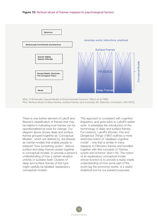# Figure 10: Vertical slices of frames mapped to psychological factors



After 'A Schematic Casual Model of Environmental Concern' (Stern et al 1995) Plus 'Vertical slices of deep frames, surface frames, and everyday life' (Darnton, Crompton, Kirk 2010)

There is one further element of Lakoff and Brewer's classification of frames that may be helpful in indicating how frames can be operationalised as tools for change. Our diagram above shows deep and surface frames grouped together as 'Conceptual Models', which are defined by Joe Brewer as mental models that enable people to interpret *"how something works".* Various surface and deep frames cluster together in conceptual models, to provide a person's understanding of how a certain situation unfolds or sustains itself. Clusters of deep and surface frames of this type might usefully be labelled 'explanatory conceptual models'.

This approach is consistent with cognitive linguistics, and goes back to Lakoff's earlier work. It antedates the introduction of the terminology of deep and surface frames. For instance, Lakoff's *Women, Fire and Dangerous Things* (1987) outlines a more restricted notion of 'idealised cognitive model' – one that is similar in many respects to Fillmore's frames and bundled together with like concepts of *"frames, scripts and schema"* (ibid:116). The notion of an explanatory conceptual model, whose function is to provide a ready-made understanding of how some part of the world (eg the economy) works, is a useful analytical tool for our present purposes.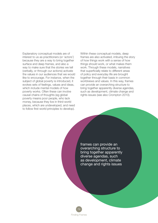Explanatory conceptual models are of interest to us as practitioners (or 'actors') because they are a way to bring together surface and deep frames, and also a way to make sure that the stories we tell (verbally, or through our actions) activate the values in our audiences that we would like to encourage. For instance, when the subject of global poverty is introduced, it evokes sets of feelings, values and ideas, which include mental models of how poverty works. Often these can involve causal chains of thoughts (eg global poverty means poor people, who lack money, because they live in third-world places, which are undeveloped, and need to follow first-world principles to develop).

Within these conceptual models, deep frames are also activated, imbuing the story of how things work with a sense of how things should work, or what makes them work. Through these models, narratives that superficially relate to different areas of policy and everyday life are brought together through their basis in common worldviews and values. In this way, frames can provide an overarching structure to bring together apparently diverse agendas, such as development, climate change and rights issues (see also Crompton 2010).

frames can provide an overarching structure to bring together apparently diverse agendas, such as development, climate change and rights issues

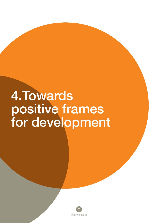# 4.Towards positive frames for development

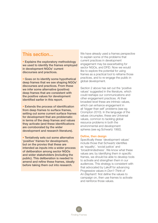# This section...

• Explains the exploratory methodology we used to identify the frames employed in development NGOs' current discourses and practices.

• Goes on to identify some hypothetical deep frames that we see shaping NGOs' discourses and practices. From these we infer some alternative (positive) deep frames that are consistent with the positive values for development identified earlier in this report.

• Extends the process of identification from deep frames to surface frames, setting out some current surface frames for development that are problematic in terms of the deep frames and values they activate (and these identifications are corroborated by the wider development and research literature).

• Tentatively sets out some alternative 'positive' frames for development, but on the proviso that these are intended as inputs into a wider process of deliberation among sector NGOs and wider stakeholders (including the public). This deliberation is needed to amend and refine these frames, ideally before taking them out into research.

We have already used a frames perspective to explain some of the problems that current practices in development engagement may be exacerbating for sector NGOs, and DFID. Now we would like to explore the potential for using frames as a practical tool to reframe those practices, and to re-engage the public in global development.

Section 2 above has set out the 'positive values' suggested in the literature, which could reshape our communications and other engagement practices. At their broadest level these are intrinsic values, which can enhance engagement in all 'bigger than self' problems (see eg Crompton 2010). In the language of the values circumplex, these are Universal values, common to tackling global resource problems in both the environmental and development spheres (see eg Schwartz 1992).

## Define, then design

Specifically these 'development values' include those that Schwartz identifies as 'equality', 'social justice' and 'broadmindedness'. We know what these values are; by identifying them in specific frames, we should be able to develop tools to activate and strengthen them in our audiences. This strategy is consistent with that advocated by Lakoff for advancing Progressive values in *Don't Think of An Elephant!:* first define the values to campaign on, then use frames to activate and reinforce those values.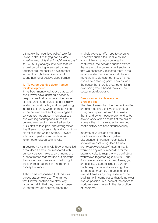Ultimately the 'cognitive policy' task for Lakoff is about *"bringing our country together around its finest traditional values"* (2004:95). By analogy, it follows that we should be bringing interested parties together around positive development values, through the activation and strengthening of positive deep frames.

# 4.1 Towards positive deep frames for development

It has been mentioned above that Lakoff and Brewer have identified a series of deep frames that occur in a wide range of discourses and situations, particularly relating to public policy and campaigning. In order to identify which of these relate to the development sector, we staged a conversation about common practices and working assumptions in the UK development sector. We invited senior NGO staff to take part, and arranged for Joe Brewer to observe this brainstorm from his office in the United States. Brewer's role was to perform and write up an 'extempore' discourse analysis.

In developing his analysis Brewer identified a few deep frames that resonated with our conversation, plus a larger number of surface frames that marked out different themes in the conversation. He brought these frames together in a number of conceptual models.

It should be emphasised that this was an exploratory exercise. The frames that Brewer identified are effectively hypothetical, in that they have not been validated through a formal discourse

analysis exercise. We hope to go on to undertake such a task in due course. Nor is it likely that our conversation captured all the possible surface frames that relate to the development sector, or that we necessarily reflected them in the most rounded fashion. In short, there is more work to do here, but these frames constitute a starting point. They provide the sense that there is great potential in developing frame-based tools for the sector more rigorously.

# Deep frames for development: Brewer's list

The deep frames that Joe Brewer identified are briefly outlined below, presented as antagonistic pairs. As with the values that they draw on, people only tend to be able to work within one half of the pair at a time – the mind struggles to take two contradictory positions simultaneously.

In terms of values and attitudes, psychologists call this 'cognitive dissonance'. In frames theory Lakoff shows how conflicting deep frames are *"mutually inhibitory",* stating that it would be physically impossible for the brain's circuits to map the two conflicting worldviews together (eg 2008:88). Thus, if you are activating one deep frame, you are effectively suppressing its partner. Each deep frame works as a cognitive structure as much by the absence of its inverse frame as by the presence of the lead frame. In some cases there is no clear inverse possible, but ideas of the opposite worldview are inherent in the description of the frame.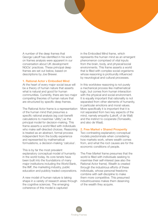A number of the deep frames that George Lakoff has identified in his work on frames analysis were apparent in our conversation about UK development NGOs' practices. These principal deep frames are set out below, based on descriptions by Joe Brewer.

## 1. Rational Actor v Embodied Mind

At the heart of every major social issue will be a theory of human nature that asserts what is natural and good for human communities. Currently, there are two major competing theories of human nature that are structured by specific deep frames.

The Rational Actor frame is a representation of the human mind that presumes a specific rational analysis (eg cost-benefit calculations to maximise 'utility') as the principal model for decision-making. This frame asserts a world filled with individuals who make self-directed choices. Reasoning is treated as an abstract, formal process independent from the bodily experience and represented by mathematical formulations, a decision-making 'calculus'.

This is by far the most prevalent explanatory conceptual model of humanity in the world today. Its core tenets have been built into the foundations of many major institutions including the World Bank, the IMF, the marketing industry, public education and publicly traded corporations.

A new model of human nature is taking shape in a variety of research areas through the cognitive sciences. The emerging coherence of this model is captured

in the Embodied Mind frame, which represents the human mind as an emergent phenomenon comprised of vital inputs from the brain, body, and physical/social environments. This frame asserts a world that is filled with complex social organisms whose reasoning is profoundly influenced by neurological and cultural processes.

In this worldview reasoning is not purely a mechanical process like mathematical logic, but comes from human interaction with the physical and social environment. It is equally important that rationality is not separated from other elements of humanity, in particular emotions and moral values. More specifically it is important that it is not separated from two key aspects of the mind, namely *empathy* (Lakoff, cf de Wall) and the instinct to cooperate (Tomasello, and also de Waal).

## 2. Free Market v Shared Prosperity

Two contrasting explanatory conceptual models predominate when considering how markets work, where wealth comes from, and what the root causes are for the economic conditions of people.

The *Free Market* frame presumes that the world is filled with individuals seeking to maximise their self-interest (see also the Rational Actor frame). Wealth is created through the industrious efforts of these individuals, whose personal freedoms combine with self-discipline to make them more competitive. This presumed industriousness makes them deserving of the wealth they acquire.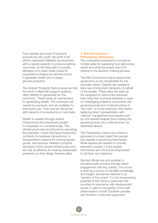Free markets are moral: If everyone pursues his own profit, the profit of all will be maximised. Markets are endowed with a natural capacity to produce optimal outcomes, so the best path to poverty alleviation is to open trade routes for corporations (treated as rational actors) to generate wealth and increase general prosperity.

The *Shared Prosperity* frame presumes that the world is filled with support systems, often referred to generically as 'the commons'. These serve as mechanisms for generating wealth. The commons are owned by everyone, and are available for everyone's use. They may be natural (as with aspects of ecosystems) or manmade.

Wealth is created through shared infrastructure that empowers people to cooperate on a societal scale. This infrastructure may be schools for educating the populace, courts that issue trustworthy contracts for business transactions, or transportation systems for moving people, goods, and services. Markets comprise one piece of this shared infrastructure and are only as effective at creating widespread prosperity as their design features allow.

# 3. Elite Governance v Participatory Democracy

Two contrasting explanatory conceptual models arise for explaining how democracy works and what the proper role is for citizens in the decision-making process.

The *Elite Governance* frame asserts that governance is too complicated for the everyday citizen. Experts are needed to take care of important decisions on behalf of the people. These elites are seen as the vanguard for democracy because they bring their technical expertise to bear on challenging problems and protect the governing body from irrational whims of 'the mob'. In some instances, this means replacing direct representation with 'rational' management procedures such as cost-benefit analysis (thus making the governing body into a rational actor, as described above).

The *Participatory Democracy* frame is grounded in a basic belief that people are capable of governing themselves. While experts are needed to provide essential counsel, it is the people themselves who should be empowered to set their own trajectory.

Elected officials are accountable to the democratic process through direct engagement with key publics. The crowd is seen as a source of valuable knowledge and insight, sometimes referred to as 'wisdom of the crowd'. It is the empowering potential of this frame in particular that provides its resonance with development issues: it calls for recognition of the selfdetermination of both Southern peoples and Northern consumer-supporters.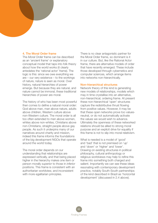# 4. The Moral Order frame

The *Moral Order* frame can be described as an 'ancient frame' or explanatory conceptual model that taps into folk theory about how the world works (it clearly antedates the 'rational actor' frame). The logic is this: since we owe everything we are – our very existence – to the workings of nature, nature is seen as moral. Over history, natural hierarchies of power emerge. But because they are natural, and nature cannot be immoral, these traditional hierarchies of power are moral.

The history of who has been most powerful then comes to define a natural moral order: God above man, man above nature, adults above children, Western culture above non-Western culture. The moral order is all too often extended to men above women, whites above non-whites, Christians above non-Christians, straight people above gay people. As such it underpins many of our narratives around charity and mission, indeed this frame informs the foundations of the big development NGOs that operate around the world today.

The moral order depends on our understanding that relationships are expressed vertically, and that being placed higher in the hierarchy makes one item or person morally *superior* to those in *inferior* positions. This frame is consistent with an authoritarian worldview, and inconsistent with more egalitarian principles.

There is no clear antagonistic partner for the Moral Order frame, so dominant is it in our culture. But, like the Rational Actor frame, there are alternative models of order that have recently emerged. These include those developed through cybernetics and computer sciences, which arrange items into networks non-hierarchically.

## Non–hierarchical structures

Network theory of this kind is generating new models of relationships, models which may in time crystallise into an alternative, non-hierarchical, ordering frame. At present these non-hierarchical 'open' structures capture the redistributive thrust flowing from positive values. However, it may be that these open networks prove too valuesneutral, or do not automatically activate the values we would wish to advance. Ultimately the openness of these networked relations should be allied to strong moral purpose and an explicit drive for equality if this frame is not to slip into moral relativism.

What is needed is a model of 'good' and 'bad' that is not premised on 'up' and 'down' or 'higher' and 'lower'. Drawing on existing structures in political philosophy, cultural anthropology or religious worldviews may help to refine this frame into something both charged and salient. Importantly we can see these ideas resonating with contemporary development practice, notably South-South partnerships of the kind described in Brazil as 'horizontal development' (discussed in 2.4 above).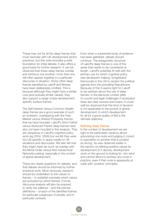These may not be all the deep frames that most resonate with UK development sector practices, but this suite provides a solid foundation for initial debate. It also offers a good basis for further research. It can be observed that these deep frames overlap and reinforce one another; more than one will often appear together in a particular discourse or situation. Some other deep frames identified by Lakoff and Brewer have been deliberately omitted. This is because although they might have a similar core (and activate similar values), they also support a range of less developmentspecific surface frames.

The Self Interest versus Common Wealth deep frames are a good example of such an omission, overlapping with the Free Market versus Shared Prosperity frames that we have included. Lakoff's Strict Father versus Nurturant Parent deep frames have also not been included in this analysis. They are ubiquitous in Lakoff's cognitive policy work (eg 2004; 2008) but we felt they were too US-specific to apply readily to UK situations and discourses. We also felt that they might clash as much as overlap with the Moral Order versus Non-hierarchical Networks pairing, especially in the context of global development.

These are clearly questions for debate, and that debate should be informed by further empirical work. Most obviously, research should be undertaken to link values to frames – to establish precisely which values are activated by which frames. Formal discourse analysis will also be required to verify the salience – and the precise definitions – of each of the identified frames for particular subgroups of people, and in particular contexts.

Even when a substantial body of evidence has been gathered, debate should continue. The antagonistic structure of Lakoff's deep frames is one of the areas that needs to be considered at length. Lakoff's polarities fit well with the primary use for which cognitive policy was developed: helping 'progressive' Democrats in the US to reclaim the political agenda from the prevailing Republicans. Because of this it seems right for Lakoff to be partisan about the use of deep frames: in the electoral context (after re-counts and legal challenges if necessary) there are clear winners and losers. It could well be observed that this kind of dynamic is not applicable to the pursuit of global development, in which development for all (or a good quality of life) is the ultimate objective.

## Refining deep frames

In the context of development we are right to be particularly cautious about advocating one route and judging it correct in opposition to another that is posited as wrong. As was observed earlier in the section on refining positive values for development (2.4 above), development work on the ground is looking for 'win-wins' and cannot afford to eschew any route in practice, even if that route is apparently at odds with 'positive' principles.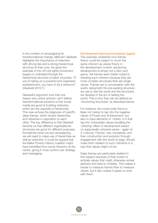In the context of campaigning for transformational change, Malcolm Gladwell highlights the importance of networks with strong ties and a strong hierarchical structure at their core. He gives the example of the US civil rights movement, largely co-ordinated through the hierarchical structure of black churches: *"If you're taking on a powerful and organised establishment, you have to be a hierarchy"* (Gladwell 2010:7).

Gladwell's argument runs that one reason why online activism can't deliver transformational solutions is that social media are good at building networks, which are the opposite of hierarchies. This view echoes the diagnosis of Lakoff's deep frames, which shows hierarchies and networks in opposition to each other. The key difference is that Gladwell reminds us that different organisational structures are good for different purposes. Sometimes when we are campaigning, we will need to make use of hierarchies as well as networks. It could be argued that the Make Poverty History coalition might have benefited from some hierarchy at the centre, giving it more control over strategy and messaging.

## Development blurring boundaries (again)

This example underlines how frames theory could be subject to much the same criticism as values theory in the development context: advancing development is simply not a zero-sum game. Yet frames seem better suited to resisting such criticism because they are more complex structures than are single values. Frames are in conversation with the world, being both the pre-existing structure we use to see the world and the structures we develop in the act of seeing the world. This is why they can be defined as 'structuring structures' as described above.

For instance, the moral order frame is likely not merely to tap into the negative values of Power and Achievement, but also to have elements of 'charity' in it that tap into Universalist values (recalling the 'othering' effect of development based on supposedly universal values – again at 2.4 above). Frames' very complexity, and their construction and evolution through engagement with the world at large, should make them resilient to such criticisms in a way that values might not be.

Deep frames are particularly resilient in this respect because of their power to activate values that might otherwise remain abstract and hard to mobilise. This makes it harder to measure frames than to measure values, but it also makes it easier to work with them.

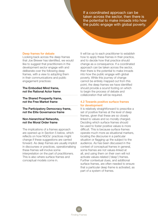If a coordinated approach can be taken across the sector, then there is the potential to make inroads into how the public engage with global poverty.

## Deep frames for debate

Looking back across the deep frames that Joe Brewer has identified, we would like to suggest that practitioners in the development sector engage with and deliberate over the following deep frames, with a view to adopting them in their communications and public engagement practices:

The Embodied Mind frame, not the Rational Actor frame

The Shared Prosperity frame, not the Free Market frame

The Participatory Democracy frame, not the Elite Governance frame

# Non-hierarchical Networks, not the Moral Order frame

The implications of a frames approach are opened up in Section 5 below, which reflects on how NGOs' practices might change if these suggestions are carried forward. As deep frames are usually implicit in discourses or practices, operationalising these frames will involve some interpretation on the part of practitioners. This is also where surface frames and conceptual models come in.

It will be up to each practitioner to establish how to apply these frames in their practice, and to decide how that practice should change as a consequence. If a coordinated approach can be taken across the sector, then there is the potential to make inroads into how the public engage with global poverty. While this journey of change cannot be entirely mapped out from this point, the deep frames we have identified should provide a sound footing on which to begin the process of debate and collaboration that will be required.

# 4.2 Towards positive surface frames for development

It is relatively straightforward to prescribe a set of positive frames at the level of deep frames, given that these are so closely linked to values and so morally charged. Deciding which surface frames should be used to foster positive values is more difficult. This is because surface frames operate much more as situational markers, locating the discourse in a particular situation or flagging up the subject to the audience. As has been discussed in the context of conceptual frames in general, some frames are not values-linked at all, and using them on their own will not activate values-related ('deep') frames. Further contextual clues, and additional surface frames, are often needed to ensure that a particular deep frame is activated, as part of a system of frames.

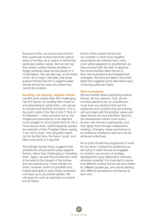Because of this, we cannot recommend that a particular surface frame be used in place of another, as a means of reinforcing particular positive values. But we can say that certain surface frames are likely to trigger particular deep frames (alone or in combination). We can also say, on the basis of the 'do no harm' principle, that those surface frames that link to negative deep frames should be used only where they cannot be avoided.

## Avoiding, not denying, negative frames

Lakoff's work makes clear that challenging harmful frames, by tackling them head on and attempting to refute them, only serves to activate and reinforce the frame. This is the point made in the title of *Don't Think of An Elephant!* – when exhorted not to, the images and associations of an elephant come straight to mind (Lakoff 2004:3). On a more serious level, Lakoff frequently quotes the example of then President Nixon saying 'I am not a crook!'; the US public heard, not for the first time, the frame 'crook' and Nixon was stuck in it (eg ibid).

Accordingly frames theory suggests that practitioners should avoid using negative frames, rather than challenging or repeating them. Again, we see that practitioners need to be wise to the impacts of the frames they are reproducing. There will also be times, however, when it is possible (and indeed desirable) to open these contested concepts up to structured debate. We will argue for such an approach at several points below.

Some of the surface frames that we consider to have more negative associations are outlined here; many more will be apparent to practitioners as they proceed with the task of applying the recommended deep frames to their communications and engagement strategies. We have provided a summary table that suggests some alternative ways of framing particular topics.

## Work in progress

We are hesitant about specifying positive frames, for two reasons. First, we are not best placed to do so: practitioners must work out solutions that suit the audiences and contexts they are working with and align with the positive values and deep frames we have identified. Second, the development sector must evolve its own new frames in partnership, and then apply them through collaborative working. Changing values and frames is an ambitious endeavour and can only be achieved collectively.

At no point should this programme of work be top-down. Instead the audiences we are trying to reach should be engaged in a bottom-up process of strategy development using deliberative methods, wherever possible. It is important to stress that different surface frames will work better for different audiences, who will be starting with different perceptions and frames of their own.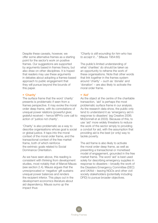Despite these caveats, however, we offer some alternative frames as a starting point for the sector's work on positive frames. Our suggestions are supported by arguments based in frames theory, but also draw on other disciplines. It is hoped that readers may use these arguments in debates about adopting a frames-based approach to public engagement that they will pursue beyond the bounds of this paper.

## • 'Charity'

The surface frame that the word 'charity' presents is problematic if seen from a frames perspective. It may evoke the moral order deep frame, with its connotations of unequal power relations (powerful giver, grateful receiver) – hence MPH's core call to action of 'justice not charity'.

'Charity' is also problematic as a way to describe organisations whose goal is social or global justice. It taps into the moral context of the moral order frame, and the transactional context of the free market frame, both of which reinforce the extrinsic goals related to Social Dominance Orientation.

As we have seen above, this reading is consistent with thinking from development studies, most notably that of Marcel Mauss (see section 2.4). Mauss argues that the unreciprocated or 'negative' gift sustains unequal power balances and renders the recipient inferior. This plays out in the development economics literature about aid dependency. Mauss sums up the impact thus:

*"Charity is still wounding for him who has to accept it..."* (Mauss 1954:65)

The public's limited understanding of what 'charities' do should be taken as an opportunity to reframe the work of these organisations. Note that other words that link together in the frames system around 'charity' – such as 'donate' and 'donation' – are also likely to activate the moral order frame.

# • 'Aid'

As the object at the centre of the charitable transaction, 'aid' is perhaps the most problematic surface frame in our analysis. As the research data show, the public only tend to understand it as 'emergency aid in response to disasters' (eg Creative 2006; McDonnell et al 2003). Because of this, to use 'aid' more widely threatens to reduce the work of the sector simply to providing a conduit for aid, with the assumption that providing aid is the best (or only) way to tackle poverty.

The aid frame is also likely to activate the moral order deep frame, as well as presenting a transactional or monetised model of engagement, grounded in the free market frame. The word 'aid' is best used solely for describing emergency supplies in response to disasters – broadly the work of the Disasters Emergency Committee (DEC) and UKAid – leaving NGOs and other civil society stakeholders (potentially including DFID) to pursue broader objectives.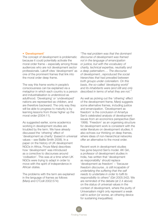## • 'Development'

The concept of development is problematic because it could potentially activate the moral order frame – especially among those audiences who are not development sector professionals. Lakoff cites 'development' as one of the prominent frames that link into the moral order deep frame.

The way this frame works in people's consciousness can be explained via a metaphor in which each country is a person and industrialisation is understood as adulthood. 'Developing' or 'undeveloped' nations are represented as children, and are therefore backward. The only way they will be able to progress to maturity is by learning lessons from those higher up the moral order (2004:11).

As suggested earlier, some academics working in development studies are troubled by the term. We have already discussed the 'othering' effect of 'development as charity' (based in universal values – see Baillie Smith 2008). In a paper on the history of UK development NGOs in Africa, Firoze Manji describes how 'development' was introduced as a corrective to discourses around 'civilisation'. This was at a time when UK NGOs were trying to adapt in order to move with the spirit of independence in African states.

The problems with the term are explained in the language of frames as follows (Manji and O'Coill 2002:574):

*"The real problem was that the dominant discourse of development was framed not in the language of emancipation or justice, but with the vocabulary of charity, technical expertise, neutrality and a deep paternalism…. The discourse of development...reproduced the social hierarchies that had prevailed between both groups under colonialism. On this basis, the so-called 'developing world' and its inhabitants were (and still are) only described in terms of what they are not."*

As well as picking out the 'othering' effect of the development frame, Manji suggests some alternative frames, including justice and emancipation. 'Development as freedom' is the conclusion of Amartya Sen's celebrated analysis of development issues from an economics perspective (Sen 1999). 'Freedom' as an organising structure for development work is consistent with the wider literature on development studies; it also echoes our thinking on deep frames, where ideas of non-hierarchical networks offer an alternative to the moral order.

Recent work in development studies has gone beyond Sen's model. AK Giri, a professor of development studies in India, has written that 'development as responsibility' should replace 'development as freedom' – *"because freedom discourse...is still incapable of undertaking the suffering that the self needs to undertake in order to fulfil its responsibility to others"* (Giri 2005:342). We are reminded of the debate (at 2.4 above) on the status of universal values in the context of development, where the purity of Universalism might only represent a weak call to action (or worse, an othering device for sustaining inequalities).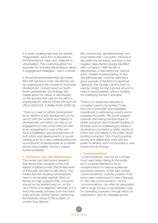It is worth recalling here that the specific 'Responsible' value item is allocated to the Benevolence value type, adjacent to Universalism. This could strengthen the argument for including Benevolence values in engagement strategies – see 2.3 above.

It should be emphasised that Giri (unlike Sen) still teaches in India. His framing can be understood in the context of 'horizontal development' models based on South-South partnerships. Accordingly, Giri makes space for values of self-interest, on the grounds that care for the self is a prerequisite for care for others (Giri and van Ufford 2003:254, in Baillie Smith 2008:15):

*"There is a need to rethink development as an initiative in self-development on the part of both the subjects and objects of development, and ethics not only as an engagement in care of the other but also as an engagement in care of the self. Such a redefinition and reconstruction of both ethics and development is a crucial starting point for a new understanding and reconstitution of development as a shared human responsibility, and as a shared human possibility."*

#### • 'Corruption' and 'aid effectiveness'

This review has cited recent research that shows that corruption is the only aspect of global poverty that all segments of the public are keen to talk about. This means that the resulting conversations need to be handled carefully. Work on frames strongly suggests that 'corruption' should not be tackled head on, on the 'don't think of an elephant' principle. It is a word that readily activates both the moral order and free market frames, reinforcing the insoluble nature of the problem of poverty thus defined.

We contend that 'aid effectiveness' isn't much better than 'corruption' because it sits within the aid frame, and links to the negative deep frames already identified with 'corruption'. With its talk of effectiveness, it also reinforces 'rational actor' models of policymaking. In fact, 'aid effectiveness' could be deemed a good example of the kind of superficial 'spinning' that George Lakoff is keen to expose: simply turning a phrase around to make it sound positive, without tackling the underlying frames it activates.

There is no doubt that attitudes to corruption need to be tackled: it has become a universally acknowledged impediment to addressing poverty and to engaging the public. We would suggest, however, that taking practical steps to tackle corruption (and financial iniquities of all kinds such as profiteering by banks in developing countries) is a better course of action than just talking to the public about tackling corruption. Out of such practical activity, and deliberative work with the public to develop and communicate it, new frames should emerge.

#### • 'Communications'

'Communications' may not be a phrase much used when talking to the public, but it could be deemed to be an unhelpful frame for internal audiences and sector partners. In the right context 'communications' could be positive, if the terms were understood to mean 'dialogue' or 'two-way communication'. As it is, 'communications' can often be associated with a range of tools, most probably used for marketing purposes, through which an organisation 'gets its message across'.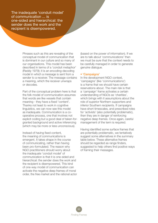The inadequate 'conduit model' of communication ... is one-sided and hierarchical: the sender does the work and the recipient is disempowered.

> Phrases such as this are revealing of the conceptual model of communication that is dominant in our culture and so many of our organisations. This model has been described in terms of a 'conduit metaphor' (Reddy 1979); it is an encoding-decoding model in which a message is sent from a sender to a receiver. The message contains a meaning, which the receiver unwraps or decodes.

> Part of the conceptual problem here is that the folk model of communication assumes that words are like vessels that contain meaning - they have a fixed 'content'. Thanks not least to work in cognitive linguistics, we can now see this model as inadequate. Communication is a cooperative process, one that involves not explicit coding but a good deal of taken-forgranted background and active inferencing (which may be more or less unconscious).

> Instead of having fixed content, the meaning of communications is emergent. It takes shape in the course of communicating, rather than having been pro-formulated. The reason why NGO practitioners should worry about the inadequate 'conduit model' of communication is that it is one-sided and hierarchical: the sender does the work and the recipient is disempowered. This kind of one-way model of communication can activate the negative deep frames of moral order, the free market and the rational actor

(based on the power of information). If we are to talk about 'communications' then we must be sure that the context needs to be carefully managed in order to generate genuine dialogue.

## • 'Campaigns'

In the development NGO context, 'campaigns' (like 'communications') is a frame that we should have certain reservations about. The main risk is that a 'campaign' frame activates a certain understanding of NGOs as 'charities', which brings with it assumptions about the role of superior Northern supporters and inferior Southern recipients. If campaigns have short timescales, and prescribed roles for 'activists' (also potentially problematic), then they are in danger of reinforcing negative deep frames. Once again, careful management of the term is required.

Having identified some surface frames that are potentially problematic, we tentatively suggest some alternatives in the summary table below. These alternative frames should be regarded as range finders, suggested to help others find positive ways of framing their messages.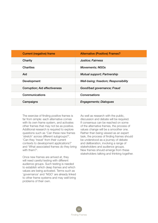| <b>Current (negative) frame</b>      | <b>Alternative (Positive) Frames?</b> |
|--------------------------------------|---------------------------------------|
| Charity                              | <b>Justice</b> ; Fairness             |
| <b>Charities</b>                     | <b>Movements; NGOs</b>                |
| Aid                                  | <b>Mutual support; Partnership</b>    |
| Development                          | Well-being; freedom; Responsibility   |
| <b>Corruption: Aid effectiveness</b> | Good/bad governance; Fraud            |
| Communications                       | Conversations                         |
| Campaigns                            | <b>Engagements; Dialogues</b>         |

The exercise of finding positive frames is far from simple: each alternative comes with its own frame system, and activates other frames that may not be as positive. Additional research is required to explore questions such as 'Can these new frames 'stretch' across different subgroups?', 'Can they 'travel' from their current contexts to development applications?' and 'What associated frames do they bring with them?'.

Once new frames are arrived at, they will need careful testing with different audience groups. Such testing is needed to establish which deep frames and which values are being activated. Terms such as 'governance' and 'NGO' are already linked to other frame systems and may well bring problems of their own.

As well as research with the public, discussion and debate will be required. If consensus can be reached on some of the alternative frames, the process of values change will be a smoother one. Rather than being viewed as an expert task, the process of finding frames should be understood as a journey of debate and deliberation, involving a range of stakeholders and audience groups. New frames should emerge from these stakeholders talking and thinking together.

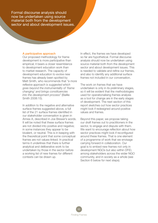Formal discourse analysis should now be undertaken using source material both from the development sector and about development issues.

## A participative approach

Our proposed methodology for frame development is more participative than empirical; it bears a closer resemblance to development education work than to market research. The capacity of development education to evolve new frames has already been spotted by Matt Smith, who recommends that *"a more reflexive approach is suggested which goes beyond the instrumentality of 'frame changing' and brings constituencies into the development process"* (Baillie Smith 2008:15).

In addition to the negative and alternative surface frames suggested above, a full list of the 21 surface frames identified in our stakeholder conversation is given in Annex A, described in Joe Brewer's words. It will be noted that these surface frames are not divided into positive and negative; in some instances they appear to be bivalent, or neutral. This is in keeping with the theoretical point that some conceptual frames are not values-linked. In practical terms it underlines that there is further analytical and deliberative work to be undertaken by those in the sector before a working list of new frames for different contexts can be drawn up.

In effect, the frames we have developed so far are hypothetical. Formal discourse analysis should now be undertaken using source material both from the development sector and about development issues. This is needed to validate and refine our frames, and also to identify any additional surface frames not included in our conversation.

The work on frames that we have undertaken is only in its preliminary stages, so it will be evident that the methodologies used for operationalising frames analysis as a tool for change are in the early stages of development. The next section of this report sketches out how sector practices might look if redesigned around positive values and frames.

Beyond this paper, we propose taking our draft frames out to practitioners in the sector, to engage and dispute with them. We want to encourage reflection about how sector practices might look if reconfigured around these frames. That is one element of a programme of work that we envisage carrying forward in collaboration. Our goal is to embed new frames not only in development NGOs but also within DFID, among stakeholders across the wider NGO community, and in society as a whole (see Section 6 below for next steps).

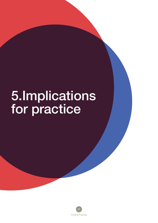# 5.Implications for practice

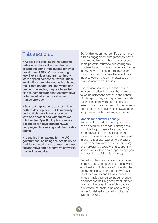# This section...

• Applies the thinking in the paper to date on positive values and frames, setting out some implications for what development NGOs' practices might look like if values and frames theory were applied across their work. These implications are intended as inputs into the urgent debate required within and beyond the sector; they are intended also to demonstrate the transformative potential of adopting a values and frames approach.

• Sets out implications as they relate both to development NGOs internally and to their work in collaboration with one another and with the wider third sector. Specific implications are described for development NGOs' campaigns, fundraising and charity shop teams.

• Identifies implications for the UK government, including the possibility of a wider convening role across the loose collaborative and deliberative networks that will be required.

So far, this report has identified that the UK public's engagement with global poverty is shallow and limited. It has also proposed some potential routes to addressing this problem, based in values theory and frames theory. Now, in this penultimate section, we explore the transformative effects such theories could have on the practices of development sector bodies.

The implications set out in this section represent challenging ideas that could be taken up across the sector. In the context of this report, they also represent concrete illustrations of how frames thinking can result in practical changes with the potential both to cut across everything NGOs do and to ripple outwards to re-engage the public.

## Models for behaviour change

Engaging the public in global poverty can be seen as a behaviour change task, in which the purpose is to encourage supportive actions for tackling global poverty. Those actions can be developed through direct approaches to the public (such as communications or fundraising), or by providing people with a supporting 'infrastructure' (such as shops, campaigns, and opening up fairtrade markets).

Behaviour change as a practical approach starts with an understanding of behaviour – or ideally multiple ways of understanding behaviour (just as in this paper we have used both values and frames theories). In recent guidance on behaviour change produced for the UK government (drafted by one of the co-authors of this paper) it is stressed that there is no one winning model for delivering behaviour change (Darnton 2008).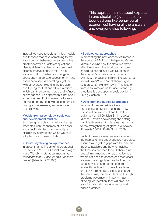This approach is not about experts in one discipline (even a loosely bounded one like behavioural economics) having all the answers, and everyone else following.

Instead we need to look at myriad models and theories that have something to say about human behaviour. In so doing, the practitioner will ask different questions, identify different problems, and suggest different interventions. In this kind of approach, doing behaviour change is about opening up safe spaces for thinking about behaviour, deliberating together with other stakeholders in the problem, and trialling multi-stranded interventions – which can then be monitored and refined, or abandoned. This approach is not about experts in one discipline (even a loosely bounded one like behavioural economics) having all the answers, and everyone else following.

# Models from psychology, sociology and development studies

Such an approach to behaviour change resonates with the themes of this paper, and specifically ties in to the multiple disciplinary approaches which we have adopted here. These include:

## • Social psychological approaches

In presenting his Theory of Interpersonal Behaviour in 1977, US social psychologist Harry Triandis wrote about models as *"concepts that will help people use their heads"* (Triandis 1977:283).

## • Sociological approaches

In presenting the new concept of frames in the context of Artificial Intelligence, Marvin Minsky explains how the slots in a frame effectively determine what questions we should be asking in a given situation. In the children's birthday party frame, for example, the questions might include 'what should I wear?' and 'what should I give as a present?' (Minsky 1974). This idea of frames as frameworks for understanding situations is developed in sociology by Erving Goffman (1974).

# • Development studies approaches

In calling for more deliberative and participative activities to generate new notions of development and build the legitimacy of NGOs, Matt Smith quotes Michael Edwards advocating the setting up of *"safe spaces for dialogue"* as central to the strengthening of global civil society (Edwards 2000 in Baillie Smith 2008).

Each of these approaches resonates with the themes of this paper and provides clues about how to get to grips with the different theories available and how to navigate the tensions between them. If there is no one winning model, then as practitioners we do not need to choose one theoretical approach and rigidly adhere to it. In this context, values and frames become lenses through which to read problems and think through possible solutions. At the same time, the act of thinking through problems becomes an important act of doing; deliberation itself will produce transformational change in sector and public practices.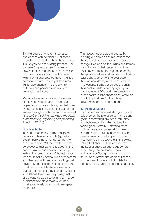Shifting between different theoretical approaches can be difficult. For those accustomed to finding the right answers, it is likely to be a frustrating process. For complex 'bigger than self' problems, however – including those characterised by blurred boundaries, as is the case with international development – multiple perspectives are likely to yield the most fruitful approaches. The capacity to shift between perspectives is key to developing solutions.

Marvin Minsky writes about this as one of the inherent strengths of frames as organising concepts. He argues that 'view changing' (ie shifting perspectives, or the frames through which a situation is viewed) *"is a problem-solving technique important in representing, explaining and predicting"* (Minsky 1974:26).

## No silver bullet

In short, as so many policy papers on behaviour change conclude (eg Defra 2008), there is no 'silver bullet' that we can turn to here. Yet the two theoretical perspectives that we chiefly adopt in this paper – values and frames – come up with a clear prescription of the objectives we should set ourselves in order to extend and deepen public engagement in global poverty. More research needs to be done to refine and validate these assertions. But for the moment they provide sufficient foundations to enable the primary task of deliberating as a sector, and with wider audiences and stakeholders, on how to reframe development, and re-engage the public.

This section opens up the debate by drawing out some clear implications for the sector about how our practices could change if we applied the values and frames prescriptions in their purest form. If we begin by reiterating the recommendation that positive values and frames should drive public engagement with global poverty, then we can identify a series of practical implications. Some cut across the entire third sector, while others apply only to development NGOs and their structures, or to specific public engagement activities. Finally, implications for the role of government are also spelled out.

# 5.1Positive values

This paper has reviewed strong empirical evidence on the role of certain values and goals in motivating pro-social attitudes and behaviours, including actions to tackle global poverty. Activating these intrinsic goals and universalism values should secure public engagement with development for the long term. It should also help to bring about a shift in societal values that should ultimately increase the pool of engaged public supporters. Importantly, the evidence shows that activating conflicting motivations – such as values of power and goals of financial success and image – will diminish the potential for sustained public engagement.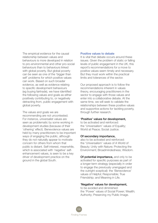The empirical evidence for the causal relationship between values and behaviours is more developed in relation to pro-environmental and other pro-social behaviours than to behaviours linked with global poverty. But global poverty can be seen as one of the 'bigger than self' problems for which positive values can work. Based on such broader evidence, as well as evidence relating to specific development behaviours (eg buying fairtrade), we have identified the following values and goals as either positively contributing to, or negatively detracting from, public engagement with global poverty.

The values and goals we are recommending are not uncontested. For instance, universalist values are seen as problematic by some working in development studies (because of their 'othering' effect). Benevolence values are held by many practitioners to be important ways of engaging the public, although they do not naturally appear to motivate concern for others from whom that public is distant. Self-interest, meanwhile, which is associated with 'negative' selfenhancement values, is seen to be a key driver of development practice on the ground in the global South.

## Positive values to debate

It is vital that debate occurs around these issues. Given the problem of static or falling levels of public engagement in the UK, this report's recommendations for a move to positive values seem timely and necessary. But they must work within the practical limits and tolerances of the sector.

Our proposed approach is to follow the recommendations inherent in values theory, encouraging practitioners in the sector to engage with those values and enter into a collaborative debate. At the same time, we will seek to validate the relationships between these positive values and supportive actions for tackling poverty, through further research.

## 'Positive' values for development,

to be activated and reinforced: the 'Universalism' values of Equality; World at Peace; Social Justice.

## Of secondary importance,

also to be activated and reinforced: the 'Universalism' values of A World of Beauty; Unity with Nature; Protecting the Environment; Broadmindedness; Wisdom.

Of potential importance, and only to be activated for specific purposes as part of a longer-term strategy (especially in order to engage the previously unengaged and the outright sceptical): the 'Benevolence' values of Helpful; Responsible; True Friendship; and Meaning in Life.

# 'Negative' values for development,

to be avoided and diminished: the 'Power' values of Social Power; Wealth; Authority; Preserving my Public Image.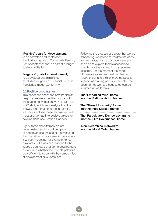# 'Positive' goals for development,

to be activated and reinforced: the 'Intrinsic' goals of Community Feeling; Self Acceptance; and, as part of a longer strategy, Affiliation.

# 'Negative' goals for development,

to be avoided and diminished: the 'Extrinsic' goals of Financial Success; Popularity; Image; Conformity.

# 5.2Positive deep frames

This paper has described how particular deep frames were identified as part of the staged conversation we held with key NGO staff, which was analysed by Joe Brewer. From that set of deep frames, we have identified those that we feel will most strongly tap into positive values for development (see Section 4 above).

Again, these deep frames are not uncontested, and should be opened up to debate across the sector. They should then be refined in response to that debate. It will be interesting, for example, to test how well our frames can respond to the 'blurred boundaries' of some development activity, and whether their simple polarities are sufficient to cope with the complexities of development NGO practices.

Following the process of debate that we are advocating, we intend to validate the deep frames through formal discourse analysis, and also to explore their relationship to specific positive values, through primary research. For the moment the status of these deep frames must be deemed hypothetical, and their primary purpose is to serve as starting points for debate. The deep frames we have suggested can be summed up as follows:

## The 'Embodied Mind' frame (not the 'Rational Actor' frame)

The 'Shared Prosperity' frame (not the 'Free Market' frame)

The 'Participatory Democracy' frame (not the 'Elite Governance' frame)

'Non-hierarchical Networks' (not the 'Moral Order' frame)

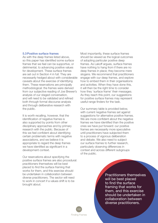## 5.3Positive surface frames

As with the deep frames listed above, so this paper has identified some surface frames that we feel can be supportive, or detrimental, to advancing positive values for development. These surface frames are set out in Section 4 in full. They are necessarily hedged about with considerable caveats about the exercise of identifying them. These reservations are principally methodological: the frames were derived from our subjective reading of Joe Brewer's analysis of our staged conversation, and will need to be validated and refined both through formal discourse analysis and through deliberative research with the public.

It is worth recalling, however, that the identification of negative frames is also supported by points from other disciplinary approaches and by primary research with the public. Because of this we feel confident about identifying certain problematic terms with negative associations, and we believe it is appropriate to regard the deep frames we have identified as significant in a development context.

Our reservations about specifying the positive surface frames are also procedural: practitioners themselves will be best placed to find the surface framing that works for them, and this exercise should be undertaken in collaboration between diverse practitioners. The sector will need to work in concert if a values shift is to be brought about.

Most importantly, these surface frames should be viewed as the logical outcomes of adopting particular positive deep frames. As Lakoff argues, surface frames have nothing to hang from if there are no deep frames in place; they become mere slogans. We recommend that practitioners engage with our deep frames, and explore how to embed them in their organisations and activities. When they have done this, it will then be the right time to consider how they 'surface frame' their messages. As they reach this point, our suggestions for positive surface frames may represent useful range finders for the task.

Our summary table is provided below, with current negative frames set against suggestions for alternative positive frames. We are more confident about the negative frames we have identified than the positive ones we have put forward: our positive frames are necessarily more speculative until practitioners have subjected them to a process of vigorous deliberation and debate. We also need to subject our surface frames to further research, particularly observing differences in context and across different subgroups of the public.

> Practitioners themselves will be best placed to find the surface framing that works for them, and this exercise should be undertaken in collaboration between diverse practitioners.

102 Finding Frames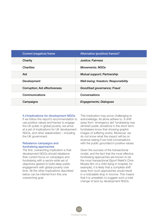| <b>Current (negative) frame</b>       | Alternative (positive) frames?      |
|---------------------------------------|-------------------------------------|
| Charity                               | <b>Justice</b> ; Fairness           |
| <b>Charities</b>                      | <b>Movements; NGOs</b>              |
| Aid                                   | Mutual support; Partnership         |
| Development                           | Well-being; freedom; Responsibility |
| <b>Corruption</b> ; Aid effectiveness | Good/bad governance; Fraud          |
| Communications                        | Conversations                       |
| Campaigns                             | <b>Engagements; Dialogues</b>       |

## 5.4 Implications for development NGOs

If we follow this report's recommendation to use positive values and frames to engage the UK public in global poverty, we arrive at a set of implications for UK development NGOs, and other stakeholders – including the UK government.

# Rebalance campaigns and fundraising approaches

The first, overarching implication is that development NGOs should rebalance their current focus on campaigns and fundraising with a sector-wide set of objectives geared to build deep public engagement with global poverty over time. All the other implications described below can be inferred from this one overarching goal.

This implication may prove challenging to acknowledge, let alone adhere to. A shift away from 'emergency aid' fundraising may diminish public donations in the short term: fundraisers know that showing graphic images of suffering works. Moreover, we do not know what the impact will be on revenue raising if we hold conversations with the public grounded in positive values.

Given the success of the transactional model, and the fact that the most effective fundraising approaches are known to be the most transactional (Sport Relief's Chris Moyles film of a child dying in hospital, for example), it is likely that a complete shift away from such approaches would result in a noticeable drop in income. This means that it is unrealistic to suggest such a total change of tack by development NGOs.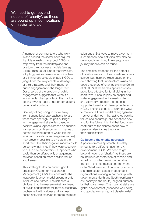We need to get beyond notions of 'charity', as these are bound up in connotations of mission and aid

> A number of commentators who work in and around the sector have argued that it is unrealistic to expect NGOs to step away from the marketplace and overturn their business models (see eg Baillie Smith 2008). But at the very least, adopting positive values as a critical lens or thinking device could enable NGOs to judge both the likely collateral damage of their strategies and their impact on public engagement in the longer term. Our analysis of the problem of public engagement suggests that without a fundamental change of tack, the gradual ebbing away of public support for tackling poverty will continue.

One way of beginning to move away from transactional approaches is to use them more sparingly, as part of longerterm engagement strategies based on positive values. Appeals based on financial transactions or disempowering images of human suffering (both of which tap into extrinsic motivations and negative frames) may prove impossible to give up in the short term. But their negative impacts could be somewhat limited if they were used only to pull in new supporters – supporters who could then be offered only engagement activities based on more positive values and frames.

This strategy builds on current good practice in Customer Relationship Management (CRM), but constructs the 'supporter journey' model around a shift in values and frames. The risk here is obvious: that the mass-market 'front–end' of public engagement will remain essentially unchanged, with values- and framesbased activities reserved for more engaged

subgroups. But ways to move away from such transactional activities may also be developed over time, if new supporterjourney models can be found.

The empirical evidence for the potential of positive values to drive donations is very scarce, but there are clues based on the data showing that universalism values are good predictors of charitable giving (Cohrs et al 2007). If the frames approach does prove less effective for fundraising in the short term, it should provide deeper and wider engagement in the medium term and ultimately broaden the potential supporter base for all development-sector NGOs. The challenge is to work out ways to move to a future model of engagement – as yet undefined – that activates positive values and secures public donations now and for the future. It is vital that fundraisers contribute to the debate about how to operationalise frames theory in their organisations.

## Go beyond the charity approach

A positive frames approach ultimately amounts to a different 'face' for UK development NGOs. We need to get beyond notions of 'charity', as these are bound up in connotations of mission and aid – both of which reinforce negative frames of the free market and the moral order. What we should be moving towards is a 'third sector' status: independent organisations working in partnership with governments North and South (particularly civil society in the South), aligned primarily by their core values. The goals at stake are global development (enhanced well-being) and good governance, not disaster relief.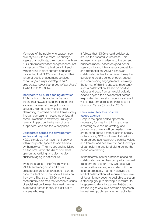Members of the public who support such new-style NGOs are more like change agents than activists; their contacts with an NGO are transformational experiences, not transactions. This implication is in keeping with thinking in development education, concluding that NGOs should regard their range of public engagement activities as *"an opportunity for dialogue and deliberation rather than a one-off purchase"*  (Baillie Smith 2008:14).

## Incorporate all public-facing activities

It follows from this reading of frames theory that NGOs should implement this approach across all their public-facing activities. Frames theory is clear that attempting to embed positive frames solely through campaigns messaging or brand communications is extremely unlikely to have an impact on the frames of core supporters, let alone the wider public.

## Collaborate across the development sector and beyond

NGOs simply do not have the firepower within the public sphere to shift frames by themselves. Their voices and activities are too small amid the din of comment, opinion, advertising, and day- to-day business raging in national life.

Even the biggest – like Oxfam, with its 99% brand recognition and a near ubiquitous high street presence – cannot hope to affect dominant social frames on their own. That said, NGOs are critical contributors in frames that dominate issues of social justice. Unless they lead the way in applying frames theory, it is difficult to imagine who might.

It follows that NGOs should collaborate around their shared values base. This represents a real challenge to the current business model, based on good donor stewardship and inter-agency competition and differentiation. As MPH showed, collaboration is hard to achieve. It may be sensible to build a series of open-ended and non-binding engagements, following the format of thinking spaces. Importantly such a collaboration, based on positive values and deep frames, would logically extend beyond the development sector – responding to the calls made for a shared values platform across the third sector in *Common Cause* (Crompton 2010).

## Stick resolutely to a positive values agenda

Despite the open-ended approach necessary for creating thinking spaces, a thoroughly joined-up strategy and programme of work will be needed if we are to bring about a frames shift in society. Collaborating NGOs will need to hold firm to an agreed agenda around positive values and frames, and not revert to habitual ways of campaigning and fundraising during the period of reframing.

In themselves, sector practices based on collaboration rather than competition would transform the sector. They would activate more positive values, associated with the 'shared prosperity' frame. However, this kind of collaboration will require a new level of focus. It may become desirable to set up a steering group to develop a medium- to long-term strategy for partner NGOs that are looking to ensure a common approach in designing public engagement activities.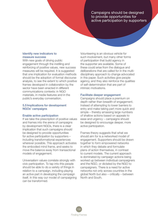Campaigns should be designed to provide opportunities for active participation by supporters

# Identify new indicators to measure success

With new goals of driving public engagement through the instilling and reinforcing of positive values, new success measures will be required. It is suggested that one implication for evaluation methods should be the adoption of formal discourse analysis, to see the extent to which positive frames developed in collaboration by the sector have been enacted in different communications contexts: in NGO materials, in media features and in the public's everyday conversation.

# 5.5 Implications for development NGOs' campaigns

## Enable active participation

If we take the prescription of positive values and frames into the arena of campaigns by development NGOs, there is a clear implication that such campaigns should be designed to provide opportunities for active participation by supporters – including transformational experiences wherever possible. This approach activates the embodied mind frame, and seeks to move the balance away from transactional models of engagement.

Universalism values correlate strongly with civic participation. To tap into this people should be able to do a variety of things in relation to a campaign, including playing an active part in developing the campaign itself. In this way our model of campaigning can be transformed.

Volunteering is an obvious vehicle for such involvement, but many other forms of participation that build agency in the supporter are available. Some of these could arise from the dialogue and deliberations that are called for in the multidisciplinary approach to change advocated in this paper. Such activities give people agency, and they also reinforce the qualities of self-determination that are part of intrinsic motivations.

## Facilitate deeper engagement

Campaigns should place a premium on depth rather than breadth of engagement. Instead of attempting to lower barriers to entry and make taking part more quick and simple – thereby amassing large numbers of shallow actions based on appeals to ease and urgency – campaigns should be designed to encourage deeper, more active participation.

Frames theory suggests that what we should aim for is a networked model of engagement. Supporters should be drawn together to form empowered networks in which they debate and formulate plans of action themselves, in contrast to current models. The current approach is dominated by campaign actions being worked up between individual campaigners and the NGO, or dictated by the NGO to campaigners. There is a need for active networks not only across countries in the global North but also – critically – between North and South.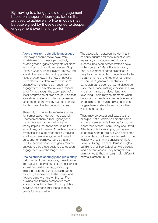By moving to a longer view of engagement based on supporter journeys, tactics that are used to achieve short-term goals may be outweighed by those designed to deepen engagement over the longer term.

## Avoid short-term, simplistic messages

Campaigns should move away from short-termism in messaging, notably anything that suggests complete solutions in short or imminent timescales (eg Stop Climate Chaos, Make Poverty History, End World Hunger) or claims of opportunity ("last chance to…"; "it's now or never"). Such claims too often inject short-term urgency at the expense of longer-term engagement. They also invoke a rational actor frame through the assumption of a linear progression of problem–solution that is rarely accurate, and which suppresses acceptance of the messy nature of change that is inherent within network frames.

There will, of course, be moments when tight timescales must be made explicit – sometimes there is real urgency or a make-or-break moment – but frames theory implies that these should be the exceptions, not the rule. As with fundraising strategies, it is suggested that by moving to a longer view of engagement based on supporter journeys, tactics that are used to achieve short-term goals may be outweighed by those designed to deepen engagement over the longer term.

## Use celebrities sparingly and judiciously

Following on from the above, the evidence from values theory suggests that celebrities should be used extremely judiciously. This is not just the same old point about matching the celebrity to the cause, and not overusing well known figures. From a values and frames perspective there is a fundamental problem in using highly individualistic consumer icons as focal points for a campaign.

The association between the dominant celebrity culture and consumerist values (especially social power and financial success) has been demonstrated above, in the context of Make Poverty History. The involvement of some celebrities is likely to forge unwanted connections to the negative frame of the free market. Using celebrities to generate headlines for a campaign can serve to draw its discourse up to the surface, making it broad, shallow and short, instead of deep, long and rewarding. There may be moments when brevity and a simple and immediate impact are desirable, but again only as part of a longer- term strategy based on positive values and frames.

There may be exceptional cases to this principle. Not all celebrities are the same, and some are regarded less as 'consumer icons' than others. Lenny Henry and David Attenborough, for example, can be seen as people in the public eye who hold some moral authority but are not obviously on the 'celebrity circuit'. In his analysis of Make Poverty History, Graham Harrison singles out Bono and Bob Geldof as two particular (and different) cases. They brought their own frames to the campaign, with different effects (Harrison 2010).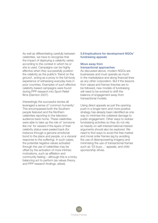As well as differentiating carefully between celebrities, we have to recognise that the impact of deploying a celebrity varies according to the context in which he or she is used. Campaigns can be highly effective when they successfully position the celebrity as the public's 'friend on the ground', acting as a proxy to the full-body experience of witnessing everyday lives in poor countries. Examples of such effective celebrity-based campaigns were found during PPP research into Sport Relief films (Darnton 2007).

Interestingly the successful stories all leveraged a sense of 'common humanity'. This encompassed both the Southern people featured and the Northern celebrities reporting to the television audience back home. These celebrities were able to take up the role of 'someone like me' for viewers if the layers of their celebrity status were peeled back (for instance through a genuine emotional bond to the place and people, or a visceral response to the suffering). In such cases, the potential negative values activated through the use of celebrities may be offset by the activation of more intrinsic motivations, such as affiliation and community feeling – although this is a tricky balancing act to perform (as values theory, and PPP research findings, attest).

# 5.6 Implications for development NGOs' fundraising appeals

## Move away from transactional approaches

As discussed above, modern NGOs are businesses and must operate as much in the marketplace and along financial lines as any other corporation. But if the lessons from values and frames theories are to be followed, new models of fundraising will need to be evolved to shift the balance of engagement away from transactional models.

Using direct appeals as just the opening push in a longer-term and more positive strategy has already been identified as one way to minimise the collateral damage to public engagement. Other ways to redraw fundraising activities so they do not rely so heavily on self-interest/national interest arguments should also be explored. We need to find ways to avoid the free market and moral order frames (eg by avoiding the use of disempowering imagery) and minimising the use of transactional frames such as '£5 buys…' appeals, and child sponsorship drives.

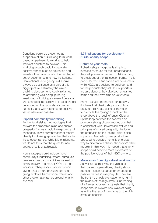Donations could be presented as supportive of an NGO's long-term work, based on partnership working to help recipient countries to develop. This kind of approach could incorporate positive frames such as education and infrastructure projects, and the building of better governance and new institutions. Conventional 'emergency' aid should always be positioned as a part of this bigger picture. Ultimately the aim is enabling development, ideally reframed as advancing well-being, pursuing freedoms, or building a sense of personal and shared responsibility. This case should be argued on the grounds of common humanity, and with reference to positive values wherever possible.

## Expand community fundraising

Further fundraising methodologies that activate the embodied mind and shared prosperity frames should be explored and enhanced, as we currently cannot readily identify fundraising approaches that evoke these deep frames. While it is challenging, we do not think that the quest for new approaches is unachievable.

New strategies could include more community fundraising, where individuals take an active part in activities instead of relying heavily – as many NGOs do – on individual 'chequebook' or direct-debit giving. These more prevalent forms of giving reinforce transactional frames and other problematic frames around 'charity' and 'aid'.

# 5.7 Implications for development NGOs' charity shops

#### Return to your roots

If charity shops' purpose is simply to increase revenues for their organisations, they will present a problem to NGOs trying to break out of the transaction frame. In this particular frame supporters are consumers, while NGOs are seeking to build demand for the products they sell. But supporters are also donors: they give both unwanted items and their own time as volunteers.

From a values and frames perspective, it follows that charity shops should go back to their roots, doing all they can to promote the 'giving' aspects of the shop above the 'buying' ones. Closing up the loop between the two will also provide a strong circular model, one that is consistent with Universalism values and principles of shared prosperity. Reducing the emphasis on the 'selling' side is also important. Not selling new product (as opposed to donated items) is one clear way to differentiate charity shops from other models. In this way, it is hoped that charity shops could become more expressive of the positive values of their NGO owners.

#### Move away from high-street retail norms

As well as exemplifying the values of their parent organisations, charity shops represent a rich resource for embedding positive frames in everyday life. They are the frontline of public engagement, right in the middle of the high street. Our reading of a frames approach suggests that charity shops should explore new ways of being as unlike the rest of the shops on the high street as possible.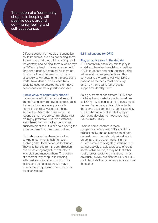The notion of a 'community shop' is in keeping with positive goals around community feeling and self-acceptance.

> Different economic models of transaction could be trialled, such as not pricing items (buyers pay what they think is a fair price in the context) and holding items such as toys or DVDs in a lending library arrangement for a short period, before selling them on. Shops could also be used much more effectively as windows onto the developing world. New ideas such as video links could be used to develop transformative experiences for the supporter-shopper.

#### A new wave of community shops?

Recent work with Oxfam on values and frames has uncovered evidence to suggest that not all shops are as potentially harmful to positive values as others. Across the Oxfam shops network, it is reported that there are certain shops that are highly profitable. But this profitability is not linked to their having the sharpest business practices. It is all about having the strongest links into their communities.

Such shops can be characterised as serving a 'community hub' function, enabling other local networks to flourish. They also benefit from the self-direction and sense of agency of the volunteers who staff and manage them. The notion of a 'community shop' is in keeping with positive goals around community feeling and self-acceptance. It may in time come to represent a new frame for the charity shop.

## 5.8 Implications for DFID

## Play an active role in the debate

DFID potentially has a key role to play in enabling otherwise financially competitive NGOs to debate and plan together using values and frames perspectives. This convenor role would fit well with DFID's position as the body most obviously driven by the need to foster public support for development.

As a government department, DFID does not have to compete for public donations as NGOs do. Because of this it can almost be seen to be non-partisan. It is notable that some development academics identify DFID as having a central role to play in promoting development education (eg Baillie Smith 2008).

There is some idealism in these suggestions, of course: DFID is a highly political entity, and an expression of both domestic and international political intent on behalf of the government. If in the current climate of budgetary restraint DFID cannot actively enable a process of crosssector collaboration, it may be that other neutral cross-sector organisations – most obviously BOND, but also the DEA or IBT – could facilitate the necessary debate across the sector.

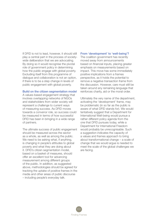If DFID is not to lead, however, it should still play a central part in the process of societywide deliberation that we are advocating. By doing so it would recognise the pivotal role of government policy in determining how the public engage with global poverty. Excluding itself from this programme of dialogue and collaboration is not an option, if there is to be a step change in levels of public engagement with global poverty.

#### Build on the citizen segmentation model

A values-based engagement strategy that involves overlapping networks of NGOs and stakeholders from wider society will represent a challenge to current ways of measuring success. As DFID moves towards a convenor role, so success could be measured in terms of how successful DFID has been in bringing in a wide range of partners.

The ultimate success of public engagement should be measured across the sector as a whole, as well as among the public. We need to be asking what, if anything, is changing in people's attitudes to global poverty and what they are doing about it. DFID's citizen segmentation model, based on a basket of measures, should offer an excellent tool for advancing measurement among different groups of the public. In addition, as suggested above, methodologies should be agreed for tracking the uptake of positive frames in the media and other areas of public discourse – including people's everyday talk.

#### From 'development' to 'well-being'?

The coalition government has recently moved away from announcements based on financial inputs, placing greater emphasis on measurements based on impact. This move has some immediately positive implications from a frames perspective, as it holds the potential to remove a negative transaction frame from the discussion. However, care must still be taken around any remaining language that reinforces charity, aid or the moral order.

Ultimately the very name of the department, activating the 'development' frame, may be problematic (in so far as the public is aware of what DFID stands for). We would tentatively suggest that a Department for International Well-being would pursue a rather different policy agenda from the one that DFID pursues today, while a Department for International Freedom would probably be unrecognisable. Such a suggestion indicates the capacity of a values and frames approach to bring about transformational change – a scale of change that we would argue is needed to meet the scale of the global challenges we are facing.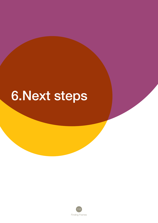# 6.Next steps

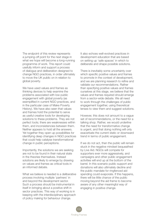The endpoint of this review represents a jumping-off point for the next stage in what we hope will become a long-running programme of work. This report could usefully inform and support a process of dialogue and deliberation designed to change NGO practices, in order ultimately to move the UK public on in relation to global poverty.

We have used values and frames as thinking devices to help examine the problems associated with low public engagement with global poverty (as exemplified in current NGO practices, and in the particular case of Make Poverty History). We have also seen that values and frames hold the potential to serve as useful creative tools for developing solutions to these problems. They are not perfect tools; there are weaknesses within them, and inconsistencies between them. Neither appears to hold all the answers. Yet together they open up possibilities for identifying deep changes in NGO practices that could help catalyse transformational change in public perceptions.

Importantly, the solutions we are seeking are not to be found in their natural state in the theories themselves. Instead solutions are likely to emerge by drawing on values and frames as critical tools in an informed debate.

What we believe is needed is a deliberative process involving multiple 'partners' in and beyond the development sector. Such a process should be instrumental in itself in bringing about a positive shift in sector practices. This way of working is in keeping with the interdisciplinary approach of policy making for behaviour change.

It also echoes well-evolved practices in development education that are based on setting up 'safe spaces' in which to deliberate and shape possible solutions.

There is inevitably some uncertainty over which specific positive values and frames to promote in the context of development, and we are planning research to refine and validate our recommendations. Rather than specifying positive values and frames ourselves at this stage, we believe that the values and frames required should emerge from a sector-wide debate. We all need to work through the challenges of public engagement together, using theoretical lenses to view them and suggest solutions.

However, this does not amount to a vague set of recommendations, or the need for a talking shop. Rather, we would underline that the need for transformative change is urgent, and that doing nothing will only exacerbate the current static or downward trend in terms of public engagement.

If we do not act, then the public will remain stuck in the negative mindset bequeathed by Live Aid. NGOs will compete for supporters ever more aggressively, and campaigns and other public engagement activities will end up at the bottom of the barrel. In this scenario public support and donations will also ultimately decline and the public mandate for ringfenced aid spending could evaporate. If this happens, there will be little chance of the public moving beyond the aid frame to become aware of any other meaningful way of engaging in positive change.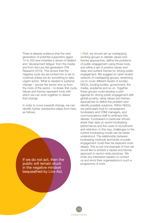There is already evidence that the next generation of potential supporters (aged 14 to 20) have inherited a sense of fatalism and 'development fatigue' from the media and from the Live Aid generation (TW Research 2010). This shows that the negative cycle we are locked into is set to continue unless we do something to take urgent action. What is needed is systemic change – across the sector and up from the roots of the sector – to break that cycle. Values and frames represent tools with which we can work together to deliver that change.

In order to move towards change, we can identify further substantive steps from here, as follows:

If we do not act, then the public will remain stuck in the negative mindset bequeathed by Live Aid.

i) First, we should set up overlapping working groups to debate values and frames approaches, define the problems of public engagement using those tools, and refine a set of positive values and deep and surface frames for driving public engagement. We suggest an open-ended network of overlapping groups, stretching out to cover different facets of society: NGOs, funding bodies, government, the media, academia and so on. Together these groups could develop a joint agenda for driving public engagement with global poverty, using values and frames approaches to define the problem and identify possible solutions. Within NGOs, we particularly look to campaigners, fundraisers and CRM managers, and communications staff to embrace this debate. Fundraisers in particular should share their data on recent fundraising performance and the costs of recruitment and retention; in this way, challenges to the current fundraising model can be better understood. The relationship between fundraising methods and levels of public engagement could then be explored more deeply. This is just one example of how we would like to embed a values and frames approach in sector-wide practices. We invite any interested readers to contact us and enrol their organisations in such a programme of work.

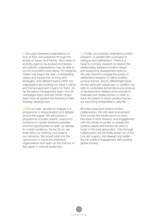ii) We urge interested organisations to look at their own practices through the lenses of values and frames. New ways of working need to be evolved and tested, and specific organisations may be able to do this innovation work alone. For instance, Oxfam has begun the task of embedding values and frames into its long-term strategies, and different teams within the organisation are working out what a values and frames approach means for them. So far the senior management team, the UK campaigns team and the Oxfam shops team have all applied this thinking to their strategy development.

iii) For our part, we plan to engage in a programme of dissemination and debate around this paper. We will pursue a programme of public events, respond to invitations to speak wherever possible, and find opportunities to open up debate to a wider audience. As we do so, we shall refine our thinking, and extend our networks. We would welcome the opportunity to come into individual organisations and open up the themes of this paper to internal audiences.

iv) Finally, we propose undertaking further research, in parallel with a process of dialogue and deliberation. There is a need for primary research to explore the relationships between positive values and supportive development actions. We also intend to engage the public in deliberative research to refine positive surface frames, and to differentiate these across particular subgroups. In addition we wish to undertake formal discourse analysis of development-related communications materials and media stories, in order to track the extent to which positive frames are becoming embedded in daily life.

All these proposed actions involve collaboration. We will need involvement from across the whole sector to carry this area of work forward, and engagement with the whole of society to embed the positive values and frames we wish to foster in the next generation. Only through collaboration will we finally break out of the Live Aid Legacy, and deepen and widen the UK public's engagement with tackling global poverty.

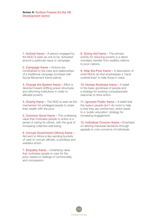1. Activist frame - A person engaged by the NGO is seen as one to be 'activated' around a particular issue or campaign.

2. **Campaign frame –** Actions are constrained to the roles and relationships of a traditional campaign (contrast with Social Movement frame below).

**3. Change the System frame - Effort is** directed toward shifting power structures and reforming institutions in order to alleviate poverty.

4. Charity frame - The NGO is seen as the mechanism for privileged people to share their wealth with the poor.

5. Common Good frame – The underlying value that motivates people to action is a sense of caring for others, with the goal of increasing collective well-being.

6. Corrupt Government (Africa) frame – Aid sent to Africa is like sending buckets of cash to corrupt officials, a pointless and wasteful action.

7. Empathy frame - Underlying value that motivates people to care for the poor, based on feelings of commonality and compassion.

8. Giving Aid frame - The primary activity for reducing poverty is a direct monetary transfer from wealthy nations to poor nations.

9. Help the Poor frame – A description of what NGOs do that emphasises a 'hand outstretched' to help those in need.

10. Human Kindness frame – A belief in the basic goodness of people and a strategy for evoking compassionate response to drive action.

11. Ignorant Public frame - A belief that the reason people don't do more to help is that they are uninformed, which leads to a 'public education' strategy for increasing engagement.

12. Individual Concern frame - Emphasis on altering individual decisions through appeals to core concerns of individuals.

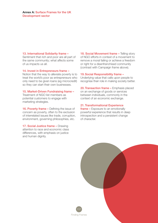## 13. International Solidarity frame –

Sentiment that rich and poor are all part of the same community; what affects some of us impacts us all.

## 14. Invest in Entrepreneurs frame –

Notion that the way to alleviate poverty is to treat the world's poor as entrepreneurs who only need to be given loans (eg microcredit) so they can start their own businesses.

## 15. Market-Driven Fundraising frame –

Treatment of NGO list members as potential customers to engage with marketing strategies.

16. Poverty frame – Defining the issue of concern as poverty, often to the exclusion of interrelated issues like trade, corruption, environment, governing philosophies, etc.

17. Social Justice frame - Drawing attention to race and economic class differences, with emphasis on justice and human dignity.

18. Social Movement frame - Telling story of NGO efforts in context of a movement to remove a moral failing or achieve a freedom or right for a disenfranchised community (contrast with Campaign frame above).

#### 19.Social Responsibility frame –

Underlying value that calls upon people to recognise their role in making society better.

20. Transaction frame – Emphasis placed on an exchange of goods or services between individuals, commonly in the context of an economic exchange.

# 21. Transformational Experience

frame - Exposure to an emotionally powerful experience that results in deep introspection and a persistent change of character.

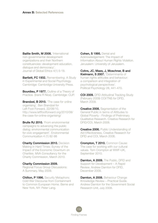Baillie Smith, M 2008. 'International non-governmental development organizations and their Northern constituencies: development education, dialogue and democracy'. Journal of Global Ethics 4(1) 5-18.

**Bartlett, FC 1932.** Remembering: A Study in Experimental and Social Psychology. Cambridge: Cambridge University Press.

**Bourdieu, P 1977.** Outline of a Theory of Practice. (trans R Nice). Cambridge: CUP.

**Brandzel, B 2010.** 'The case for online organising'. Ben Brandzel for Left Foot Forward, 22/08/10, http://www.leftfootforward.org/2010/08/ the-case-for-online-organising/

**Brulle RJ 2010.** 'From environmental campaigns to advancing the public dialog: environmental communication for civic engagement'. Environmental Communication 4 (1) 82-98

**Charity Commission 2010.** Decision Making in Hard Times: Survey of the Impact of the Economic Downturn on Charities. MVA Consultancy for the Charity Commission, March 2010.

#### Charity Commission 2009.

Regional Focus Group Discussions: A Summary. May 2009.

**Chilton, P 1996.** Security Metaphors: Cold War Discourse from Containment to Common European Home. Berne and New York, NY: Peter Lang.

Cohen, S 1995. Denial and Acknowledgement: The Impact of Information About Human Rights Violation. Jerusalem: University of Jerusalem.

Cohrs, JC, Maes, J, Moschner, B and Kielmann, S 2007. 'Determinants of human rights attitudes and behaviour: a comparison and integration of psychological perspectives'. Political Psychology 28, 441-470.

**COI 2009.** DFID Attitudinal Tracking Study (February 2009) COI/TNS for DFID, March 2009.

**Creative 2008.** Segmentation of the General Public in terms of Attitudes to Global Poverty - Findings of Preliminary Qualitative Research. Creative Research for DFID/COI, March 2008.

**Creative 2006.** Public Understanding of Aid Effectiveness, Creative Research for DFID and COI, March 2006.

Crompton, T 2010. Common Cause: The case for working with our cultural values. Tom Crompton at WWF-UK, September 2010.

**Darnton, A 2009.** The Public, DFID and Support for Development – A Rapid Review. Andrew Darnton for DFID, December 2009.

Darnton, A 2008. Behaviour Change Knowledge Review – Practical Guide. Andrew Darnton for the Government Social Research Unit, July 2008.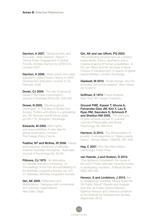Darnton, A 2007. 'Global poverty and the public' desk research. Report 1: Driving Public Engagement in Global Poverty. Andrew Darnton for DFID/COI, October 2007.

**Darnton, A 2006.** 'Mass action and mass education: Make Poverty History in 2005'. Development Education Journal 12 (2), February 2006

**Doran, CJ 2009.** 'The role of personal values in fair trade consumption'. Journal of Business Ethics 84, 549-563.

Dower, N 2005. 'Situating global citizenship'. In The Idea of Global Civil Society: Politics and ethics in a globalising era, RD Germain and M Kenny (eds), pp103-118. Abingdon: Routledge.

Edwards, M 2000. NGO rights and responsibilities: A new deal for global governance. London: The Foreign Policy Centre.

Feather, NT and McKee, IR 2008. Values and prejudice: predictors of attitudes towards Australian Aborigines'. Australian Journal of Psychology 60, 80-90.

**Fillmore, CJ 1975.** 'An alternative to checklist theories of meaning'. In Proceedings of the First Annual Meeting of the Berkeley Linguistics Society, pp 123- 31. Berkeley: Berkeley Linguistics Society.

Giri, AK 2005. Reflections and Mobilizations. Dialogues with movements and voluntary organizations. New Delhi: Sage.

# Giri, AK and van Ufford, PQ 2003.

'Reconstituting development as a shared responsibility. Ethics, aesthetics and a creative shaping of human possibilities'. In PQ van Ufford and AK Giri (eds) A Moral Critique of Development: In search of global responsibilities. London: Routledge.

**Gladwell, M 2010.** 'Small change: why the revolution will not be tweeted'. New Yorker 04/10/2010.

Goffman. E 1974. Frame Analysis. New York, NY: Harper Colophon.

Grouzet FME, Kasser T, Ahuvia A, Fernandez-Dols JM, Kim Y, Lau S, Ryan RM, Saunders S, Schmuck P and Sheldon KM 2005. 'The structure of goal contents across 15 cultures'. Journal of Personality and Social Psychology, 89, 800-816.

Harrison, G 2010. 'The Africanization of poverty: A retrospective on 'Make poverty history'. African Affairs 109(436), 391-408.

Hay, C 2007. Why We Hate Politics. Cambridge: Polity Press.

#### van Heerde, J and Hudson, D 2010.

'The righteous considereth the cause of the poor? Public attitudes towards poverty in developing countries'. Political Studies 58(3) 389-409.

Henson, S and Lindstrom, J 2010. Aid to Developing Countries: Where Does the UK Public Stand? Results and Analysis from the UK Public Opinion Monitor. Spencer Henson and Johanna Lindstrom at the Institute for Development Studies, September 2010.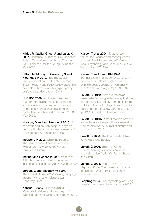Hilder, P, Caulier-Grice, J and Lalor, K 2007. Contentious Citizens: Civil Society's Role in Campaigning for Social Change. Paul Hilder et al for the Young Foundation, May 2007.

Hilton, M, McKay, J, Crowson, N and Mouhot, J-F 2010. 'The Big Society: Civic participation and the state in modern Britain. History and Policy policy paper 103, available at http://www.historyandpolicy. org/papers/policy-paper-103.html

HoC IDC 2009. Aid Under Pressure: Support for development assistance in a global economic downturn, House of Commons international development committee, fourth report of session 2008-9. May 2009.

Hudson, D and van Heerde, J 2010. 'A mile wide and an inch deep: surveys on public attitudes towards development aid'. Development & Change (in press).

**Iacoboni, M 2008.** Mirroring People: The new science of how we connect with others. New York, NY: Farrar, Straus and Giroux.

**Instinct and Reason 2009. Community** Attitudes Study: choice model report. Instinct and Reason for AusAID, June 2009.

Jordan, G and Maloney, W 1997. The Protest Business? Mobilizing campaign groups. Manchester: Manchester University Press.

Kasser, T 2009. 'Oxfam's Values, Materialistic Values and Campaigning'. Working paper for Oxfam, November 2009.

Kasser. T et al 2004. 'Materialistic values: their causes and consequences'. Chapter 2 in T Kasser and AD Kanner (eds.) Psychology and Consumer Culture. Washington, DC: APA.

# Kasser, T and Ryan, RM 1996.

'Further examining the American dream: differential correlates of intrinsic and extrinsic goals'. Journal of Personality and Social Psychology 22(3), 280-287.

Lakoff. G 2010a. 'We are the polar bears: what's wrong with the way that the environment is currently framed'. In From Hot Air to Happy Endings: How to inspire public support for a low carbon society (pp12-15). London: Green Alliance.

Lakoff, G 2010b. 'Why it matters how we frame the environment'. Environmental Communication: A Journal of Nature and Culture, 4 (1), 70-81.

Lakoff, G 2008. The Political Mind. New York, NY: Viking Books.

Lakoff, G 2006. Thinking Points -Communicating our American values and vision. New York, NY: Farrar, Straus and Giroux.

Lakoff, G 2004. Don't Think of an Elephant: Know Your Values and Frame the Debate. White River Junction, VT: Chelsea Green.

Leapfrog 2004. The Psychology of Giving, Leapfrog for Comic Relief, January 2004.

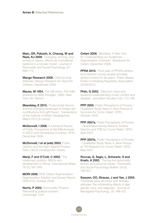Maio, GR, Pakizeh, A, Cheung, W and Rees. KJ 2009. 'Changing, priming, and acting on values: effects via motivational relations in a circular model'. Journal of Personality and Social Psychology, 97, 699-715.

Mango Research 2009. Child Survival Attitudes. Mango Research for Save the Children, September 2009.

Mauss, M 1954. The Gift (trans. FW Halls, foreword by Mary Douglas, 1990). New York, NY: Norton.

Mawdsley, E 2010. 'Postcolonial donors and the changing landscape of foreign aid: contributions from gift theory'. Transactions of the Institute of British Geographers, March 2010 [in press].

McDonnell, I 2006. A Literature Review of Public Perceptions of Aid Effectiveness in OECD and Developing Countries. DFID, December 2006.

McDonnell, I et al (eds) 2003. Public Opinion and the Fight Against Poverty. Paris: OECD Development Centre.

Manji, F and O'Coill, C 2002. 'The missionary position: NGOs and development in Africa'. International Affairs 78 (3), 567-583.

**MORI 2008.** DFID Citizen Segmentation: Segmentation Solution and Survey Report. DFID/COI, October 2008.

Norris. P 2002. Democratic Phoenix: Reinventing political activism. Cambridge: CUP.

Oxfam 2008. 'Mindsets: A New Tool for Understanding our Audiences – Segmentation Overview'. Brainjuicer for Oxfam, December 2008.

PFRA 2010. 'Third year of PFRA's attrition and retention survey reveals doorstep attrition lowest for six years'. Press release, Public Fundraising Regulatory Association, 23/06/2010.

Philo. G 2002. 'Television news and audience understanding of war, conflict and disaster.' Journalism Studies 3 (2), 173-186.

PPP 2005. Public Perceptions of Poverty -Qualitative Study Wave 2,.Alice Fenyoe at Synovate for Comic Relief / DFID, October 2005.

**PPP 2007a.** Public Perceptions of Poverty – Quantitative Survey Wave 6. Andrew Darnton and TNS for Comic Relief / DFID, April 2007.

**PPP 2007b.** Public Perceptions of Poverty – Qualitative Study Wave 4. Alice Fenyoe at TW Research for Comic Relief / DFID, May 2007.

Roccas, S, Sagiv, L, Schwartz, S and Knafo, A 2002. 'The big five personality factors and personal values'. Personality and Social Psychology Bulletin 28 (6), 789-801.

Sawyerr, OO, Strauss, J and Yan, J 2005. 'Individual value structure and diversity attitudes: the moderating effects of age, gender, race, and religiosity'. Journal of Managerial Psychology, 20, 498-521.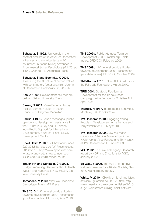Schwartz, S 1992. 'Universals in the content and structure of values: theoretical advances and empirical tests in 20 countries'. In Zanna M (ed) Advances in Experimental Social Psychology (Vol. 25, pp 1-65). Orlando, FL: Academic Press.

Schwartz, S and Boehnke, K 2004.

'Evaluating the structure of human values with confirmatory factor analysis'. Journal of Research in Personality 38, 230-255.

Sen. A 1999. Development as Freedom. Oxford: Oxford University Press.

Sireau, N 2009. Make Poverty History: Political communication in action. Houndmills: Palgrave Macmillan.

**Smillie, I 1996.** 'Mixed messages: public opinion and development assistance in the 1990s' In C Foy and H Helmich (eds) Public Support for International Development, pp27-54. Paris: OECD Development Centre.

Sport Relief 2010. 'TV Show announces £29,323,818 raised so far' Press release, 20/03/2010, http://www.sportrelief.com/ whats-on/news/tv-show-announces- %C2%A329323818-raised-so-far

#### Thaler, RH and Sunstein, CR 2008. Nudge: Improving Decisions about Health,

Wealth and Happiness. New Haven, CT: Yale University Press.

**Tomasello, M 2009.** Why We Cooperate. Cambridge, Mass: MIT Press.

**TNS 2010.** 'UK general public attitudes towards development 2010' Presentation [plus Data Tables], DFID/COI, April 2010.

TNS 2009a. Public Attitudes Towards Development 2009: Tracker dip – data tables. DFID/COI, February 2009.

**TNS 2009b.** UK general public attitudes towards development 2009' Presentation [plus data tables]. DFID/COI, October 2009.

TNS/Kantar 2010. TNS CAPI Omnibus for the Fairtrade Foundation, March 2010.

**TRBi 2004**. Strategic Positioning Development for the Trade Justice Campaign. Alice Fenyoe for Christian Aid, April 2004

**Triandis, H 1977.** Interpersonal Behaviour. Monterey, CA: Brooks/Cole.

**TW Research 2010.** Engaging Young People in Development. Alice Fenyoe and Terry Watkin for IBT, May 2010.

TW Research 2009. *How the Media influences Public Understanding of the Wider World,* Alice Fenyoe and Terry Watkin at TW Research for IBT, April 2009.

VSO 2002. The Live Aid Legacy. Research report by NOP and Directions for VSO, January 2002.

de Waal. F 2009. The Age of Empathy: Nature's Lessons for a Kinder Society, New York, NY: Harmony Books.

White, M 2010. 'Clicktivism is ruining leftist activism', guardian.co.uk, 12/08/10 http:// www.guardian.co.uk/commentisfree/2010/ aug/12/clicktivism-ruining-leftist-activism